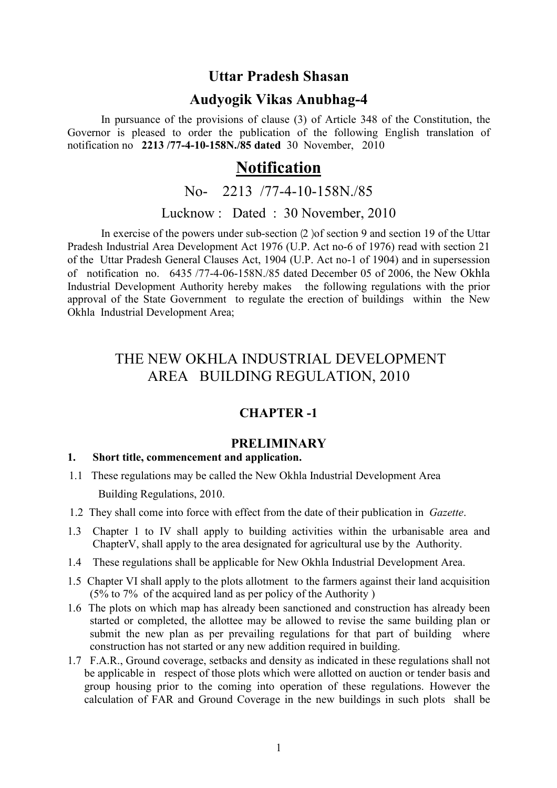## Uttar Pradesh Shasan

## Audyogik Vikas Anubhag-4

In pursuance of the provisions of clause (3) of Article 348 of the Constitution, the Governor is pleased to order the publication of the following English translation of notification no 2213 /77-4-10-158N./85 dated 30 November, 2010

# **Notification**

# No- 2213 /77-4-10-158N./85

## Lucknow : Dated : 30 November, 2010

In exercise of the powers under sub-section  $(2)$  of section 9 and section 19 of the Uttar Pradesh Industrial Area Development Act 1976 (U.P. Act no-6 of 1976) read with section 21 of the Uttar Pradesh General Clauses Act, 1904 (U.P. Act no-1 of 1904) and in supersession of notification no. 6435 /77-4-06-158N./85 dated December 05 of 2006, the New Okhla Industrial Development Authority hereby makes the following regulations with the prior approval of the State Government to regulate the erection of buildings within the New Okhla Industrial Development Area;

# THE NEW OKHLA INDUSTRIAL DEVELOPMENT AREA BUILDING REGULATION, 2010

## CHAPTER -1

## **PRELIMINARY**

## 1. Short title, commencement and application.

- 1.1 These regulations may be called the New Okhla Industrial Development Area Building Regulations, 2010.
- 1.2 They shall come into force with effect from the date of their publication in Gazette.
- 1.3 Chapter 1 to IV shall apply to building activities within the urbanisable area and ChapterV, shall apply to the area designated for agricultural use by the Authority.
- 1.4 These regulations shall be applicable for New Okhla Industrial Development Area.
- 1.5 Chapter VI shall apply to the plots allotment to the farmers against their land acquisition (5% to 7% of the acquired land as per policy of the Authority )
- 1.6 The plots on which map has already been sanctioned and construction has already been started or completed, the allottee may be allowed to revise the same building plan or submit the new plan as per prevailing regulations for that part of building where construction has not started or any new addition required in building.
- 1.7 F.A.R., Ground coverage, setbacks and density as indicated in these regulations shall not be applicable in respect of those plots which were allotted on auction or tender basis and group housing prior to the coming into operation of these regulations. However the calculation of FAR and Ground Coverage in the new buildings in such plots shall be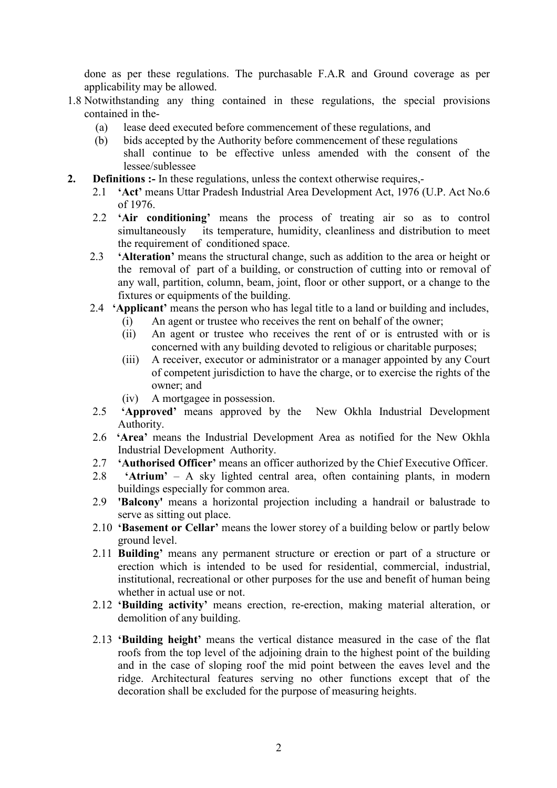done as per these regulations. The purchasable F.A.R and Ground coverage as per applicability may be allowed.

- 1.8 Notwithstanding any thing contained in these regulations, the special provisions contained in the-
	- (a) lease deed executed before commencement of these regulations, and
	- (b) bids accepted by the Authority before commencement of these regulations shall continue to be effective unless amended with the consent of the lessee/sublessee
- 2. Definitions :- In these regulations, unless the context otherwise requires,-
	- 2.1 **'Act'** means Uttar Pradesh Industrial Area Development Act, 1976 (U.P. Act No.6) of 1976.
	- 2.2 'Air conditioning' means the process of treating air so as to control simultaneously its temperature, humidity, cleanliness and distribution to meet the requirement of conditioned space.
	- 2.3 **'Alteration'** means the structural change, such as addition to the area or height or the removal of part of a building, or construction of cutting into or removal of any wall, partition, column, beam, joint, floor or other support, or a change to the fixtures or equipments of the building.
	- 2.4 **'Applicant'** means the person who has legal title to a land or building and includes,
		- (i) An agent or trustee who receives the rent on behalf of the owner;
		- (ii) An agent or trustee who receives the rent of or is entrusted with or is concerned with any building devoted to religious or charitable purposes;
		- (iii) A receiver, executor or administrator or a manager appointed by any Court of competent jurisdiction to have the charge, or to exercise the rights of the owner; and
		- (iv) A mortgagee in possession.
	- 2.5 'Approved' means approved by the New Okhla Industrial Development Authority.
	- 2.6 'Area' means the Industrial Development Area as notified for the New Okhla Industrial Development Authority.
	- 2.7 'Authorised Officer' means an officer authorized by the Chief Executive Officer.
	- 2.8 'Atrium' A sky lighted central area, often containing plants, in modern buildings especially for common area.
	- 2.9 'Balcony' means a horizontal projection including a handrail or balustrade to serve as sitting out place.
	- 2.10 'Basement or Cellar' means the lower storey of a building below or partly below ground level.
	- 2.11 Building' means any permanent structure or erection or part of a structure or erection which is intended to be used for residential, commercial, industrial, institutional, recreational or other purposes for the use and benefit of human being whether in actual use or not.
	- 2.12 'Building activity' means erection, re-erection, making material alteration, or demolition of any building.
	- 2.13 'Building height' means the vertical distance measured in the case of the flat roofs from the top level of the adjoining drain to the highest point of the building and in the case of sloping roof the mid point between the eaves level and the ridge. Architectural features serving no other functions except that of the decoration shall be excluded for the purpose of measuring heights.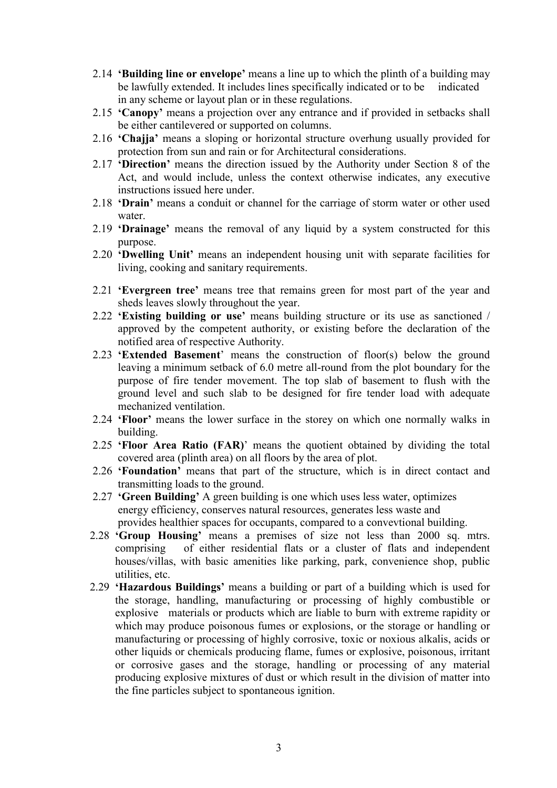- 2.14 'Building line or envelope' means a line up to which the plinth of a building may be lawfully extended. It includes lines specifically indicated or to be indicated in any scheme or layout plan or in these regulations.
- 2.15 'Canopy' means a projection over any entrance and if provided in setbacks shall be either cantilevered or supported on columns.
- 2.16 'Chajja' means a sloping or horizontal structure overhung usually provided for protection from sun and rain or for Architectural considerations.
- 2.17 'Direction' means the direction issued by the Authority under Section 8 of the Act, and would include, unless the context otherwise indicates, any executive instructions issued here under.
- 2.18 'Drain' means a conduit or channel for the carriage of storm water or other used water.
- 2.19 'Drainage' means the removal of any liquid by a system constructed for this purpose.
- 2.20 'Dwelling Unit' means an independent housing unit with separate facilities for living, cooking and sanitary requirements.
- 2.21 'Evergreen tree' means tree that remains green for most part of the year and sheds leaves slowly throughout the year.
- 2.22 'Existing building or use' means building structure or its use as sanctioned / approved by the competent authority, or existing before the declaration of the notified area of respective Authority.
- 2.23 'Extended Basement' means the construction of floor(s) below the ground leaving a minimum setback of 6.0 metre all-round from the plot boundary for the purpose of fire tender movement. The top slab of basement to flush with the ground level and such slab to be designed for fire tender load with adequate mechanized ventilation.
- 2.24 'Floor' means the lower surface in the storey on which one normally walks in building.
- 2.25 'Floor Area Ratio (FAR)' means the quotient obtained by dividing the total covered area (plinth area) on all floors by the area of plot.
- 2.26 'Foundation' means that part of the structure, which is in direct contact and transmitting loads to the ground.
- 2.27 **'Green Building'** A green building is one which uses less water, optimizes energy efficiency, conserves natural resources, generates less waste and provides healthier spaces for occupants, compared to a convevtional building.
- 2.28 'Group Housing' means a premises of size not less than 2000 sq. mtrs. comprising of either residential flats or a cluster of flats and independent houses/villas, with basic amenities like parking, park, convenience shop, public utilities, etc.
- 2.29 'Hazardous Buildings' means a building or part of a building which is used for the storage, handling, manufacturing or processing of highly combustible or explosive materials or products which are liable to burn with extreme rapidity or which may produce poisonous fumes or explosions, or the storage or handling or manufacturing or processing of highly corrosive, toxic or noxious alkalis, acids or other liquids or chemicals producing flame, fumes or explosive, poisonous, irritant or corrosive gases and the storage, handling or processing of any material producing explosive mixtures of dust or which result in the division of matter into the fine particles subject to spontaneous ignition.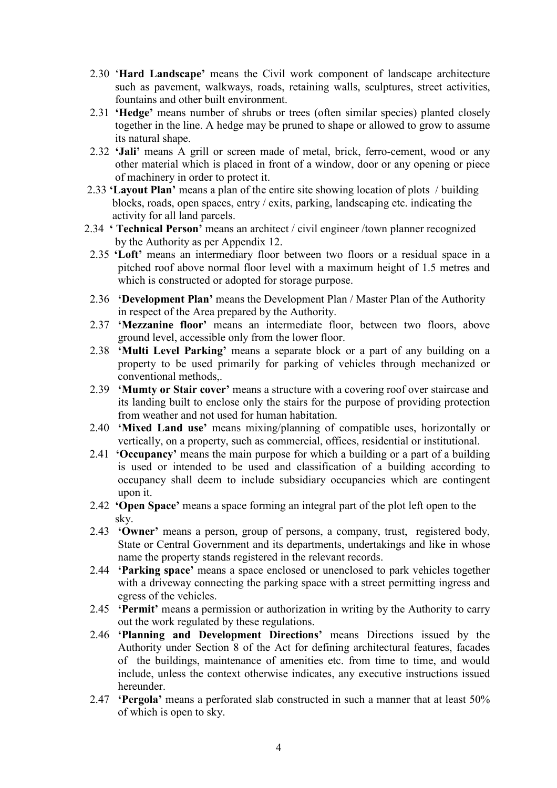- 2.30 'Hard Landscape' means the Civil work component of landscape architecture such as pavement, walkways, roads, retaining walls, sculptures, street activities, fountains and other built environment.
- 2.31 'Hedge' means number of shrubs or trees (often similar species) planted closely together in the line. A hedge may be pruned to shape or allowed to grow to assume its natural shape.
- 2.32 'Jali' means A grill or screen made of metal, brick, ferro-cement, wood or any other material which is placed in front of a window, door or any opening or piece of machinery in order to protect it.
- 2.33 'Layout Plan' means a plan of the entire site showing location of plots / building blocks, roads, open spaces, entry / exits, parking, landscaping etc. indicating the activity for all land parcels.
- 2.34 ' Technical Person' means an architect / civil engineer /town planner recognized by the Authority as per Appendix 12.
- 2.35 'Loft' means an intermediary floor between two floors or a residual space in a pitched roof above normal floor level with a maximum height of 1.5 metres and which is constructed or adopted for storage purpose.
- 2.36 'Development Plan' means the Development Plan / Master Plan of the Authority in respect of the Area prepared by the Authority.
- 2.37 'Mezzanine floor' means an intermediate floor, between two floors, above ground level, accessible only from the lower floor.
- 2.38 'Multi Level Parking' means a separate block or a part of any building on a property to be used primarily for parking of vehicles through mechanized or conventional methods,.
- 2.39 'Mumty or Stair cover' means a structure with a covering roof over staircase and its landing built to enclose only the stairs for the purpose of providing protection from weather and not used for human habitation.
- 2.40 'Mixed Land use' means mixing/planning of compatible uses, horizontally or vertically, on a property, such as commercial, offices, residential or institutional.
- 2.41 'Occupancy' means the main purpose for which a building or a part of a building is used or intended to be used and classification of a building according to occupancy shall deem to include subsidiary occupancies which are contingent upon it.
- 2.42 'Open Space' means a space forming an integral part of the plot left open to the sky.
- 2.43 'Owner' means a person, group of persons, a company, trust, registered body, State or Central Government and its departments, undertakings and like in whose name the property stands registered in the relevant records.
- 2.44 'Parking space' means a space enclosed or unenclosed to park vehicles together with a driveway connecting the parking space with a street permitting ingress and egress of the vehicles.
- 2.45 'Permit' means a permission or authorization in writing by the Authority to carry out the work regulated by these regulations.
- 2.46 'Planning and Development Directions' means Directions issued by the Authority under Section 8 of the Act for defining architectural features, facades of the buildings, maintenance of amenities etc. from time to time, and would include, unless the context otherwise indicates, any executive instructions issued hereunder.
- 2.47 'Pergola' means a perforated slab constructed in such a manner that at least 50% of which is open to sky.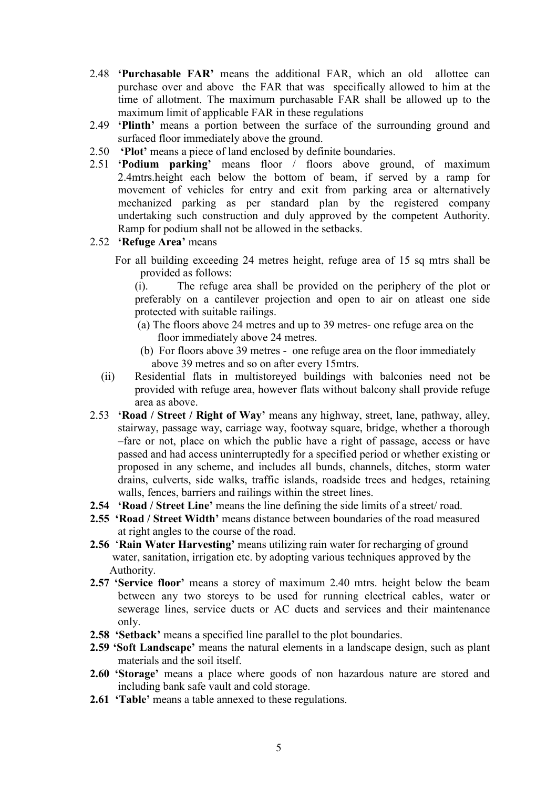- 2.48 'Purchasable FAR' means the additional FAR, which an old allottee can purchase over and above the FAR that was specifically allowed to him at the time of allotment. The maximum purchasable FAR shall be allowed up to the maximum limit of applicable FAR in these regulations
- 2.49 'Plinth' means a portion between the surface of the surrounding ground and surfaced floor immediately above the ground.
- 2.50 'Plot' means a piece of land enclosed by definite boundaries.
- 2.51 'Podium parking' means floor / floors above ground, of maximum 2.4mtrs.height each below the bottom of beam, if served by a ramp for movement of vehicles for entry and exit from parking area or alternatively mechanized parking as per standard plan by the registered company undertaking such construction and duly approved by the competent Authority. Ramp for podium shall not be allowed in the setbacks.
- 2.52 'Refuge Area' means
	- For all building exceeding 24 metres height, refuge area of 15 sq mtrs shall be provided as follows:

(i). The refuge area shall be provided on the periphery of the plot or preferably on a cantilever projection and open to air on atleast one side protected with suitable railings.

- (a) The floors above 24 metres and up to 39 metres- one refuge area on the floor immediately above 24 metres.
- (b) For floors above 39 metres one refuge area on the floor immediately above 39 metres and so on after every 15mtrs.
- (ii) Residential flats in multistoreyed buildings with balconies need not be provided with refuge area, however flats without balcony shall provide refuge area as above.
- 2.53 'Road / Street / Right of Way' means any highway, street, lane, pathway, alley, stairway, passage way, carriage way, footway square, bridge, whether a thorough –fare or not, place on which the public have a right of passage, access or have passed and had access uninterruptedly for a specified period or whether existing or proposed in any scheme, and includes all bunds, channels, ditches, storm water drains, culverts, side walks, traffic islands, roadside trees and hedges, retaining walls, fences, barriers and railings within the street lines.
- 2.54 'Road / Street Line' means the line defining the side limits of a street/ road.
- 2.55 'Road / Street Width' means distance between boundaries of the road measured at right angles to the course of the road.
- 2.56 'Rain Water Harvesting' means utilizing rain water for recharging of ground water, sanitation, irrigation etc. by adopting various techniques approved by the Authority.
- 2.57 'Service floor' means a storey of maximum 2.40 mtrs. height below the beam between any two storeys to be used for running electrical cables, water or sewerage lines, service ducts or AC ducts and services and their maintenance only.
- 2.58 'Setback' means a specified line parallel to the plot boundaries.
- 2.59 'Soft Landscape' means the natural elements in a landscape design, such as plant materials and the soil itself.
- 2.60 'Storage' means a place where goods of non hazardous nature are stored and including bank safe vault and cold storage.
- 2.61 **Table'** means a table annexed to these regulations.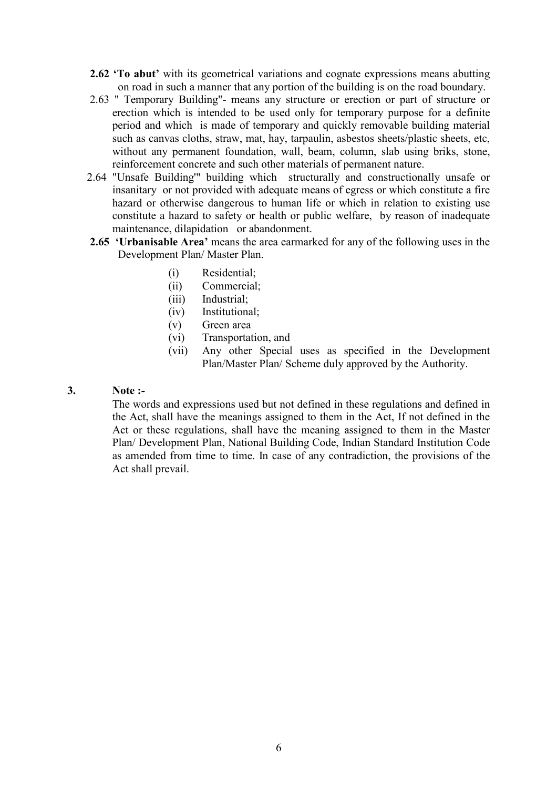- 2.62 'To abut' with its geometrical variations and cognate expressions means abutting on road in such a manner that any portion of the building is on the road boundary.
- 2.63 " Temporary Building"- means any structure or erection or part of structure or erection which is intended to be used only for temporary purpose for a definite period and which is made of temporary and quickly removable building material such as canvas cloths, straw, mat, hay, tarpaulin, asbestos sheets/plastic sheets, etc, without any permanent foundation, wall, beam, column, slab using briks, stone, reinforcement concrete and such other materials of permanent nature.
- 2.64 "Unsafe Building'" building which structurally and constructionally unsafe or insanitary or not provided with adequate means of egress or which constitute a fire hazard or otherwise dangerous to human life or which in relation to existing use constitute a hazard to safety or health or public welfare, by reason of inadequate maintenance, dilapidation or abandonment.
- 2.65 'Urbanisable Area' means the area earmarked for any of the following uses in the Development Plan/ Master Plan.
	- (i) Residential;
	- (ii) Commercial;
	- (iii) Industrial;
	- (iv) Institutional;
	- (v) Green area
	- (vi) Transportation, and
	- (vii) Any other Special uses as specified in the Development Plan/Master Plan/ Scheme duly approved by the Authority.

### 3. Note :-

The words and expressions used but not defined in these regulations and defined in the Act, shall have the meanings assigned to them in the Act, If not defined in the Act or these regulations, shall have the meaning assigned to them in the Master Plan/ Development Plan, National Building Code, Indian Standard Institution Code as amended from time to time. In case of any contradiction, the provisions of the Act shall prevail.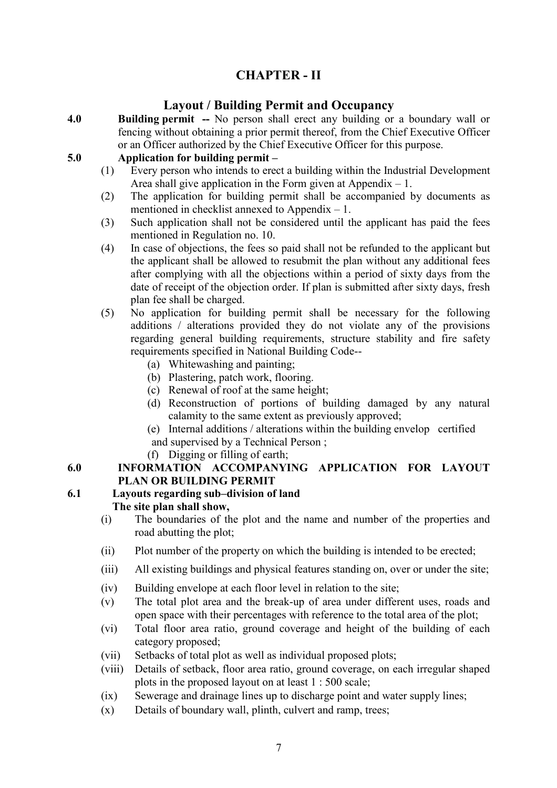# CHAPTER - II

## Layout / Building Permit and Occupancy

4.0 Building permit -- No person shall erect any building or a boundary wall or fencing without obtaining a prior permit thereof, from the Chief Executive Officer or an Officer authorized by the Chief Executive Officer for this purpose.

## 5.0 Application for building permit –

- (1) Every person who intends to erect a building within the Industrial Development Area shall give application in the Form given at Appendix  $-1$ .
- (2) The application for building permit shall be accompanied by documents as mentioned in checklist annexed to Appendix – 1.
- (3) Such application shall not be considered until the applicant has paid the fees mentioned in Regulation no. 10.
- (4) In case of objections, the fees so paid shall not be refunded to the applicant but the applicant shall be allowed to resubmit the plan without any additional fees after complying with all the objections within a period of sixty days from the date of receipt of the objection order. If plan is submitted after sixty days, fresh plan fee shall be charged.
- (5) No application for building permit shall be necessary for the following additions / alterations provided they do not violate any of the provisions regarding general building requirements, structure stability and fire safety requirements specified in National Building Code--
	- (a) Whitewashing and painting;
	- (b) Plastering, patch work, flooring.
	- (c) Renewal of roof at the same height;
	- (d) Reconstruction of portions of building damaged by any natural calamity to the same extent as previously approved;
	- (e) Internal additions / alterations within the building envelop certified and supervised by a Technical Person ;
	- (f) Digging or filling of earth;

## 6.0 INFORMATION ACCOMPANYING APPLICATION FOR LAYOUT PLAN OR BUILDING PERMIT

#### 6.1 Layouts regarding sub–division of land The site plan shall show,

- (i) The boundaries of the plot and the name and number of the properties and road abutting the plot;
- (ii) Plot number of the property on which the building is intended to be erected;
- (iii) All existing buildings and physical features standing on, over or under the site;
- (iv) Building envelope at each floor level in relation to the site;
- (v) The total plot area and the break-up of area under different uses, roads and open space with their percentages with reference to the total area of the plot;
- (vi) Total floor area ratio, ground coverage and height of the building of each category proposed;
- (vii) Setbacks of total plot as well as individual proposed plots;
- (viii) Details of setback, floor area ratio, ground coverage, on each irregular shaped plots in the proposed layout on at least 1 : 500 scale;
- (ix) Sewerage and drainage lines up to discharge point and water supply lines;
- (x) Details of boundary wall, plinth, culvert and ramp, trees;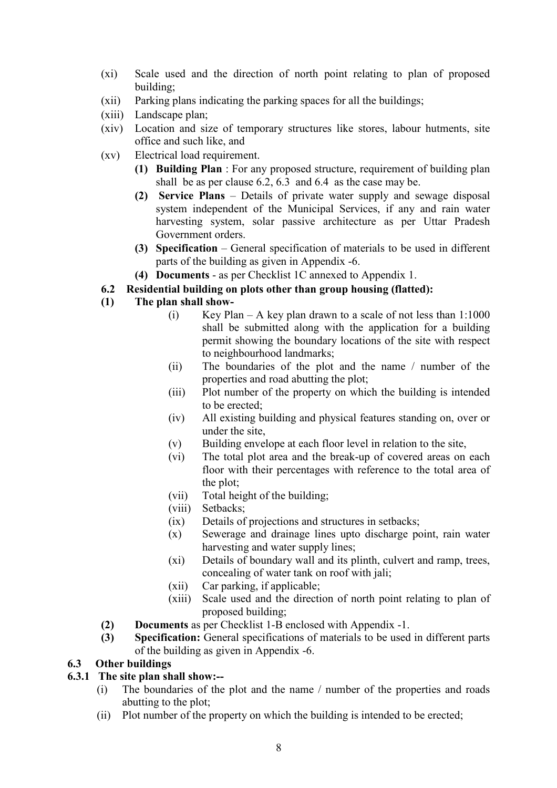- (xi) Scale used and the direction of north point relating to plan of proposed building;
- (xii) Parking plans indicating the parking spaces for all the buildings;
- (xiii) Landscape plan;
- (xiv) Location and size of temporary structures like stores, labour hutments, site office and such like, and
- (xv) Electrical load requirement.
	- (1) Building Plan : For any proposed structure, requirement of building plan shall be as per clause 6.2, 6.3 and 6.4 as the case may be.
	- (2) Service Plans Details of private water supply and sewage disposal system independent of the Municipal Services, if any and rain water harvesting system, solar passive architecture as per Uttar Pradesh Government orders.
	- (3) Specification General specification of materials to be used in different parts of the building as given in Appendix -6.
	- (4) Documents as per Checklist 1C annexed to Appendix 1.
- 6.2 Residential building on plots other than group housing (flatted):
- (1) The plan shall show-
	- (i) Key Plan A key plan drawn to a scale of not less than  $1:1000$ shall be submitted along with the application for a building permit showing the boundary locations of the site with respect to neighbourhood landmarks;
	- (ii) The boundaries of the plot and the name / number of the properties and road abutting the plot;
	- (iii) Plot number of the property on which the building is intended to be erected;
	- (iv) All existing building and physical features standing on, over or under the site,
	- (v) Building envelope at each floor level in relation to the site,
	- (vi) The total plot area and the break-up of covered areas on each floor with their percentages with reference to the total area of the plot;
	- (vii) Total height of the building;
	- (viii) Setbacks;
	- (ix) Details of projections and structures in setbacks;
	- (x) Sewerage and drainage lines upto discharge point, rain water harvesting and water supply lines;
	- (xi) Details of boundary wall and its plinth, culvert and ramp, trees, concealing of water tank on roof with jali;
	- (xii) Car parking, if applicable;
	- (xiii) Scale used and the direction of north point relating to plan of proposed building;
- (2) Documents as per Checklist 1-B enclosed with Appendix -1.
- (3) Specification: General specifications of materials to be used in different parts of the building as given in Appendix -6.

## 6.3 Other buildings

## 6.3.1 The site plan shall show:--

- (i) The boundaries of the plot and the name / number of the properties and roads abutting to the plot;
- (ii) Plot number of the property on which the building is intended to be erected;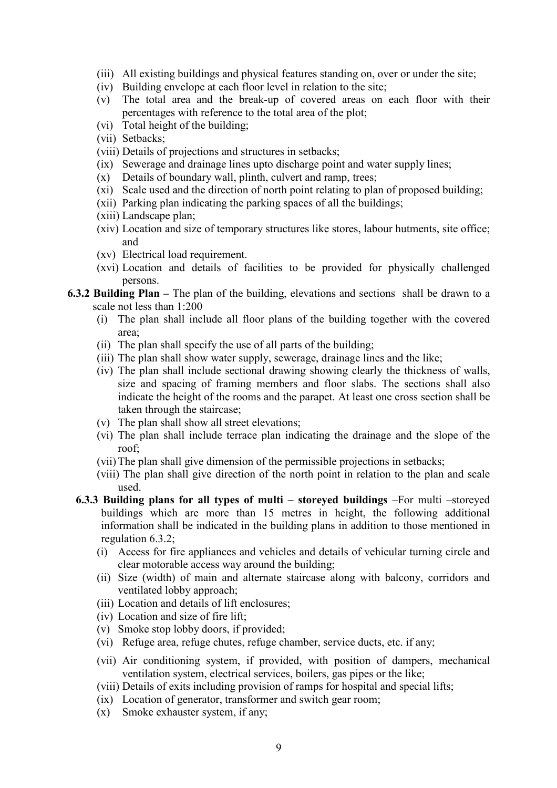- (iii) All existing buildings and physical features standing on, over or under the site;
- (iv) Building envelope at each floor level in relation to the site;
- (v) The total area and the break-up of covered areas on each floor with their percentages with reference to the total area of the plot;
- (vi) Total height of the building;
- (vii) Setbacks;
- (viii) Details of projections and structures in setbacks;
- (ix) Sewerage and drainage lines upto discharge point and water supply lines;
- (x) Details of boundary wall, plinth, culvert and ramp, trees;
- (xi) Scale used and the direction of north point relating to plan of proposed building;
- (xii) Parking plan indicating the parking spaces of all the buildings;
- (xiii) Landscape plan;
- (xiv) Location and size of temporary structures like stores, labour hutments, site office; and
- (xv) Electrical load requirement.
- (xvi) Location and details of facilities to be provided for physically challenged persons.
- 6.3.2 Building Plan The plan of the building, elevations and sections shall be drawn to a scale not less than 1:200
	- (i) The plan shall include all floor plans of the building together with the covered area;
	- (ii) The plan shall specify the use of all parts of the building;
	- (iii) The plan shall show water supply, sewerage, drainage lines and the like;
	- (iv) The plan shall include sectional drawing showing clearly the thickness of walls, size and spacing of framing members and floor slabs. The sections shall also indicate the height of the rooms and the parapet. At least one cross section shall be taken through the staircase;
	- (v) The plan shall show all street elevations;
	- (vi) The plan shall include terrace plan indicating the drainage and the slope of the roof;
	- (vii) The plan shall give dimension of the permissible projections in setbacks;
	- (viii) The plan shall give direction of the north point in relation to the plan and scale used.
	- 6.3.3 Building plans for all types of multi storeyed buildings –For multi –storeyed buildings which are more than 15 metres in height, the following additional information shall be indicated in the building plans in addition to those mentioned in regulation 6.3.2;
		- (i) Access for fire appliances and vehicles and details of vehicular turning circle and clear motorable access way around the building;
		- (ii) Size (width) of main and alternate staircase along with balcony, corridors and ventilated lobby approach;
		- (iii) Location and details of lift enclosures;
		- (iv) Location and size of fire lift;
		- (v) Smoke stop lobby doors, if provided;
		- (vi) Refuge area, refuge chutes, refuge chamber, service ducts, etc. if any;
		- (vii) Air conditioning system, if provided, with position of dampers, mechanical ventilation system, electrical services, boilers, gas pipes or the like;
		- (viii) Details of exits including provision of ramps for hospital and special lifts;
		- (ix) Location of generator, transformer and switch gear room;
		- (x) Smoke exhauster system, if any;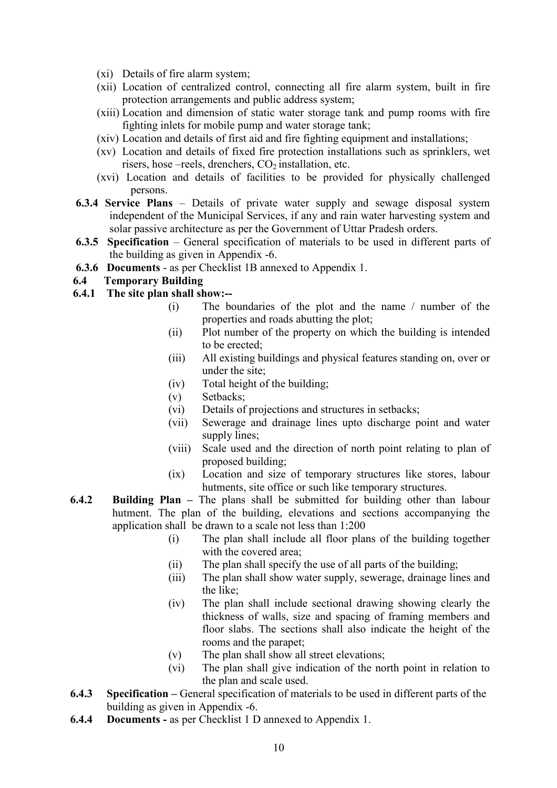- (xi) Details of fire alarm system;
- (xii) Location of centralized control, connecting all fire alarm system, built in fire protection arrangements and public address system;
- (xiii) Location and dimension of static water storage tank and pump rooms with fire fighting inlets for mobile pump and water storage tank;
- (xiv) Location and details of first aid and fire fighting equipment and installations;
- (xv) Location and details of fixed fire protection installations such as sprinklers, wet risers, hose –reels, drenchers,  $CO<sub>2</sub>$  installation, etc.
- (xvi) Location and details of facilities to be provided for physically challenged persons.
- 6.3.4 Service Plans Details of private water supply and sewage disposal system independent of the Municipal Services, if any and rain water harvesting system and solar passive architecture as per the Government of Uttar Pradesh orders.
- 6.3.5 Specification General specification of materials to be used in different parts of the building as given in Appendix -6.
- 6.3.6 Documents as per Checklist 1B annexed to Appendix 1.

### 6.4 Temporary Building

- 6.4.1 The site plan shall show:--
	- (i) The boundaries of the plot and the name / number of the properties and roads abutting the plot;
	- (ii) Plot number of the property on which the building is intended to be erected;
	- (iii) All existing buildings and physical features standing on, over or under the site;
	- (iv) Total height of the building;
	- (v) Setbacks;
	- (vi) Details of projections and structures in setbacks;
	- (vii) Sewerage and drainage lines upto discharge point and water supply lines;
	- (viii) Scale used and the direction of north point relating to plan of proposed building;
	- (ix) Location and size of temporary structures like stores, labour hutments, site office or such like temporary structures.
- 6.4.2 Building Plan The plans shall be submitted for building other than labour hutment. The plan of the building, elevations and sections accompanying the application shall be drawn to a scale not less than 1:200
	- (i) The plan shall include all floor plans of the building together with the covered area;
	- (ii) The plan shall specify the use of all parts of the building;
	- (iii) The plan shall show water supply, sewerage, drainage lines and the like;
	- (iv) The plan shall include sectional drawing showing clearly the thickness of walls, size and spacing of framing members and floor slabs. The sections shall also indicate the height of the rooms and the parapet;
	- (v) The plan shall show all street elevations;
	- (vi) The plan shall give indication of the north point in relation to the plan and scale used.
- 6.4.3 Specification General specification of materials to be used in different parts of the building as given in Appendix -6.
- 6.4.4 Documents as per Checklist 1 D annexed to Appendix 1.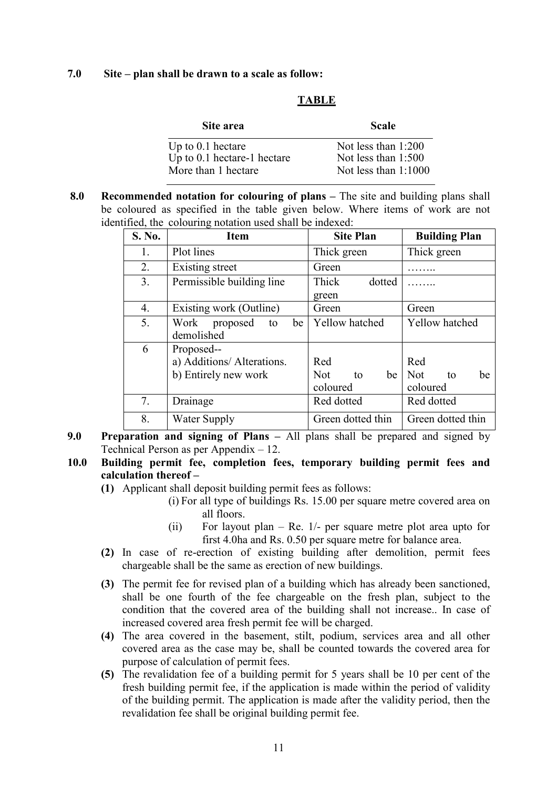#### 7.0 Site – plan shall be drawn to a scale as follow:

#### TABLE

| Not less than 1:200<br>Up to $0.1$ hectare    | Site area                     | <b>Scale</b>          |
|-----------------------------------------------|-------------------------------|-----------------------|
| Not less than $1:1000$<br>More than 1 hectare | Up to $0.1$ hectare-1 hectare | Not less than $1:500$ |

8.0 Recommended notation for colouring of plans – The site and building plans shall be coloured as specified in the table given below. Where items of work are not identified, the colouring notation used shall be indexed:

| S. No. | <b>Item</b>                                                      | <b>Site Plan</b>                   | <b>Building Plan</b>                      |
|--------|------------------------------------------------------------------|------------------------------------|-------------------------------------------|
| 1.     | Plot lines                                                       | Thick green                        | Thick green                               |
| 2.     | Existing street                                                  | Green                              |                                           |
| 3.     | Permissible building line                                        | Thick<br>dotted<br>green           |                                           |
| 4.     | Existing work (Outline)                                          | Green                              | Green                                     |
| 5.     | Work<br>proposed<br>be<br>to<br>demolished                       | Yellow hatched                     | Yellow hatched                            |
| 6      | Proposed--<br>a) Additions/ Alterations.<br>b) Entirely new work | Red<br>Not<br>be<br>to<br>coloured | Red<br><b>Not</b><br>be<br>to<br>coloured |
| 7.     | Drainage                                                         | Red dotted                         | Red dotted                                |
| 8.     | <b>Water Supply</b>                                              | Green dotted thin                  | Green dotted thin                         |

9.0 Preparation and signing of Plans – All plans shall be prepared and signed by Technical Person as per Appendix – 12.

#### 10.0 Building permit fee, completion fees, temporary building permit fees and calculation thereof –

- (1) Applicant shall deposit building permit fees as follows:
	- (i) For all type of buildings Rs. 15.00 per square metre covered area on all floors.
	- (ii) For layout plan Re. 1/- per square metre plot area upto for first 4.0ha and Rs. 0.50 per square metre for balance area.
- (2) In case of re-erection of existing building after demolition, permit fees chargeable shall be the same as erection of new buildings.
- (3) The permit fee for revised plan of a building which has already been sanctioned, shall be one fourth of the fee chargeable on the fresh plan, subject to the condition that the covered area of the building shall not increase.. In case of increased covered area fresh permit fee will be charged.
- (4) The area covered in the basement, stilt, podium, services area and all other covered area as the case may be, shall be counted towards the covered area for purpose of calculation of permit fees.
- (5) The revalidation fee of a building permit for 5 years shall be 10 per cent of the fresh building permit fee, if the application is made within the period of validity of the building permit. The application is made after the validity period, then the revalidation fee shall be original building permit fee.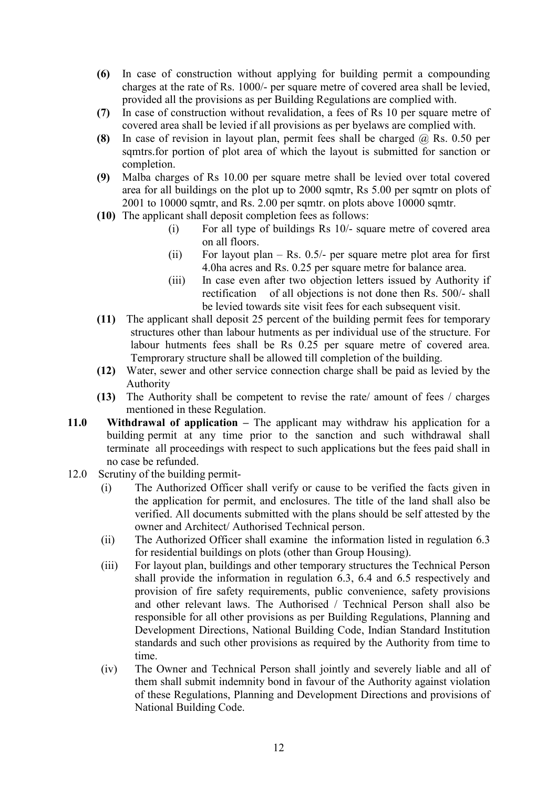- (6) In case of construction without applying for building permit a compounding charges at the rate of Rs. 1000/- per square metre of covered area shall be levied, provided all the provisions as per Building Regulations are complied with.
- (7) In case of construction without revalidation, a fees of Rs 10 per square metre of covered area shall be levied if all provisions as per byelaws are complied with.
- (8) In case of revision in layout plan, permit fees shall be charged  $\omega$ , Rs. 0.50 per sqmtrs.for portion of plot area of which the layout is submitted for sanction or completion.
- (9) Malba charges of Rs 10.00 per square metre shall be levied over total covered area for all buildings on the plot up to 2000 sqmtr, Rs 5.00 per sqmtr on plots of 2001 to 10000 sqmtr, and Rs. 2.00 per sqmtr. on plots above 10000 sqmtr.
- (10) The applicant shall deposit completion fees as follows:
	- (i) For all type of buildings Rs 10/- square metre of covered area on all floors.
	- (ii) For layout plan Rs.  $0.5/-$  per square metre plot area for first 4.0ha acres and Rs. 0.25 per square metre for balance area.
	- (iii) In case even after two objection letters issued by Authority if rectification of all objections is not done then Rs. 500/- shall be levied towards site visit fees for each subsequent visit.
- (11) The applicant shall deposit 25 percent of the building permit fees for temporary structures other than labour hutments as per individual use of the structure. For labour hutments fees shall be Rs 0.25 per square metre of covered area. Temprorary structure shall be allowed till completion of the building.
- (12) Water, sewer and other service connection charge shall be paid as levied by the Authority
- (13) The Authority shall be competent to revise the rate/ amount of fees / charges mentioned in these Regulation.
- 11.0 Withdrawal of application The applicant may withdraw his application for a building permit at any time prior to the sanction and such withdrawal shall terminate all proceedings with respect to such applications but the fees paid shall in no case be refunded.
- 12.0 Scrutiny of the building permit-
	- (i) The Authorized Officer shall verify or cause to be verified the facts given in the application for permit, and enclosures. The title of the land shall also be verified. All documents submitted with the plans should be self attested by the owner and Architect/ Authorised Technical person.
	- (ii) The Authorized Officer shall examine the information listed in regulation 6.3 for residential buildings on plots (other than Group Housing).
	- (iii) For layout plan, buildings and other temporary structures the Technical Person shall provide the information in regulation 6.3, 6.4 and 6.5 respectively and provision of fire safety requirements, public convenience, safety provisions and other relevant laws. The Authorised / Technical Person shall also be responsible for all other provisions as per Building Regulations, Planning and Development Directions, National Building Code, Indian Standard Institution standards and such other provisions as required by the Authority from time to time.
	- (iv) The Owner and Technical Person shall jointly and severely liable and all of them shall submit indemnity bond in favour of the Authority against violation of these Regulations, Planning and Development Directions and provisions of National Building Code.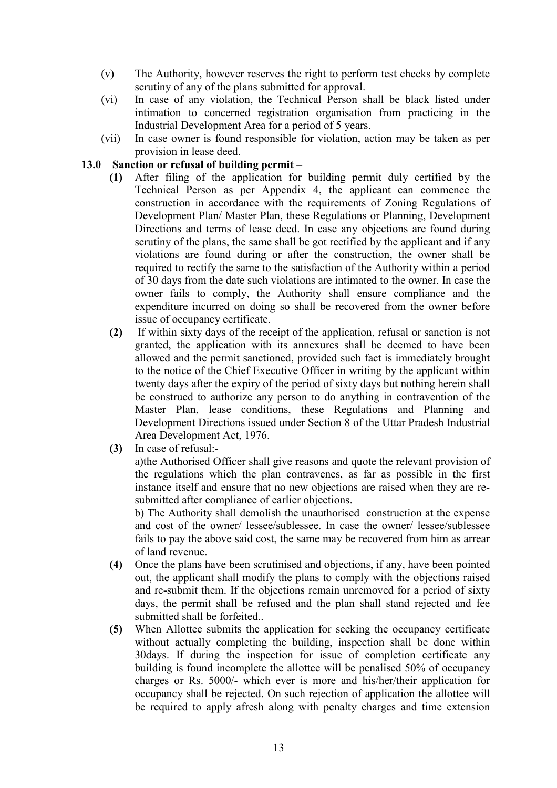- (v) The Authority, however reserves the right to perform test checks by complete scrutiny of any of the plans submitted for approval.
- (vi) In case of any violation, the Technical Person shall be black listed under intimation to concerned registration organisation from practicing in the Industrial Development Area for a period of 5 years.
- (vii) In case owner is found responsible for violation, action may be taken as per provision in lease deed.

## 13.0 Sanction or refusal of building permit –

- (1) After filing of the application for building permit duly certified by the Technical Person as per Appendix 4, the applicant can commence the construction in accordance with the requirements of Zoning Regulations of Development Plan/ Master Plan, these Regulations or Planning, Development Directions and terms of lease deed. In case any objections are found during scrutiny of the plans, the same shall be got rectified by the applicant and if any violations are found during or after the construction, the owner shall be required to rectify the same to the satisfaction of the Authority within a period of 30 days from the date such violations are intimated to the owner. In case the owner fails to comply, the Authority shall ensure compliance and the expenditure incurred on doing so shall be recovered from the owner before issue of occupancy certificate.
- (2) If within sixty days of the receipt of the application, refusal or sanction is not granted, the application with its annexures shall be deemed to have been allowed and the permit sanctioned, provided such fact is immediately brought to the notice of the Chief Executive Officer in writing by the applicant within twenty days after the expiry of the period of sixty days but nothing herein shall be construed to authorize any person to do anything in contravention of the Master Plan, lease conditions, these Regulations and Planning and Development Directions issued under Section 8 of the Uttar Pradesh Industrial Area Development Act, 1976.
- (3) In case of refusal:-

a)the Authorised Officer shall give reasons and quote the relevant provision of the regulations which the plan contravenes, as far as possible in the first instance itself and ensure that no new objections are raised when they are resubmitted after compliance of earlier objections.

b) The Authority shall demolish the unauthorised construction at the expense and cost of the owner/ lessee/sublessee. In case the owner/ lessee/sublessee fails to pay the above said cost, the same may be recovered from him as arrear of land revenue.

- (4) Once the plans have been scrutinised and objections, if any, have been pointed out, the applicant shall modify the plans to comply with the objections raised and re-submit them. If the objections remain unremoved for a period of sixty days, the permit shall be refused and the plan shall stand rejected and fee submitted shall be forfeited..
- (5) When Allottee submits the application for seeking the occupancy certificate without actually completing the building, inspection shall be done within 30days. If during the inspection for issue of completion certificate any building is found incomplete the allottee will be penalised 50% of occupancy charges or Rs. 5000/- which ever is more and his/her/their application for occupancy shall be rejected. On such rejection of application the allottee will be required to apply afresh along with penalty charges and time extension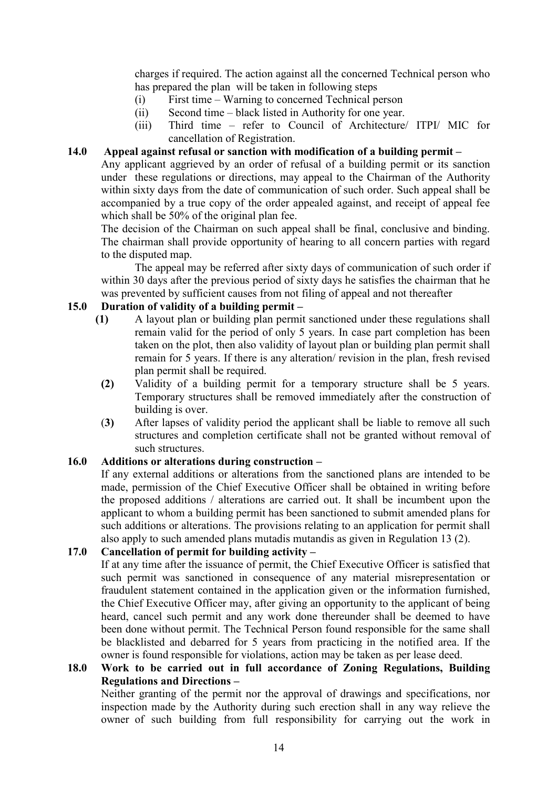charges if required. The action against all the concerned Technical person who has prepared the plan will be taken in following steps

- (i) First time Warning to concerned Technical person
- (ii) Second time black listed in Authority for one year.
- (iii) Third time refer to Council of Architecture/ ITPI/ MIC for cancellation of Registration.

### 14.0 Appeal against refusal or sanction with modification of a building permit –

Any applicant aggrieved by an order of refusal of a building permit or its sanction under these regulations or directions, may appeal to the Chairman of the Authority within sixty days from the date of communication of such order. Such appeal shall be accompanied by a true copy of the order appealed against, and receipt of appeal fee which shall be 50% of the original plan fee.

The decision of the Chairman on such appeal shall be final, conclusive and binding. The chairman shall provide opportunity of hearing to all concern parties with regard to the disputed map.

 The appeal may be referred after sixty days of communication of such order if within 30 days after the previous period of sixty days he satisfies the chairman that he was prevented by sufficient causes from not filing of appeal and not thereafter

## 15.0 Duration of validity of a building permit –

- (1) A layout plan or building plan permit sanctioned under these regulations shall remain valid for the period of only 5 years. In case part completion has been taken on the plot, then also validity of layout plan or building plan permit shall remain for 5 years. If there is any alteration/ revision in the plan, fresh revised plan permit shall be required.
- (2) Validity of a building permit for a temporary structure shall be 5 years. Temporary structures shall be removed immediately after the construction of building is over.
- (3) After lapses of validity period the applicant shall be liable to remove all such structures and completion certificate shall not be granted without removal of such structures.

## 16.0 Additions or alterations during construction –

 If any external additions or alterations from the sanctioned plans are intended to be made, permission of the Chief Executive Officer shall be obtained in writing before the proposed additions / alterations are carried out. It shall be incumbent upon the applicant to whom a building permit has been sanctioned to submit amended plans for such additions or alterations. The provisions relating to an application for permit shall also apply to such amended plans mutadis mutandis as given in Regulation 13 (2).

## 17.0 Cancellation of permit for building activity –

If at any time after the issuance of permit, the Chief Executive Officer is satisfied that such permit was sanctioned in consequence of any material misrepresentation or fraudulent statement contained in the application given or the information furnished, the Chief Executive Officer may, after giving an opportunity to the applicant of being heard, cancel such permit and any work done thereunder shall be deemed to have been done without permit. The Technical Person found responsible for the same shall be blacklisted and debarred for 5 years from practicing in the notified area. If the owner is found responsible for violations, action may be taken as per lease deed.

## 18.0 Work to be carried out in full accordance of Zoning Regulations, Building Regulations and Directions –

Neither granting of the permit nor the approval of drawings and specifications, nor inspection made by the Authority during such erection shall in any way relieve the owner of such building from full responsibility for carrying out the work in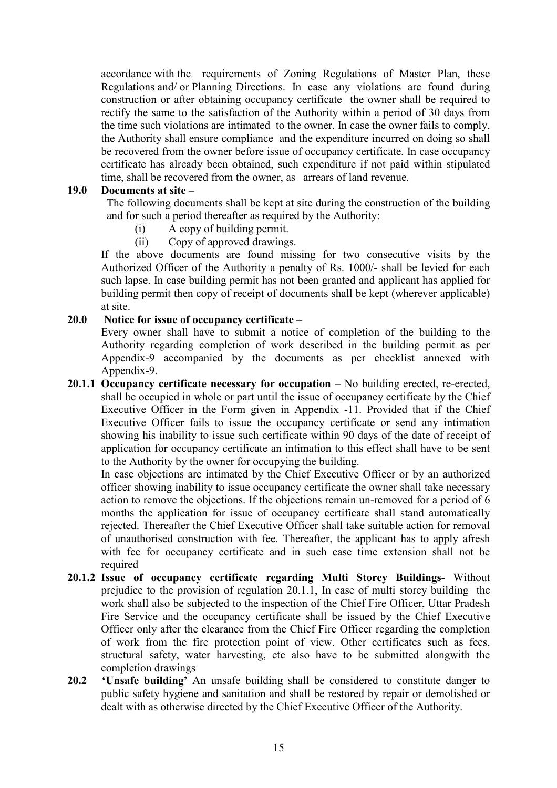accordance with the requirements of Zoning Regulations of Master Plan, these Regulations and/ or Planning Directions. In case any violations are found during construction or after obtaining occupancy certificate the owner shall be required to rectify the same to the satisfaction of the Authority within a period of 30 days from the time such violations are intimated to the owner. In case the owner fails to comply, the Authority shall ensure compliance and the expenditure incurred on doing so shall be recovered from the owner before issue of occupancy certificate. In case occupancy certificate has already been obtained, such expenditure if not paid within stipulated time, shall be recovered from the owner, as arrears of land revenue.

### 19.0 Documents at site –

 The following documents shall be kept at site during the construction of the building and for such a period thereafter as required by the Authority:

- (i) A copy of building permit.
- (ii) Copy of approved drawings.

If the above documents are found missing for two consecutive visits by the Authorized Officer of the Authority a penalty of Rs. 1000/- shall be levied for each such lapse. In case building permit has not been granted and applicant has applied for building permit then copy of receipt of documents shall be kept (wherever applicable) at site.

### $20.0$  Notice for issue of occupancy certificate –

Every owner shall have to submit a notice of completion of the building to the Authority regarding completion of work described in the building permit as per Appendix-9 accompanied by the documents as per checklist annexed with Appendix-9.

20.1.1 Occupancy certificate necessary for occupation – No building erected, re-erected, shall be occupied in whole or part until the issue of occupancy certificate by the Chief Executive Officer in the Form given in Appendix -11. Provided that if the Chief Executive Officer fails to issue the occupancy certificate or send any intimation showing his inability to issue such certificate within 90 days of the date of receipt of application for occupancy certificate an intimation to this effect shall have to be sent to the Authority by the owner for occupying the building.

In case objections are intimated by the Chief Executive Officer or by an authorized officer showing inability to issue occupancy certificate the owner shall take necessary action to remove the objections. If the objections remain un-removed for a period of 6 months the application for issue of occupancy certificate shall stand automatically rejected. Thereafter the Chief Executive Officer shall take suitable action for removal of unauthorised construction with fee. Thereafter, the applicant has to apply afresh with fee for occupancy certificate and in such case time extension shall not be required

- 20.1.2 Issue of occupancy certificate regarding Multi Storey Buildings- Without prejudice to the provision of regulation 20.1.1, In case of multi storey building the work shall also be subjected to the inspection of the Chief Fire Officer, Uttar Pradesh Fire Service and the occupancy certificate shall be issued by the Chief Executive Officer only after the clearance from the Chief Fire Officer regarding the completion of work from the fire protection point of view. Other certificates such as fees, structural safety, water harvesting, etc also have to be submitted alongwith the completion drawings
- 20.2 'Unsafe building' An unsafe building shall be considered to constitute danger to public safety hygiene and sanitation and shall be restored by repair or demolished or dealt with as otherwise directed by the Chief Executive Officer of the Authority.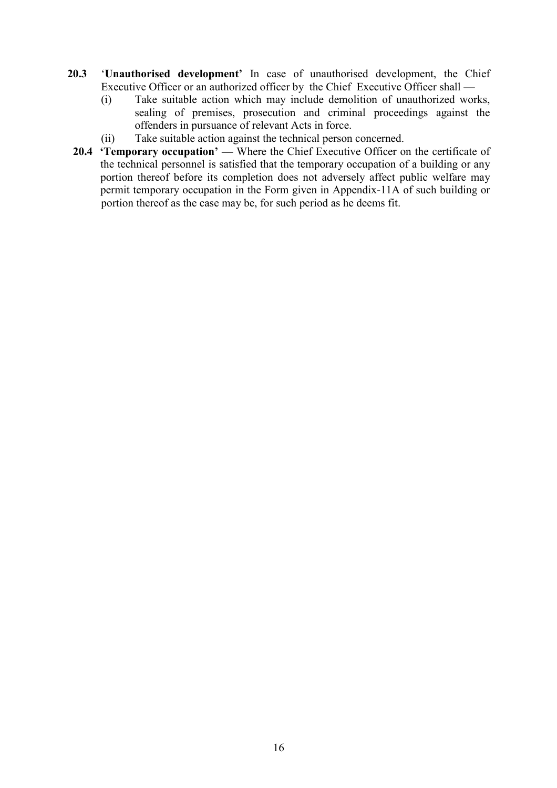- 20.3 'Unauthorised development' In case of unauthorised development, the Chief Executive Officer or an authorized officer by the Chief Executive Officer shall —
	- (i) Take suitable action which may include demolition of unauthorized works, sealing of premises, prosecution and criminal proceedings against the offenders in pursuance of relevant Acts in force.
	- (ii) Take suitable action against the technical person concerned.
	- 20.4 **Temporary occupation'** Where the Chief Executive Officer on the certificate of the technical personnel is satisfied that the temporary occupation of a building or any portion thereof before its completion does not adversely affect public welfare may permit temporary occupation in the Form given in Appendix-11A of such building or portion thereof as the case may be, for such period as he deems fit.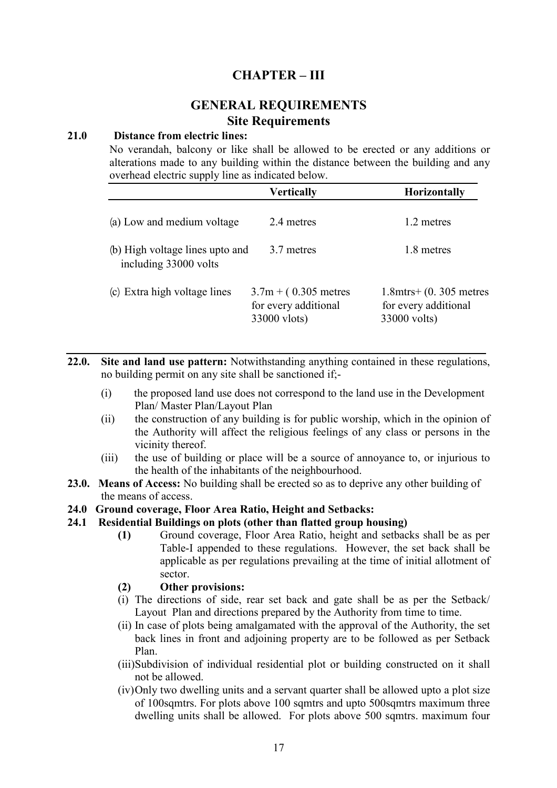## CHAPTER – III

# **GENERAL REQUIREMENTS** Site Requirements

#### 21.0 Distance from electric lines:

No verandah, balcony or like shall be allowed to be erected or any additions or alterations made to any building within the distance between the building and any overhead electric supply line as indicated below.

|                                                          | <b>Vertically</b>                                              | <b>Horizontally</b>                                                  |
|----------------------------------------------------------|----------------------------------------------------------------|----------------------------------------------------------------------|
| (a) Low and medium voltage                               | 2.4 metres                                                     | 1.2 metres                                                           |
| (b) High voltage lines upto and<br>including 33000 volts | 3.7 metres                                                     | 1.8 metres                                                           |
| (c) Extra high voltage lines                             | $3.7m + (0.305$ metres<br>for every additional<br>33000 vlots) | $1.8$ mtrs + $(0.305$ metres<br>for every additional<br>33000 volts) |

22.0. Site and land use pattern: Notwithstanding anything contained in these regulations, no building permit on any site shall be sanctioned if;-

- (i) the proposed land use does not correspond to the land use in the Development Plan/ Master Plan/Layout Plan
- (ii) the construction of any building is for public worship, which in the opinion of the Authority will affect the religious feelings of any class or persons in the vicinity thereof.
- (iii) the use of building or place will be a source of annoyance to, or injurious to the health of the inhabitants of the neighbourhood.
- 23.0. Means of Access: No building shall be erected so as to deprive any other building of the means of access.

#### 24.0 Ground coverage, Floor Area Ratio, Height and Setbacks:

#### 24.1 Residential Buildings on plots (other than flatted group housing)

- (1) Ground coverage, Floor Area Ratio, height and setbacks shall be as per Table-I appended to these regulations. However, the set back shall be applicable as per regulations prevailing at the time of initial allotment of sector.
- (2) Other provisions:
- (i) The directions of side, rear set back and gate shall be as per the Setback/ Layout Plan and directions prepared by the Authority from time to time.
- (ii) In case of plots being amalgamated with the approval of the Authority, the set back lines in front and adjoining property are to be followed as per Setback Plan.
- (iii)Subdivision of individual residential plot or building constructed on it shall not be allowed.
- (iv)Only two dwelling units and a servant quarter shall be allowed upto a plot size of 100sqmtrs. For plots above 100 sqmtrs and upto 500sqmtrs maximum three dwelling units shall be allowed. For plots above 500 sqmtrs. maximum four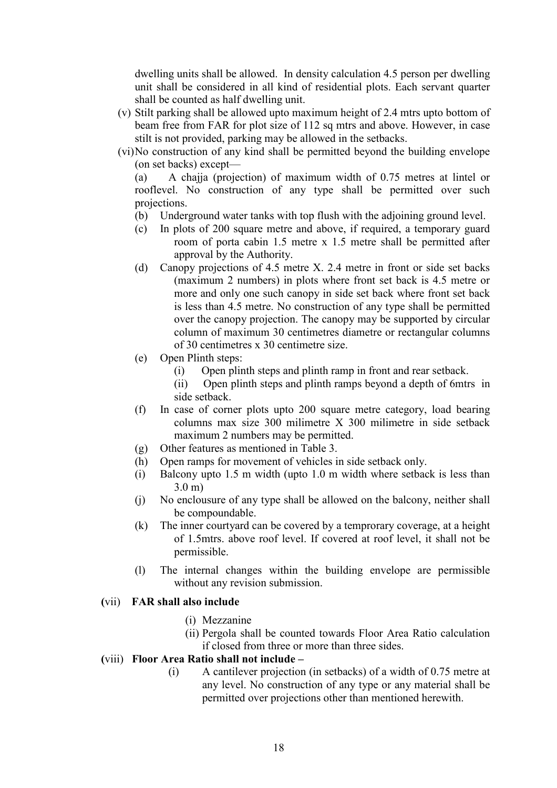dwelling units shall be allowed. In density calculation 4.5 person per dwelling unit shall be considered in all kind of residential plots. Each servant quarter shall be counted as half dwelling unit.

- (v) Stilt parking shall be allowed upto maximum height of 2.4 mtrs upto bottom of beam free from FAR for plot size of 112 sq mtrs and above. However, in case stilt is not provided, parking may be allowed in the setbacks.
- (vi)No construction of any kind shall be permitted beyond the building envelope (on set backs) except—

(a) A chajja (projection) of maximum width of 0.75 metres at lintel or rooflevel. No construction of any type shall be permitted over such projections.

- (b) Underground water tanks with top flush with the adjoining ground level.
- (c) In plots of 200 square metre and above, if required, a temporary guard room of porta cabin 1.5 metre x 1.5 metre shall be permitted after approval by the Authority.
- (d) Canopy projections of 4.5 metre X. 2.4 metre in front or side set backs (maximum 2 numbers) in plots where front set back is 4.5 metre or more and only one such canopy in side set back where front set back is less than 4.5 metre. No construction of any type shall be permitted over the canopy projection. The canopy may be supported by circular column of maximum 30 centimetres diametre or rectangular columns of 30 centimetres x 30 centimetre size.
- (e) Open Plinth steps:
	- (i) Open plinth steps and plinth ramp in front and rear setback.
	- (ii) Open plinth steps and plinth ramps beyond a depth of 6mtrs in side setback.
- (f) In case of corner plots upto 200 square metre category, load bearing columns max size 300 milimetre X 300 milimetre in side setback maximum 2 numbers may be permitted.
- (g) Other features as mentioned in Table 3.
- (h) Open ramps for movement of vehicles in side setback only.
- (i) Balcony upto 1.5 m width (upto 1.0 m width where setback is less than 3.0 m)
- (j) No enclousure of any type shall be allowed on the balcony, neither shall be compoundable.
- (k) The inner courtyard can be covered by a temprorary coverage, at a height of 1.5mtrs. above roof level. If covered at roof level, it shall not be permissible.
- (l) The internal changes within the building envelope are permissible without any revision submission.

#### (vii) FAR shall also include

- (i) Mezzanine
- (ii) Pergola shall be counted towards Floor Area Ratio calculation if closed from three or more than three sides.

#### (viii) Floor Area Ratio shall not include –

(i) A cantilever projection (in setbacks) of a width of 0.75 metre at any level. No construction of any type or any material shall be permitted over projections other than mentioned herewith.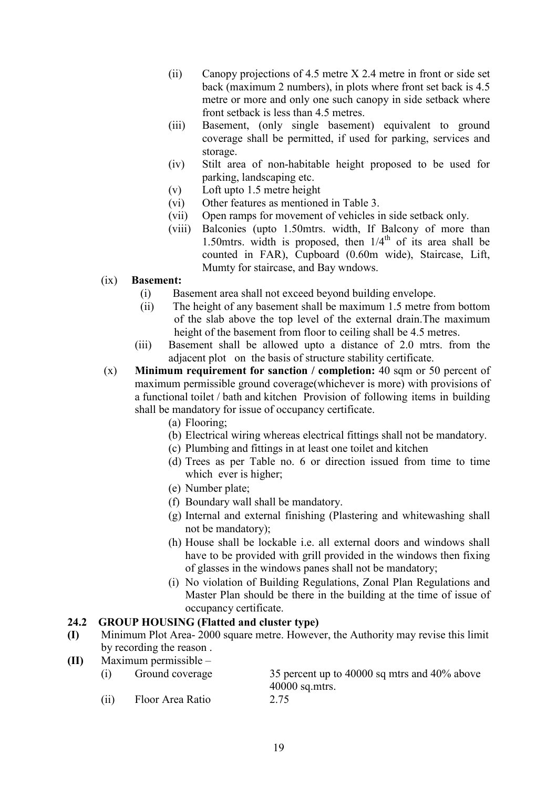- (ii) Canopy projections of 4.5 metre X 2.4 metre in front or side set back (maximum 2 numbers), in plots where front set back is 4.5 metre or more and only one such canopy in side setback where front setback is less than 4.5 metres.
- (iii) Basement, (only single basement) equivalent to ground coverage shall be permitted, if used for parking, services and storage.
- (iv) Stilt area of non-habitable height proposed to be used for parking, landscaping etc.
- (v) Loft upto 1.5 metre height
- (vi) Other features as mentioned in Table 3.
- (vii) Open ramps for movement of vehicles in side setback only.
- (viii) Balconies (upto 1.50mtrs. width, If Balcony of more than 1.50mtrs. width is proposed, then  $1/4<sup>th</sup>$  of its area shall be counted in FAR), Cupboard (0.60m wide), Staircase, Lift, Mumty for staircase, and Bay wndows.

## (ix) Basement:

- (i) Basement area shall not exceed beyond building envelope.
- (ii) The height of any basement shall be maximum 1.5 metre from bottom of the slab above the top level of the external drain.The maximum height of the basement from floor to ceiling shall be 4.5 metres.
- (iii) Basement shall be allowed upto a distance of 2.0 mtrs. from the adjacent plot on the basis of structure stability certificate.
- $(x)$  Minimum requirement for sanction / completion: 40 sqm or 50 percent of maximum permissible ground coverage(whichever is more) with provisions of a functional toilet / bath and kitchen Provision of following items in building shall be mandatory for issue of occupancy certificate.
	- (a) Flooring;
	- (b) Electrical wiring whereas electrical fittings shall not be mandatory.
	- (c) Plumbing and fittings in at least one toilet and kitchen
	- (d) Trees as per Table no. 6 or direction issued from time to time which ever is higher;
	- (e) Number plate;
	- (f) Boundary wall shall be mandatory.
	- (g) Internal and external finishing (Plastering and whitewashing shall not be mandatory);
	- (h) House shall be lockable i.e. all external doors and windows shall have to be provided with grill provided in the windows then fixing of glasses in the windows panes shall not be mandatory;
	- (i) No violation of Building Regulations, Zonal Plan Regulations and Master Plan should be there in the building at the time of issue of occupancy certificate.

## 24.2 GROUP HOUSING (Flatted and cluster type)

- (I) Minimum Plot Area- 2000 square metre. However, the Authority may revise this limit by recording the reason .
- (II) Maximum permissible –

| (i)  | Ground coverage  | 35 percent up to 40000 sq mtrs and 40% above<br>$40000$ sq.mtrs. |
|------|------------------|------------------------------------------------------------------|
| (ii) | Floor Area Ratio | 2.75                                                             |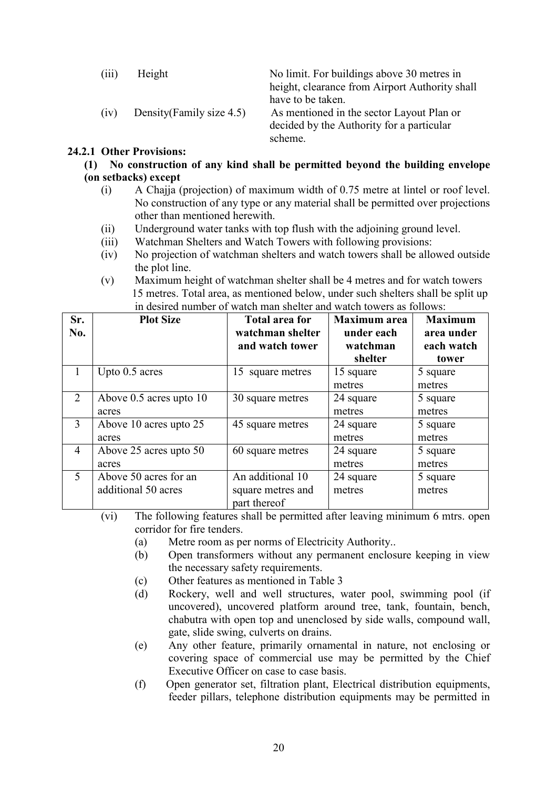| (111) | Height                    | No limit. For buildings above 30 metres in     |
|-------|---------------------------|------------------------------------------------|
|       |                           | height, clearance from Airport Authority shall |
|       |                           | have to be taken.                              |
| (iv)  | Density (Family size 4.5) | As mentioned in the sector Layout Plan or      |
|       |                           | decided by the Authority for a particular      |
|       |                           | scheme.                                        |

#### 24.2.1 Other Provisions:

 $(1)$  No construction of any kind shall be permitted beyond the building envelope

### (on setbacks) except

- (i) A Chajja (projection) of maximum width of 0.75 metre at lintel or roof level. No construction of any type or any material shall be permitted over projections other than mentioned herewith.
- (ii) Underground water tanks with top flush with the adjoining ground level.
- (iii) Watchman Shelters and Watch Towers with following provisions:
- (iv) No projection of watchman shelters and watch towers shall be allowed outside the plot line.
- (v) Maximum height of watchman shelter shall be 4 metres and for watch towers 15 metres. Total area, as mentioned below, under such shelters shall be split up in desired number of watch man shelter and watch towers as follows:

| Sr.            | <b>Plot Size</b>        | <b>Total area for</b> | <b>Maximum</b> area | <b>Maximum</b> |
|----------------|-------------------------|-----------------------|---------------------|----------------|
| No.            |                         | watchman shelter      | under each          | area under     |
|                |                         | and watch tower       | watchman            | each watch     |
|                |                         |                       | shelter             | tower          |
| 1              | Upto 0.5 acres          | 15 square metres      | 15 square           | 5 square       |
|                |                         |                       | metres              | metres         |
| 2              | Above 0.5 acres upto 10 | 30 square metres      | 24 square           | 5 square       |
|                | acres                   |                       | metres              | metres         |
| 3              | Above 10 acres upto 25  | 45 square metres      | 24 square           | 5 square       |
|                | acres                   |                       | metres              | metres         |
| $\overline{4}$ | Above 25 acres upto 50  | 60 square metres      | 24 square           | 5 square       |
|                | acres                   |                       | metres              | metres         |
| $\mathfrak{S}$ | Above 50 acres for an   | An additional 10      | 24 square           | 5 square       |
|                | additional 50 acres     | square metres and     | metres              | metres         |
|                |                         | part thereof          |                     |                |

(vi) The following features shall be permitted after leaving minimum 6 mtrs. open corridor for fire tenders.

- (a) Metre room as per norms of Electricity Authority..
- (b) Open transformers without any permanent enclosure keeping in view the necessary safety requirements.
- (c) Other features as mentioned in Table 3
- (d) Rockery, well and well structures, water pool, swimming pool (if uncovered), uncovered platform around tree, tank, fountain, bench, chabutra with open top and unenclosed by side walls, compound wall, gate, slide swing, culverts on drains.
- (e) Any other feature, primarily ornamental in nature, not enclosing or covering space of commercial use may be permitted by the Chief Executive Officer on case to case basis.
- (f) Open generator set, filtration plant, Electrical distribution equipments, feeder pillars, telephone distribution equipments may be permitted in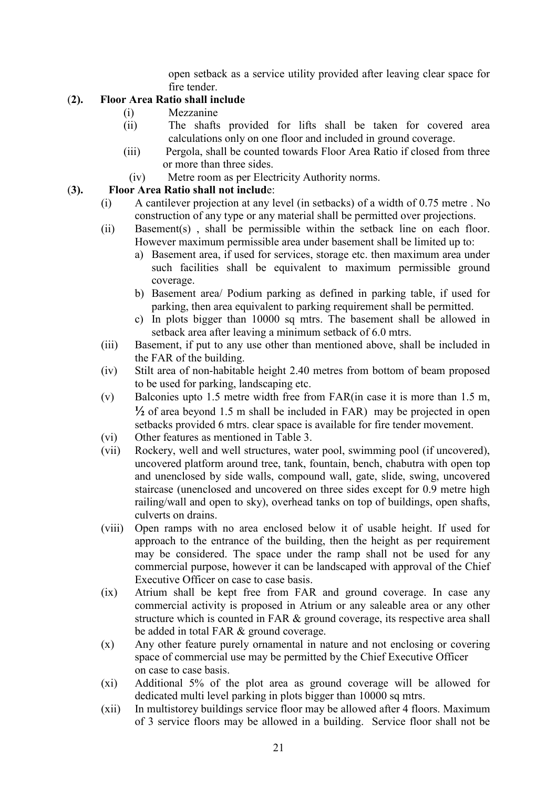open setback as a service utility provided after leaving clear space for fire tender.

## (2). Floor Area Ratio shall include

- (i) Mezzanine
- (ii) The shafts provided for lifts shall be taken for covered area calculations only on one floor and included in ground coverage.
- (iii) Pergola, shall be counted towards Floor Area Ratio if closed from three or more than three sides.
- (iv) Metre room as per Electricity Authority norms.

## (3). Floor Area Ratio shall not include:

- (i) A cantilever projection at any level (in setbacks) of a width of 0.75 metre . No construction of any type or any material shall be permitted over projections.
- (ii) Basement(s) , shall be permissible within the setback line on each floor. However maximum permissible area under basement shall be limited up to:
	- a) Basement area, if used for services, storage etc. then maximum area under such facilities shall be equivalent to maximum permissible ground coverage.
	- b) Basement area/ Podium parking as defined in parking table, if used for parking, then area equivalent to parking requirement shall be permitted.
	- c) In plots bigger than 10000 sq mtrs. The basement shall be allowed in setback area after leaving a minimum setback of 6.0 mtrs.
- (iii) Basement, if put to any use other than mentioned above, shall be included in the FAR of the building.
- (iv) Stilt area of non-habitable height 2.40 metres from bottom of beam proposed to be used for parking, landscaping etc.
- (v) Balconies upto 1.5 metre width free from FAR(in case it is more than 1.5 m,  $\frac{1}{2}$  of area beyond 1.5 m shall be included in FAR) may be projected in open setbacks provided 6 mtrs. clear space is available for fire tender movement.
- (vi) Other features as mentioned in Table 3.
- (vii) Rockery, well and well structures, water pool, swimming pool (if uncovered), uncovered platform around tree, tank, fountain, bench, chabutra with open top and unenclosed by side walls, compound wall, gate, slide, swing, uncovered staircase (unenclosed and uncovered on three sides except for 0.9 metre high railing/wall and open to sky), overhead tanks on top of buildings, open shafts, culverts on drains.
- (viii) Open ramps with no area enclosed below it of usable height. If used for approach to the entrance of the building, then the height as per requirement may be considered. The space under the ramp shall not be used for any commercial purpose, however it can be landscaped with approval of the Chief Executive Officer on case to case basis.
- (ix) Atrium shall be kept free from FAR and ground coverage. In case any commercial activity is proposed in Atrium or any saleable area or any other structure which is counted in FAR & ground coverage, its respective area shall be added in total FAR & ground coverage.
- (x) Any other feature purely ornamental in nature and not enclosing or covering space of commercial use may be permitted by the Chief Executive Officer on case to case basis.
- (xi) Additional 5% of the plot area as ground coverage will be allowed for dedicated multi level parking in plots bigger than 10000 sq mtrs.
- (xii) In multistorey buildings service floor may be allowed after 4 floors. Maximum of 3 service floors may be allowed in a building. Service floor shall not be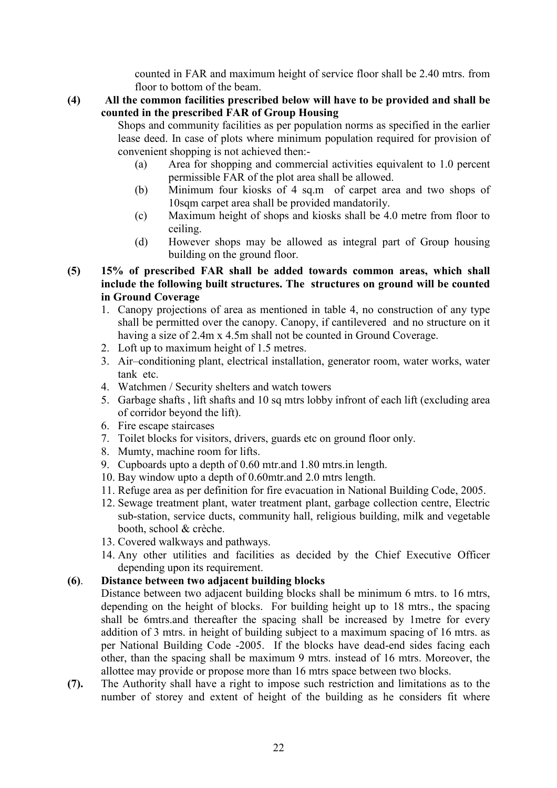counted in FAR and maximum height of service floor shall be 2.40 mtrs. from floor to bottom of the beam.

(4) All the common facilities prescribed below will have to be provided and shall be counted in the prescribed FAR of Group Housing

Shops and community facilities as per population norms as specified in the earlier lease deed. In case of plots where minimum population required for provision of convenient shopping is not achieved then:-

- (a) Area for shopping and commercial activities equivalent to 1.0 percent permissible FAR of the plot area shall be allowed.
- (b) Minimum four kiosks of 4 sq.m of carpet area and two shops of 10sqm carpet area shall be provided mandatorily.
- (c) Maximum height of shops and kiosks shall be 4.0 metre from floor to ceiling.
- (d) However shops may be allowed as integral part of Group housing building on the ground floor.
- (5) 15% of prescribed FAR shall be added towards common areas, which shall include the following built structures. The structures on ground will be counted in Ground Coverage
	- 1. Canopy projections of area as mentioned in table 4, no construction of any type shall be permitted over the canopy. Canopy, if cantilevered and no structure on it having a size of 2.4m x 4.5m shall not be counted in Ground Coverage.
	- 2. Loft up to maximum height of 1.5 metres.
	- 3. Air–conditioning plant, electrical installation, generator room, water works, water tank etc.
	- 4. Watchmen / Security shelters and watch towers
	- 5. Garbage shafts , lift shafts and 10 sq mtrs lobby infront of each lift (excluding area of corridor beyond the lift).
	- 6. Fire escape staircases
	- 7. Toilet blocks for visitors, drivers, guards etc on ground floor only.
	- 8. Mumty, machine room for lifts.
	- 9. Cupboards upto a depth of 0.60 mtr.and 1.80 mtrs.in length.
	- 10. Bay window upto a depth of 0.60mtr.and 2.0 mtrs length.
	- 11. Refuge area as per definition for fire evacuation in National Building Code, 2005.
	- 12. Sewage treatment plant, water treatment plant, garbage collection centre, Electric sub-station, service ducts, community hall, religious building, milk and vegetable booth, school & crèche.
	- 13. Covered walkways and pathways.
	- 14. Any other utilities and facilities as decided by the Chief Executive Officer depending upon its requirement.

## (6). Distance between two adjacent building blocks

- Distance between two adjacent building blocks shall be minimum 6 mtrs, to 16 mtrs, depending on the height of blocks. For building height up to 18 mtrs., the spacing shall be 6mtrs.and thereafter the spacing shall be increased by 1metre for every addition of 3 mtrs. in height of building subject to a maximum spacing of 16 mtrs. as per National Building Code -2005. If the blocks have dead-end sides facing each other, than the spacing shall be maximum 9 mtrs. instead of 16 mtrs. Moreover, the allottee may provide or propose more than 16 mtrs space between two blocks.
- (7). The Authority shall have a right to impose such restriction and limitations as to the number of storey and extent of height of the building as he considers fit where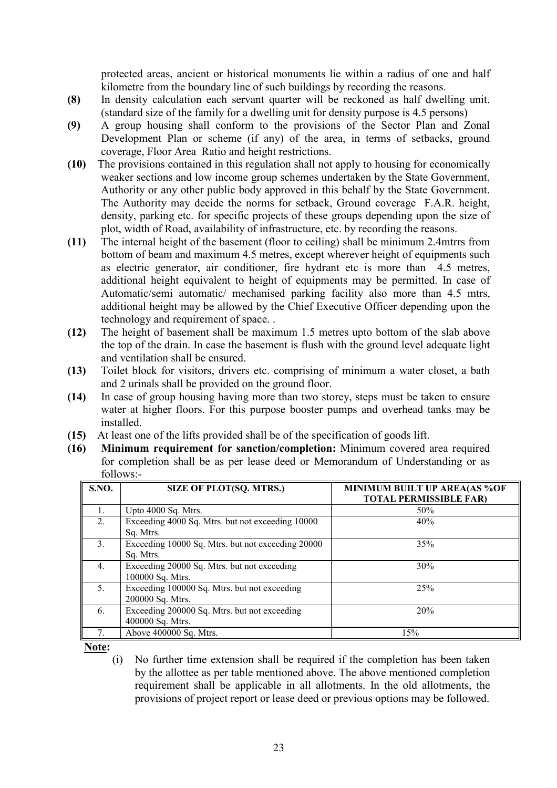protected areas, ancient or historical monuments lie within a radius of one and half kilometre from the boundary line of such buildings by recording the reasons.

- (8) In density calculation each servant quarter will be reckoned as half dwelling unit. (standard size of the family for a dwelling unit for density purpose is 4.5 persons)
- (9) A group housing shall conform to the provisions of the Sector Plan and Zonal Development Plan or scheme (if any) of the area, in terms of setbacks, ground coverage, Floor Area Ratio and height restrictions.
- (10) The provisions contained in this regulation shall not apply to housing for economically weaker sections and low income group schemes undertaken by the State Government, Authority or any other public body approved in this behalf by the State Government. The Authority may decide the norms for setback, Ground coverage F.A.R. height, density, parking etc. for specific projects of these groups depending upon the size of plot, width of Road, availability of infrastructure, etc. by recording the reasons.
- (11) The internal height of the basement (floor to ceiling) shall be minimum 2.4mtrrs from bottom of beam and maximum 4.5 metres, except wherever height of equipments such as electric generator, air conditioner, fire hydrant etc is more than 4.5 metres, additional height equivalent to height of equipments may be permitted. In case of Automatic/semi automatic/ mechanised parking facility also more than 4.5 mtrs, additional height may be allowed by the Chief Executive Officer depending upon the technology and requirement of space. .
- (12) The height of basement shall be maximum 1.5 metres upto bottom of the slab above the top of the drain. In case the basement is flush with the ground level adequate light and ventilation shall be ensured.
- (13) Toilet block for visitors, drivers etc. comprising of minimum a water closet, a bath and 2 urinals shall be provided on the ground floor.
- (14) In case of group housing having more than two storey, steps must be taken to ensure water at higher floors. For this purpose booster pumps and overhead tanks may be installed.
- (15) At least one of the lifts provided shall be of the specification of goods lift.
- (16) Minimum requirement for sanction/completion: Minimum covered area required for completion shall be as per lease deed or Memorandum of Understanding or as follows:-

| S.NO.            | SIZE OF PLOT(SQ. MTRS.)                           | MINIMUM BUILT UP AREA(AS %OF<br><b>TOTAL PERMISSIBLE FAR)</b> |
|------------------|---------------------------------------------------|---------------------------------------------------------------|
| $\mathbf{1}$ .   | Upto 4000 Sq. Mtrs.                               | 50%                                                           |
| $2$ .            | Exceeding 4000 Sq. Mtrs. but not exceeding 10000  | 40%                                                           |
|                  | Sq. Mtrs.                                         |                                                               |
| 3.               | Exceeding 10000 Sq. Mtrs. but not exceeding 20000 | 35%                                                           |
|                  | Sq. Mtrs.                                         |                                                               |
| $\overline{4}$ . | Exceeding 20000 Sq. Mtrs. but not exceeding       | 30%                                                           |
|                  | 100000 Sq. Mtrs.                                  |                                                               |
| 5.               | Exceeding 100000 Sq. Mtrs. but not exceeding      | 25%                                                           |
|                  | 200000 Sq. Mtrs.                                  |                                                               |
| 6.               | Exceeding 200000 Sq. Mtrs. but not exceeding      | 20%                                                           |
|                  | 400000 Sq. Mtrs.                                  |                                                               |
|                  | Above 400000 Sq. Mtrs.                            | 15%                                                           |

Note:  $\frac{(\text{i})}{(\text{i})}$ 

No further time extension shall be required if the completion has been taken by the allottee as per table mentioned above. The above mentioned completion requirement shall be applicable in all allotments. In the old allotments, the provisions of project report or lease deed or previous options may be followed.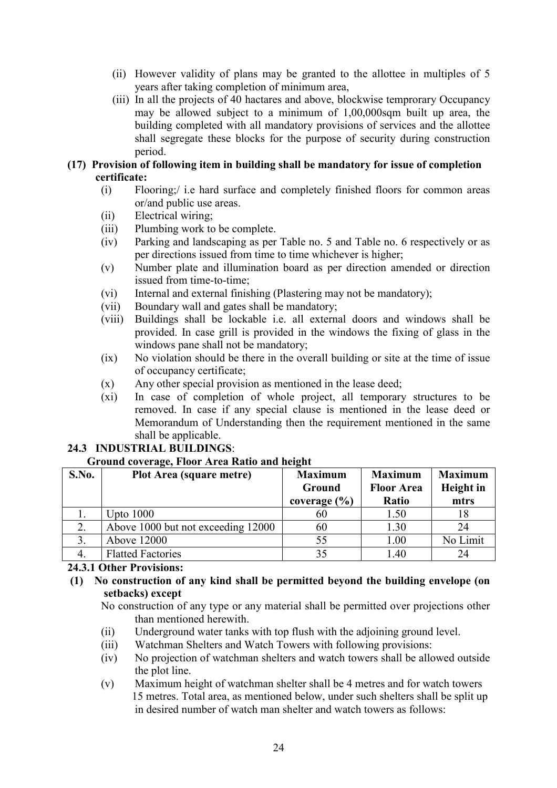- (ii) However validity of plans may be granted to the allottee in multiples of 5 years after taking completion of minimum area,
- (iii) In all the projects of 40 hactares and above, blockwise temprorary Occupancy may be allowed subject to a minimum of 1,00,000sqm built up area, the building completed with all mandatory provisions of services and the allottee shall segregate these blocks for the purpose of security during construction period.
- (17) Provision of following item in building shall be mandatory for issue of completion certificate:
	- (i) Flooring;/ i.e hard surface and completely finished floors for common areas or/and public use areas.
	- (ii) Electrical wiring;
	- (iii) Plumbing work to be complete.
	- (iv) Parking and landscaping as per Table no. 5 and Table no. 6 respectively or as per directions issued from time to time whichever is higher;
	- (v) Number plate and illumination board as per direction amended or direction issued from time-to-time;
	- (vi) Internal and external finishing (Plastering may not be mandatory);
	- (vii) Boundary wall and gates shall be mandatory;
	- (viii) Buildings shall be lockable i.e. all external doors and windows shall be provided. In case grill is provided in the windows the fixing of glass in the windows pane shall not be mandatory;
	- (ix) No violation should be there in the overall building or site at the time of issue of occupancy certificate;
	- (x) Any other special provision as mentioned in the lease deed;
	- (xi) In case of completion of whole project, all temporary structures to be removed. In case if any special clause is mentioned in the lease deed or Memorandum of Understanding then the requirement mentioned in the same shall be applicable.

## 24.3 INDUSTRIAL BUILDINGS:

#### Ground coverage, Floor Area Ratio and height

| S.No. | Plot Area (square metre)           | <b>Maximum</b>   | <b>Maximum</b>    | <b>Maximum</b> |
|-------|------------------------------------|------------------|-------------------|----------------|
|       |                                    | Ground           | <b>Floor Area</b> | Height in      |
|       |                                    | coverage $(\% )$ | Ratio             | mtrs           |
|       | Upto $1000$                        | 60               | 1.50              | 18             |
| 2.    | Above 1000 but not exceeding 12000 | 60               | 1.30              | 24             |
|       | Above 12000                        | 55               | 1.00              | No Limit       |
|       | <b>Flatted Factories</b>           | 35               | 1.40              | 24             |

## 24.3.1 Other Provisions:

## $(1)$  No construction of any kind shall be permitted beyond the building envelope (on setbacks) except

No construction of any type or any material shall be permitted over projections other than mentioned herewith.

- (ii) Underground water tanks with top flush with the adjoining ground level.
- (iii) Watchman Shelters and Watch Towers with following provisions:
- (iv) No projection of watchman shelters and watch towers shall be allowed outside the plot line.
- (v) Maximum height of watchman shelter shall be 4 metres and for watch towers 15 metres. Total area, as mentioned below, under such shelters shall be split up in desired number of watch man shelter and watch towers as follows: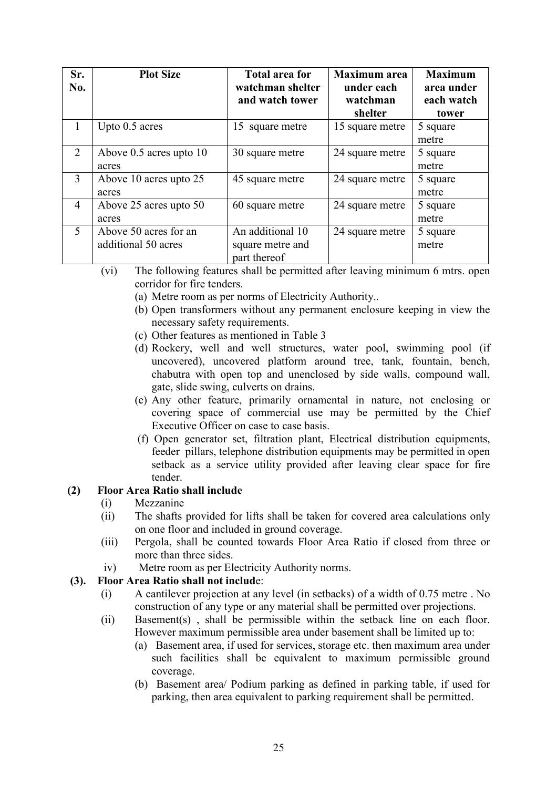| Sr.<br>No.     | <b>Plot Size</b>                             | <b>Total area for</b><br>watchman shelter<br>and watch tower | <b>Maximum</b> area<br>under each<br>watchman<br>shelter | <b>Maximum</b><br>area under<br>each watch<br>tower |
|----------------|----------------------------------------------|--------------------------------------------------------------|----------------------------------------------------------|-----------------------------------------------------|
| 1              | Upto 0.5 acres                               | 15 square metre                                              | 15 square metre                                          | 5 square<br>metre                                   |
| 2              | Above $0.5$ acres upto $10$<br>acres         | 30 square metre                                              | 24 square metre                                          | 5 square<br>metre                                   |
| 3              | Above 10 acres upto 25<br>acres              | 45 square metre                                              | 24 square metre                                          | 5 square<br>metre                                   |
| $\overline{4}$ | Above 25 acres upto 50<br>acres              | 60 square metre                                              | 24 square metre                                          | 5 square<br>metre                                   |
| 5              | Above 50 acres for an<br>additional 50 acres | An additional 10<br>square metre and<br>part thereof         | 24 square metre                                          | 5 square<br>metre                                   |

- (vi) The following features shall be permitted after leaving minimum 6 mtrs. open corridor for fire tenders.
	- (a) Metre room as per norms of Electricity Authority..
	- (b) Open transformers without any permanent enclosure keeping in view the necessary safety requirements.
	- (c) Other features as mentioned in Table 3
	- (d) Rockery, well and well structures, water pool, swimming pool (if uncovered), uncovered platform around tree, tank, fountain, bench, chabutra with open top and unenclosed by side walls, compound wall, gate, slide swing, culverts on drains.
	- (e) Any other feature, primarily ornamental in nature, not enclosing or covering space of commercial use may be permitted by the Chief Executive Officer on case to case basis.
	- (f) Open generator set, filtration plant, Electrical distribution equipments, feeder pillars, telephone distribution equipments may be permitted in open setback as a service utility provided after leaving clear space for fire tender.

## (2) Floor Area Ratio shall include

- (i) Mezzanine
- (ii) The shafts provided for lifts shall be taken for covered area calculations only on one floor and included in ground coverage.
- (iii) Pergola, shall be counted towards Floor Area Ratio if closed from three or more than three sides.
- iv) Metre room as per Electricity Authority norms.

## (3). Floor Area Ratio shall not include:

- (i) A cantilever projection at any level (in setbacks) of a width of 0.75 metre . No construction of any type or any material shall be permitted over projections.
- (ii) Basement(s) , shall be permissible within the setback line on each floor. However maximum permissible area under basement shall be limited up to:
	- (a) Basement area, if used for services, storage etc. then maximum area under such facilities shall be equivalent to maximum permissible ground coverage.
	- (b) Basement area/ Podium parking as defined in parking table, if used for parking, then area equivalent to parking requirement shall be permitted.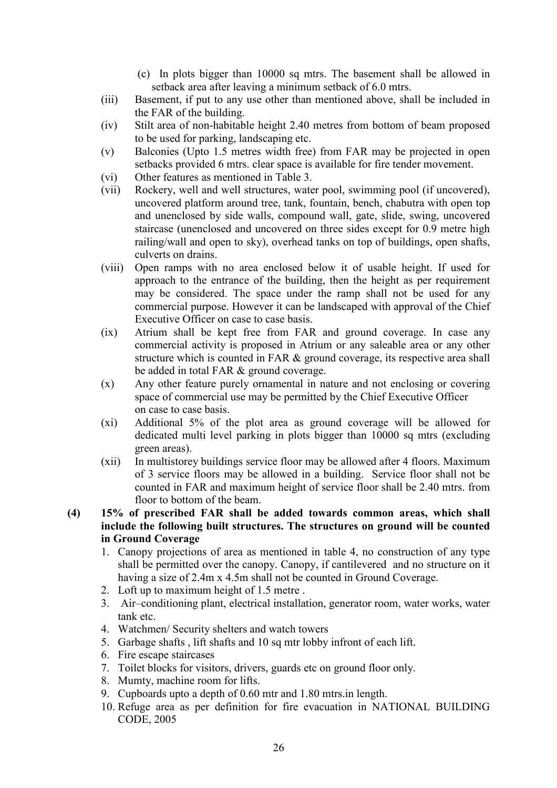- (c) In plots bigger than 10000 sq mtrs. The basement shall be allowed in setback area after leaving a minimum setback of 6.0 mtrs.
- (iii) Basement, if put to any use other than mentioned above, shall be included in the FAR of the building.
- (iv) Stilt area of non-habitable height 2.40 metres from bottom of beam proposed to be used for parking, landscaping etc.
- (v) Balconies (Upto 1.5 metres width free) from FAR may be projected in open setbacks provided 6 mtrs. clear space is available for fire tender movement.
- (vi) Other features as mentioned in Table 3.
- (vii) Rockery, well and well structures, water pool, swimming pool (if uncovered), uncovered platform around tree, tank, fountain, bench, chabutra with open top and unenclosed by side walls, compound wall, gate, slide, swing, uncovered staircase (unenclosed and uncovered on three sides except for 0.9 metre high railing/wall and open to sky), overhead tanks on top of buildings, open shafts, culverts on drains.
- (viii) Open ramps with no area enclosed below it of usable height. If used for approach to the entrance of the building, then the height as per requirement may be considered. The space under the ramp shall not be used for any commercial purpose. However it can be landscaped with approval of the Chief Executive Officer on case to case basis.
- (ix) Atrium shall be kept free from FAR and ground coverage. In case any commercial activity is proposed in Atrium or any saleable area or any other structure which is counted in FAR & ground coverage, its respective area shall be added in total FAR & ground coverage.
- (x) Any other feature purely ornamental in nature and not enclosing or covering space of commercial use may be permitted by the Chief Executive Officer on case to case basis.
- (xi) Additional 5% of the plot area as ground coverage will be allowed for dedicated multi level parking in plots bigger than 10000 sq mtrs (excluding green areas).
- (xii) In multistorey buildings service floor may be allowed after 4 floors. Maximum of 3 service floors may be allowed in a building. Service floor shall not be counted in FAR and maximum height of service floor shall be 2.40 mtrs. from floor to bottom of the beam.
- (4) 15% of prescribed FAR shall be added towards common areas, which shall include the following built structures. The structures on ground will be counted in Ground Coverage
	- 1. Canopy projections of area as mentioned in table 4, no construction of any type shall be permitted over the canopy. Canopy, if cantilevered and no structure on it having a size of 2.4m x 4.5m shall not be counted in Ground Coverage.
	- 2. Loft up to maximum height of 1.5 metre .
	- 3. Air–conditioning plant, electrical installation, generator room, water works, water tank etc.
	- 4. Watchmen/ Security shelters and watch towers
	- 5. Garbage shafts , lift shafts and 10 sq mtr lobby infront of each lift.
	- 6. Fire escape staircases
	- 7. Toilet blocks for visitors, drivers, guards etc on ground floor only.
	- 8. Mumty, machine room for lifts.
	- 9. Cupboards upto a depth of 0.60 mtr and 1.80 mtrs.in length.
	- 10. Refuge area as per definition for fire evacuation in NATIONAL BUILDING CODE, 2005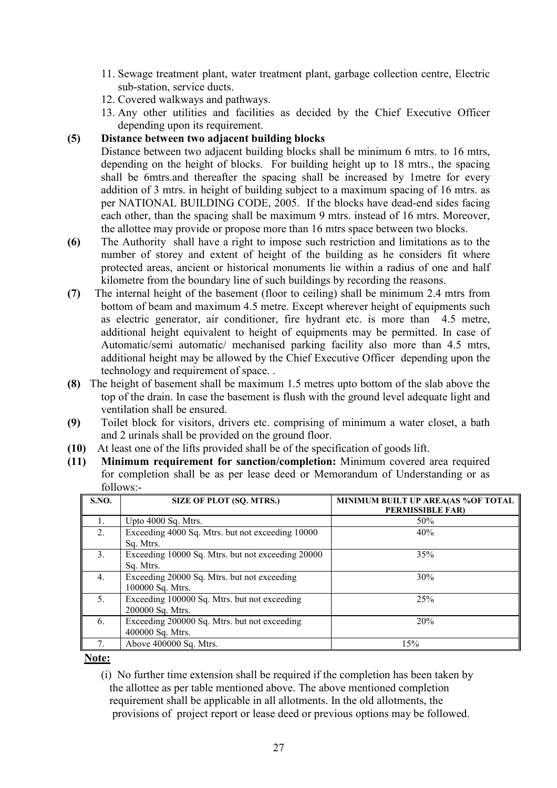- 11. Sewage treatment plant, water treatment plant, garbage collection centre, Electric sub-station, service ducts.
- 12. Covered walkways and pathways.
- 13. Any other utilities and facilities as decided by the Chief Executive Officer depending upon its requirement.

## (5) Distance between two adjacent building blocks

Distance between two adjacent building blocks shall be minimum 6 mtrs, to 16 mtrs, depending on the height of blocks. For building height up to 18 mtrs., the spacing shall be 6mtrs.and thereafter the spacing shall be increased by 1metre for every addition of 3 mtrs. in height of building subject to a maximum spacing of 16 mtrs. as per NATIONAL BUILDING CODE, 2005. If the blocks have dead-end sides facing each other, than the spacing shall be maximum 9 mtrs. instead of 16 mtrs. Moreover, the allottee may provide or propose more than 16 mtrs space between two blocks.

- (6) The Authority shall have a right to impose such restriction and limitations as to the number of storey and extent of height of the building as he considers fit where protected areas, ancient or historical monuments lie within a radius of one and half kilometre from the boundary line of such buildings by recording the reasons.
- (7) The internal height of the basement (floor to ceiling) shall be minimum 2.4 mtrs from bottom of beam and maximum 4.5 metre. Except wherever height of equipments such as electric generator, air conditioner, fire hydrant etc. is more than 4.5 metre, additional height equivalent to height of equipments may be permitted. In case of Automatic/semi automatic/ mechanised parking facility also more than 4.5 mtrs, additional height may be allowed by the Chief Executive Officer depending upon the technology and requirement of space. .
- (8) The height of basement shall be maximum 1.5 metres upto bottom of the slab above the top of the drain. In case the basement is flush with the ground level adequate light and ventilation shall be ensured.
- (9) Toilet block for visitors, drivers etc. comprising of minimum a water closet, a bath and 2 urinals shall be provided on the ground floor.
- (10) At least one of the lifts provided shall be of the specification of goods lift.
- (11) Minimum requirement for sanction/completion: Minimum covered area required for completion shall be as per lease deed or Memorandum of Understanding or as follows:-

| <b>S.NO.</b>   | SIZE OF PLOT (SQ. MTRS.)                                         | MINIMUM BUILT UP AREA(AS %OF TOTAL<br>PERMISSIBLE FAR) |
|----------------|------------------------------------------------------------------|--------------------------------------------------------|
| $\mathbf{1}$ . | Upto 4000 Sq. Mtrs.                                              | 50%                                                    |
| 2.             | Exceeding 4000 Sq. Mtrs. but not exceeding 10000<br>Sq. Mtrs.    | 40%                                                    |
| 3 <sub>1</sub> | Exceeding 10000 Sq. Mtrs. but not exceeding 20000<br>Sq. Mtrs.   | 35%                                                    |
| 4.             | Exceeding 20000 Sq. Mtrs. but not exceeding<br>100000 Sq. Mtrs.  | 30%                                                    |
| 5 <sub>1</sub> | Exceeding 100000 Sq. Mtrs. but not exceeding<br>200000 Sq. Mtrs. | 25%                                                    |
| 6.             | Exceeding 200000 Sq. Mtrs. but not exceeding<br>400000 Sq. Mtrs. | 20%                                                    |
| 7.             | Above 400000 Sq. Mtrs.                                           | 15%                                                    |

Note:

(i) No further time extension shall be required if the completion has been taken by the allottee as per table mentioned above. The above mentioned completion requirement shall be applicable in all allotments. In the old allotments, the provisions of project report or lease deed or previous options may be followed.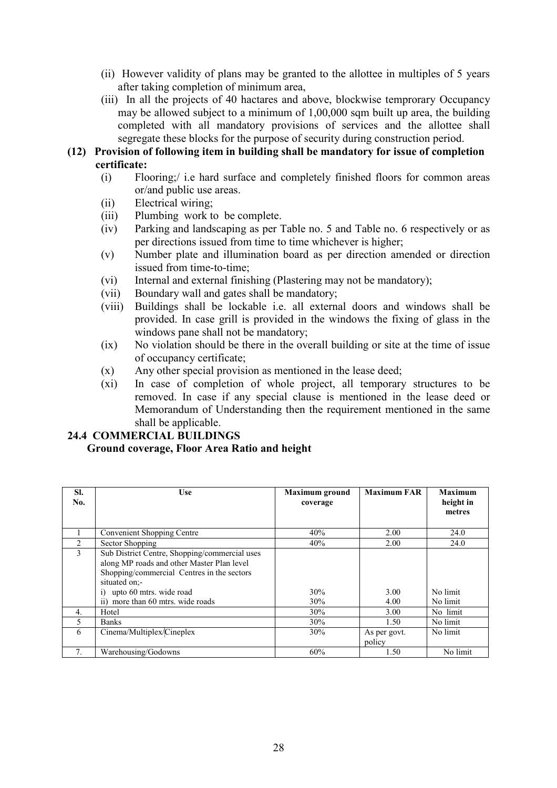- (ii) However validity of plans may be granted to the allottee in multiples of 5 years after taking completion of minimum area,
- (iii) In all the projects of 40 hactares and above, blockwise temprorary Occupancy may be allowed subject to a minimum of 1,00,000 sqm built up area, the building completed with all mandatory provisions of services and the allottee shall segregate these blocks for the purpose of security during construction period.

### (12) Provision of following item in building shall be mandatory for issue of completion certificate:

- (i) Flooring;/ i.e hard surface and completely finished floors for common areas or/and public use areas.
- (ii) Electrical wiring;
- (iii) Plumbing work to be complete.
- (iv) Parking and landscaping as per Table no. 5 and Table no. 6 respectively or as per directions issued from time to time whichever is higher;
- (v) Number plate and illumination board as per direction amended or direction issued from time-to-time;
- (vi) Internal and external finishing (Plastering may not be mandatory);
- (vii) Boundary wall and gates shall be mandatory;
- (viii) Buildings shall be lockable i.e. all external doors and windows shall be provided. In case grill is provided in the windows the fixing of glass in the windows pane shall not be mandatory;
- (ix) No violation should be there in the overall building or site at the time of issue of occupancy certificate;
- (x) Any other special provision as mentioned in the lease deed;
- (xi) In case of completion of whole project, all temporary structures to be removed. In case if any special clause is mentioned in the lease deed or Memorandum of Understanding then the requirement mentioned in the same shall be applicable.

## 24.4 COMMERCIAL BUILDINGS

#### Ground coverage, Floor Area Ratio and height

| SI.<br>No. | Use                                                                                                                                                                                                                                          | <b>Maximum</b> ground<br>coverage | <b>Maximum FAR</b>     | <b>Maximum</b><br>height in<br>metres |
|------------|----------------------------------------------------------------------------------------------------------------------------------------------------------------------------------------------------------------------------------------------|-----------------------------------|------------------------|---------------------------------------|
|            | <b>Convenient Shopping Centre</b>                                                                                                                                                                                                            | 40%                               | 2.00                   | 24.0                                  |
| 2          | Sector Shopping                                                                                                                                                                                                                              | 40%                               | 2.00                   | 24.0                                  |
| 3          | Sub District Centre, Shopping/commercial uses<br>along MP roads and other Master Plan level<br>Shopping/commercial Centres in the sectors<br>situated on:-<br>upto 60 mtrs. wide road<br>$\overline{1}$<br>ii) more than 60 mtrs. wide roads | 30%<br>30%                        | 3.00<br>4.00           | No limit<br>No limit                  |
| 4.         | Hotel                                                                                                                                                                                                                                        | 30%                               | 3.00                   | No limit                              |
| 5          | <b>Banks</b>                                                                                                                                                                                                                                 | 30%                               | 1.50                   | No limit                              |
| 6          | Cinema/Multiplex/Cineplex                                                                                                                                                                                                                    | 30%                               | As per govt.<br>policy | No limit                              |
|            | Warehousing/Godowns                                                                                                                                                                                                                          | 60%                               | 1.50                   | No limit                              |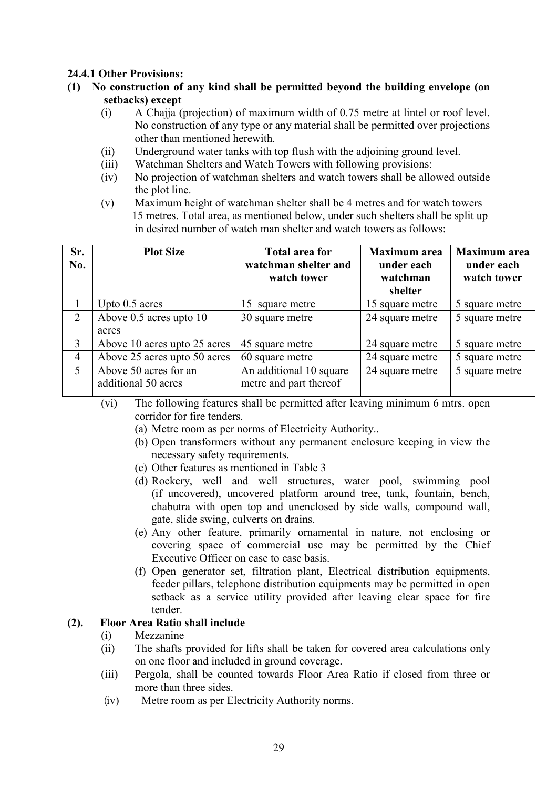## 24.4.1 Other Provisions:

- $(1)$  No construction of any kind shall be permitted beyond the building envelope (on setbacks) except
	- (i) A Chajja (projection) of maximum width of 0.75 metre at lintel or roof level. No construction of any type or any material shall be permitted over projections other than mentioned herewith.
	- (ii) Underground water tanks with top flush with the adjoining ground level.
	- (iii) Watchman Shelters and Watch Towers with following provisions:
	- (iv) No projection of watchman shelters and watch towers shall be allowed outside the plot line.
	- (v) Maximum height of watchman shelter shall be 4 metres and for watch towers 15 metres. Total area, as mentioned below, under such shelters shall be split up in desired number of watch man shelter and watch towers as follows:

| Sr.<br>No.     | <b>Plot Size</b>                             | <b>Total area for</b><br>watchman shelter and<br>watch tower | <b>Maximum</b> area<br>under each<br>watchman<br>shelter | <b>Maximum</b> area<br>under each<br>watch tower |
|----------------|----------------------------------------------|--------------------------------------------------------------|----------------------------------------------------------|--------------------------------------------------|
|                | Upto 0.5 acres                               | 15 square metre                                              | 15 square metre                                          | 5 square metre                                   |
| 2              | Above 0.5 acres upto 10<br>acres             | 30 square metre                                              | 24 square metre                                          | 5 square metre                                   |
| 3              | Above 10 acres upto 25 acres                 | 45 square metre                                              | 24 square metre                                          | 5 square metre                                   |
| $\overline{4}$ | Above 25 acres upto 50 acres                 | 60 square metre                                              | 24 square metre                                          | 5 square metre                                   |
| $\mathfrak{S}$ | Above 50 acres for an<br>additional 50 acres | An additional 10 square<br>metre and part thereof            | 24 square metre                                          | 5 square metre                                   |

- (vi) The following features shall be permitted after leaving minimum 6 mtrs. open corridor for fire tenders.
	- (a) Metre room as per norms of Electricity Authority..
	- (b) Open transformers without any permanent enclosure keeping in view the necessary safety requirements.
	- (c) Other features as mentioned in Table 3
	- (d) Rockery, well and well structures, water pool, swimming pool (if uncovered), uncovered platform around tree, tank, fountain, bench, chabutra with open top and unenclosed by side walls, compound wall, gate, slide swing, culverts on drains.
	- (e) Any other feature, primarily ornamental in nature, not enclosing or covering space of commercial use may be permitted by the Chief Executive Officer on case to case basis.
	- (f) Open generator set, filtration plant, Electrical distribution equipments, feeder pillars, telephone distribution equipments may be permitted in open setback as a service utility provided after leaving clear space for fire tender.

## (2). Floor Area Ratio shall include

- (i) Mezzanine
- (ii) The shafts provided for lifts shall be taken for covered area calculations only on one floor and included in ground coverage.
- (iii) Pergola, shall be counted towards Floor Area Ratio if closed from three or more than three sides.
- ¼iv) Metre room as per Electricity Authority norms.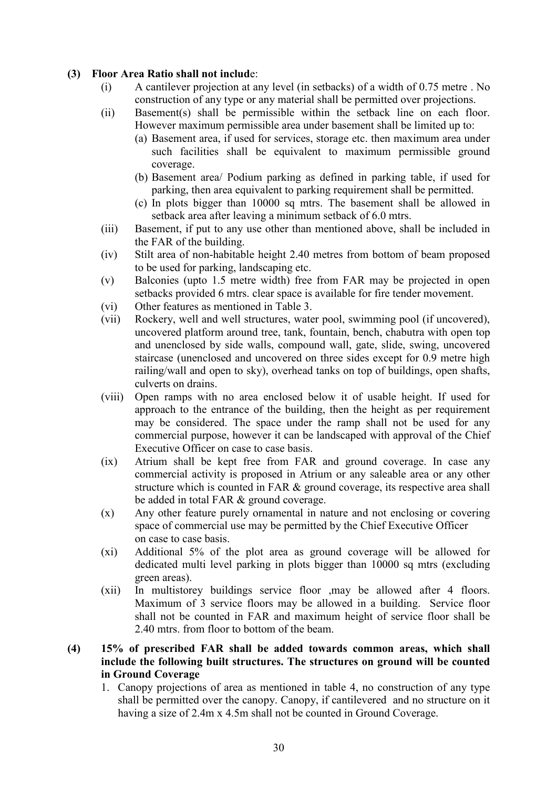### (3) Floor Area Ratio shall not include:

- (i) A cantilever projection at any level (in setbacks) of a width of 0.75 metre . No construction of any type or any material shall be permitted over projections.
- (ii) Basement(s) shall be permissible within the setback line on each floor. However maximum permissible area under basement shall be limited up to:
	- (a) Basement area, if used for services, storage etc. then maximum area under such facilities shall be equivalent to maximum permissible ground coverage.
	- (b) Basement area/ Podium parking as defined in parking table, if used for parking, then area equivalent to parking requirement shall be permitted.
	- (c) In plots bigger than 10000 sq mtrs. The basement shall be allowed in setback area after leaving a minimum setback of 6.0 mtrs.
- (iii) Basement, if put to any use other than mentioned above, shall be included in the FAR of the building.
- (iv) Stilt area of non-habitable height 2.40 metres from bottom of beam proposed to be used for parking, landscaping etc.
- (v) Balconies (upto 1.5 metre width) free from FAR may be projected in open setbacks provided 6 mtrs. clear space is available for fire tender movement.
- (vi) Other features as mentioned in Table 3.
- (vii) Rockery, well and well structures, water pool, swimming pool (if uncovered), uncovered platform around tree, tank, fountain, bench, chabutra with open top and unenclosed by side walls, compound wall, gate, slide, swing, uncovered staircase (unenclosed and uncovered on three sides except for 0.9 metre high railing/wall and open to sky), overhead tanks on top of buildings, open shafts, culverts on drains.
- (viii) Open ramps with no area enclosed below it of usable height. If used for approach to the entrance of the building, then the height as per requirement may be considered. The space under the ramp shall not be used for any commercial purpose, however it can be landscaped with approval of the Chief Executive Officer on case to case basis.
- (ix) Atrium shall be kept free from FAR and ground coverage. In case any commercial activity is proposed in Atrium or any saleable area or any other structure which is counted in FAR & ground coverage, its respective area shall be added in total FAR & ground coverage.
- (x) Any other feature purely ornamental in nature and not enclosing or covering space of commercial use may be permitted by the Chief Executive Officer on case to case basis.
- (xi) Additional 5% of the plot area as ground coverage will be allowed for dedicated multi level parking in plots bigger than 10000 sq mtrs (excluding green areas).
- (xii) In multistorey buildings service floor ,may be allowed after 4 floors. Maximum of 3 service floors may be allowed in a building. Service floor shall not be counted in FAR and maximum height of service floor shall be 2.40 mtrs. from floor to bottom of the beam.

## (4) 15% of prescribed FAR shall be added towards common areas, which shall include the following built structures. The structures on ground will be counted in Ground Coverage

1. Canopy projections of area as mentioned in table 4, no construction of any type shall be permitted over the canopy. Canopy, if cantilevered and no structure on it having a size of 2.4m x 4.5m shall not be counted in Ground Coverage.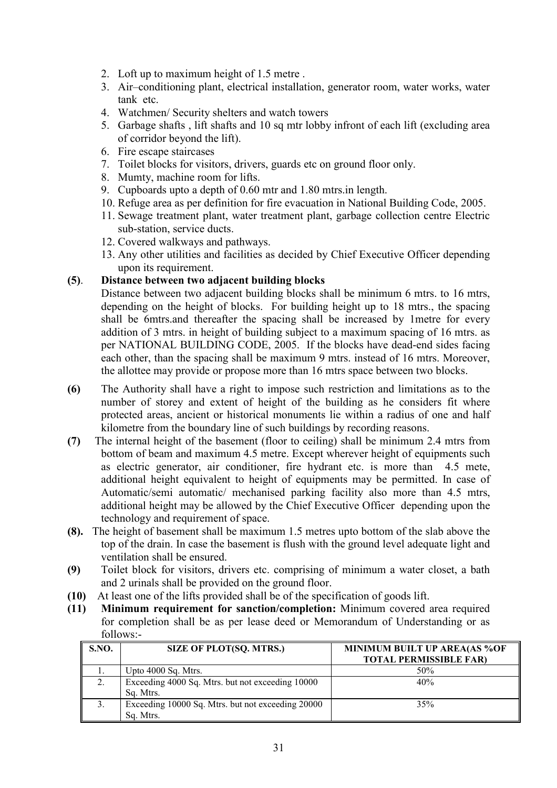- 2. Loft up to maximum height of 1.5 metre .
- 3. Air–conditioning plant, electrical installation, generator room, water works, water tank etc.
- 4. Watchmen/ Security shelters and watch towers
- 5. Garbage shafts , lift shafts and 10 sq mtr lobby infront of each lift (excluding area of corridor beyond the lift).
- 6. Fire escape staircases
- 7. Toilet blocks for visitors, drivers, guards etc on ground floor only.
- 8. Mumty, machine room for lifts.
- 9. Cupboards upto a depth of 0.60 mtr and 1.80 mtrs.in length.
- 10. Refuge area as per definition for fire evacuation in National Building Code, 2005.
- 11. Sewage treatment plant, water treatment plant, garbage collection centre Electric sub-station, service ducts.
- 12. Covered walkways and pathways.
- 13. Any other utilities and facilities as decided by Chief Executive Officer depending upon its requirement.

### (5). Distance between two adjacent building blocks

Distance between two adjacent building blocks shall be minimum 6 mtrs, to 16 mtrs, depending on the height of blocks. For building height up to 18 mtrs., the spacing shall be 6mtrs.and thereafter the spacing shall be increased by 1metre for every addition of 3 mtrs. in height of building subject to a maximum spacing of 16 mtrs. as per NATIONAL BUILDING CODE, 2005. If the blocks have dead-end sides facing each other, than the spacing shall be maximum 9 mtrs. instead of 16 mtrs. Moreover, the allottee may provide or propose more than 16 mtrs space between two blocks.

- (6) The Authority shall have a right to impose such restriction and limitations as to the number of storey and extent of height of the building as he considers fit where protected areas, ancient or historical monuments lie within a radius of one and half kilometre from the boundary line of such buildings by recording reasons.
- (7) The internal height of the basement (floor to ceiling) shall be minimum 2.4 mtrs from bottom of beam and maximum 4.5 metre. Except wherever height of equipments such as electric generator, air conditioner, fire hydrant etc. is more than 4.5 mete, additional height equivalent to height of equipments may be permitted. In case of Automatic/semi automatic/ mechanised parking facility also more than 4.5 mtrs, additional height may be allowed by the Chief Executive Officer depending upon the technology and requirement of space.
- (8). The height of basement shall be maximum 1.5 metres upto bottom of the slab above the top of the drain. In case the basement is flush with the ground level adequate light and ventilation shall be ensured.
- (9) Toilet block for visitors, drivers etc. comprising of minimum a water closet, a bath and 2 urinals shall be provided on the ground floor.
- (10) At least one of the lifts provided shall be of the specification of goods lift.
- (11) Minimum requirement for sanction/completion: Minimum covered area required for completion shall be as per lease deed or Memorandum of Understanding or as follows:-

| <b>S.NO.</b> | <b>SIZE OF PLOT(SQ. MTRS.)</b>                    | MINIMUM BUILT UP AREA(AS %OF<br><b>TOTAL PERMISSIBLE FAR)</b> |
|--------------|---------------------------------------------------|---------------------------------------------------------------|
|              | Upto 4000 Sq. Mtrs.                               | 50%                                                           |
|              | Exceeding 4000 Sq. Mtrs. but not exceeding 10000  | 40%                                                           |
|              | Sq. Mtrs.                                         |                                                               |
|              | Exceeding 10000 Sq. Mtrs. but not exceeding 20000 | 35%                                                           |
|              | Sq. Mtrs.                                         |                                                               |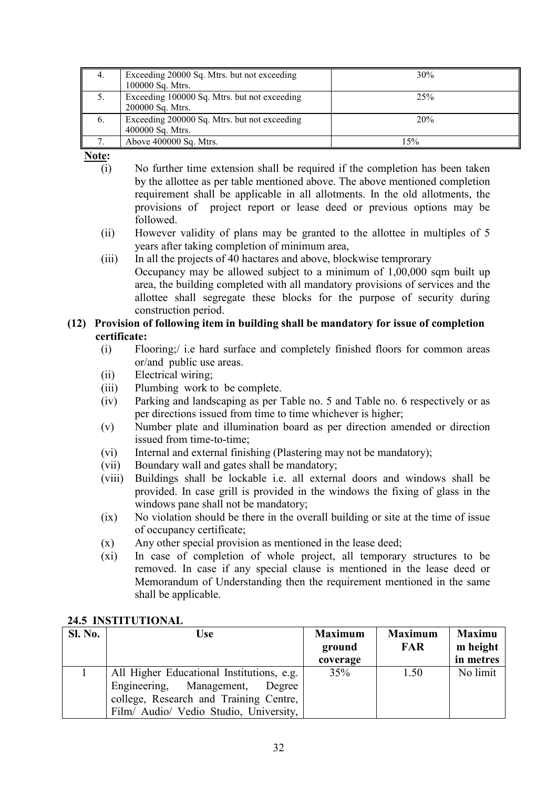|            | Exceeding 20000 Sq. Mtrs. but not exceeding  | 30% |
|------------|----------------------------------------------|-----|
|            | 100000 Sq. Mtrs.                             |     |
|            | Exceeding 100000 Sq. Mtrs. but not exceeding | 25% |
|            | 200000 Sq. Mtrs.                             |     |
| $\sigma$ . | Exceeding 200000 Sq. Mtrs. but not exceeding | 20% |
|            | 400000 Sq. Mtrs.                             |     |
|            | Above 400000 Sq. Mtrs.                       | 15% |

Note:

- (i) No further time extension shall be required if the completion has been taken by the allottee as per table mentioned above. The above mentioned completion requirement shall be applicable in all allotments. In the old allotments, the provisions of project report or lease deed or previous options may be followed.
- (ii) However validity of plans may be granted to the allottee in multiples of 5 years after taking completion of minimum area,
- (iii) In all the projects of 40 hactares and above, blockwise temprorary Occupancy may be allowed subject to a minimum of 1,00,000 sqm built up area, the building completed with all mandatory provisions of services and the allottee shall segregate these blocks for the purpose of security during construction period.

## (12) Provision of following item in building shall be mandatory for issue of completion certificate:

- (i) Flooring;/ i.e hard surface and completely finished floors for common areas or/and public use areas.
- (ii) Electrical wiring;
- (iii) Plumbing work to be complete.
- (iv) Parking and landscaping as per Table no. 5 and Table no. 6 respectively or as per directions issued from time to time whichever is higher;
- (v) Number plate and illumination board as per direction amended or direction issued from time-to-time;
- (vi) Internal and external finishing (Plastering may not be mandatory);
- (vii) Boundary wall and gates shall be mandatory;
- (viii) Buildings shall be lockable i.e. all external doors and windows shall be provided. In case grill is provided in the windows the fixing of glass in the windows pane shall not be mandatory;
- (ix) No violation should be there in the overall building or site at the time of issue of occupancy certificate;
- (x) Any other special provision as mentioned in the lease deed;
- (xi) In case of completion of whole project, all temporary structures to be removed. In case if any special clause is mentioned in the lease deed or Memorandum of Understanding then the requirement mentioned in the same shall be applicable.

| <b>Sl. No.</b> | Use                                       | <b>Maximum</b> | <b>Maximum</b> | <b>Maximu</b> |
|----------------|-------------------------------------------|----------------|----------------|---------------|
|                |                                           | ground         | <b>FAR</b>     | m height      |
|                |                                           | coverage       |                | in metres     |
|                | All Higher Educational Institutions, e.g. | 35%            | 1.50           | No limit      |
|                | Engineering, Management, Degree           |                |                |               |
|                | college, Research and Training Centre,    |                |                |               |
|                | Film/ Audio/ Vedio Studio, University,    |                |                |               |

## 24.5 INSTITUTIONAL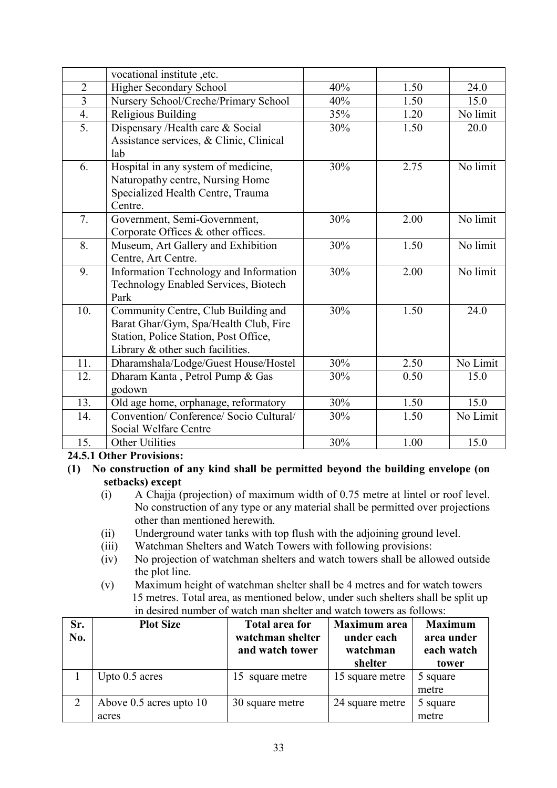|                | vocational institute ,etc.                  |     |      |          |
|----------------|---------------------------------------------|-----|------|----------|
| $\overline{2}$ | <b>Higher Secondary School</b>              | 40% | 1.50 | 24.0     |
| $\overline{3}$ | Nursery School/Creche/Primary School        | 40% | 1.50 | 15.0     |
| 4.             | Religious Building                          | 35% | 1.20 | No limit |
| 5.             | Dispensary /Health care & Social            | 30% | 1.50 | 20.0     |
|                | Assistance services, & Clinic, Clinical     |     |      |          |
|                | lab                                         |     |      |          |
| 6.             | Hospital in any system of medicine,         | 30% | 2.75 | No limit |
|                | Naturopathy centre, Nursing Home            |     |      |          |
|                | Specialized Health Centre, Trauma           |     |      |          |
|                | Centre.                                     |     |      |          |
| 7.             | Government, Semi-Government,                | 30% | 2.00 | No limit |
|                | Corporate Offices & other offices.          |     |      |          |
| 8.             | Museum, Art Gallery and Exhibition          | 30% | 1.50 | No limit |
|                | Centre, Art Centre.                         |     |      |          |
| 9.             | Information Technology and Information      | 30% | 2.00 | No limit |
|                | <b>Technology Enabled Services, Biotech</b> |     |      |          |
|                | Park                                        |     |      |          |
| 10.            | Community Centre, Club Building and         | 30% | 1.50 | 24.0     |
|                | Barat Ghar/Gym, Spa/Health Club, Fire       |     |      |          |
|                | Station, Police Station, Post Office,       |     |      |          |
|                | Library & other such facilities.            |     |      |          |
| 11.            | Dharamshala/Lodge/Guest House/Hostel        | 30% | 2.50 | No Limit |
| 12.            | Dharam Kanta, Petrol Pump & Gas             | 30% | 0.50 | 15.0     |
|                | godown                                      |     |      |          |
| 13.            | Old age home, orphanage, reformatory        | 30% | 1.50 | 15.0     |
| 14.            | Convention/ Conference/ Socio Cultural/     | 30% | 1.50 | No Limit |
|                | Social Welfare Centre                       |     |      |          |
| 15.            | <b>Other Utilities</b>                      | 30% | 1.00 | 15.0     |

24.5.1 Other Provisions:

- $(1)$  No construction of any kind shall be permitted beyond the building envelope (on setbacks) except
	- (i) A Chajja (projection) of maximum width of 0.75 metre at lintel or roof level. No construction of any type or any material shall be permitted over projections other than mentioned herewith.
	- (ii) Underground water tanks with top flush with the adjoining ground level.
	- (iii) Watchman Shelters and Watch Towers with following provisions:
	- (iv) No projection of watchman shelters and watch towers shall be allowed outside the plot line.
	- (v) Maximum height of watchman shelter shall be 4 metres and for watch towers 15 metres. Total area, as mentioned below, under such shelters shall be split up in desired number of watch man shelter and watch towers as follows:

| Sr.<br>No. | <b>Plot Size</b>                     | <b>Total area for</b><br>watchman shelter<br>and watch tower | <b>Maximum</b> area<br>under each<br>watchman<br>shelter | <b>Maximum</b><br>area under<br>each watch<br>tower |
|------------|--------------------------------------|--------------------------------------------------------------|----------------------------------------------------------|-----------------------------------------------------|
|            | Upto 0.5 acres                       | 15 square metre                                              | 15 square metre                                          | 5 square<br>metre                                   |
|            | Above $0.5$ acres upto $10$<br>acres | 30 square metre                                              | 24 square metre                                          | 5 square<br>metre                                   |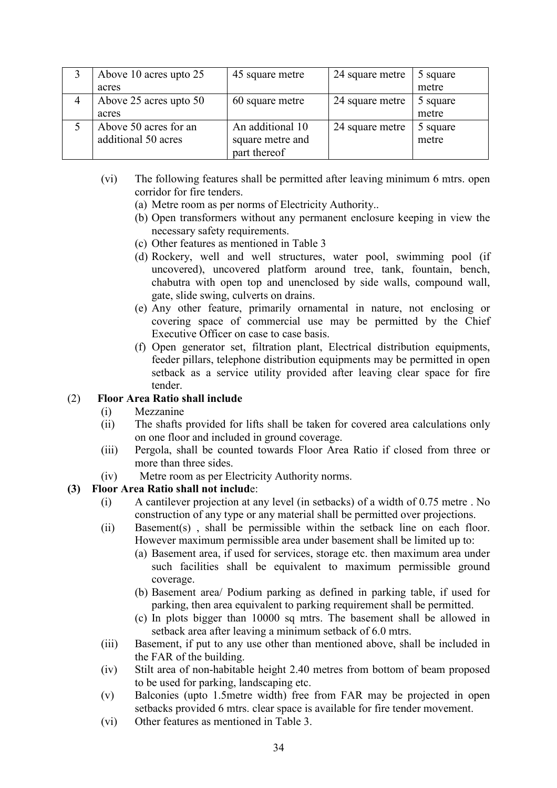| Above 10 acres upto 25 | 45 square metre  | 24 square metre | 5 square |
|------------------------|------------------|-----------------|----------|
| acres                  |                  |                 | metre    |
| Above 25 acres upto 50 | 60 square metre  | 24 square metre | 5 square |
| acres                  |                  |                 | metre    |
| Above 50 acres for an  | An additional 10 | 24 square metre | 5 square |
| additional 50 acres    | square metre and |                 | metre    |
|                        | part thereof     |                 |          |

- (vi) The following features shall be permitted after leaving minimum 6 mtrs. open corridor for fire tenders.
	- (a) Metre room as per norms of Electricity Authority..
	- (b) Open transformers without any permanent enclosure keeping in view the necessary safety requirements.
	- (c) Other features as mentioned in Table 3
	- (d) Rockery, well and well structures, water pool, swimming pool (if uncovered), uncovered platform around tree, tank, fountain, bench, chabutra with open top and unenclosed by side walls, compound wall, gate, slide swing, culverts on drains.
	- (e) Any other feature, primarily ornamental in nature, not enclosing or covering space of commercial use may be permitted by the Chief Executive Officer on case to case basis.
	- (f) Open generator set, filtration plant, Electrical distribution equipments, feeder pillars, telephone distribution equipments may be permitted in open setback as a service utility provided after leaving clear space for fire tender.

## (2) Floor Area Ratio shall include

- (i) Mezzanine
- (ii) The shafts provided for lifts shall be taken for covered area calculations only on one floor and included in ground coverage.
- (iii) Pergola, shall be counted towards Floor Area Ratio if closed from three or more than three sides.
- (iv) Metre room as per Electricity Authority norms.

## (3) Floor Area Ratio shall not include:

- (i) A cantilever projection at any level (in setbacks) of a width of 0.75 metre . No construction of any type or any material shall be permitted over projections.
- (ii) Basement(s) , shall be permissible within the setback line on each floor. However maximum permissible area under basement shall be limited up to:
	- (a) Basement area, if used for services, storage etc. then maximum area under such facilities shall be equivalent to maximum permissible ground coverage.
	- (b) Basement area/ Podium parking as defined in parking table, if used for parking, then area equivalent to parking requirement shall be permitted.
	- (c) In plots bigger than 10000 sq mtrs. The basement shall be allowed in setback area after leaving a minimum setback of 6.0 mtrs.
- (iii) Basement, if put to any use other than mentioned above, shall be included in the FAR of the building.
- (iv) Stilt area of non-habitable height 2.40 metres from bottom of beam proposed to be used for parking, landscaping etc.
- (v) Balconies (upto 1.5metre width) free from FAR may be projected in open setbacks provided 6 mtrs. clear space is available for fire tender movement.
- (vi) Other features as mentioned in Table 3.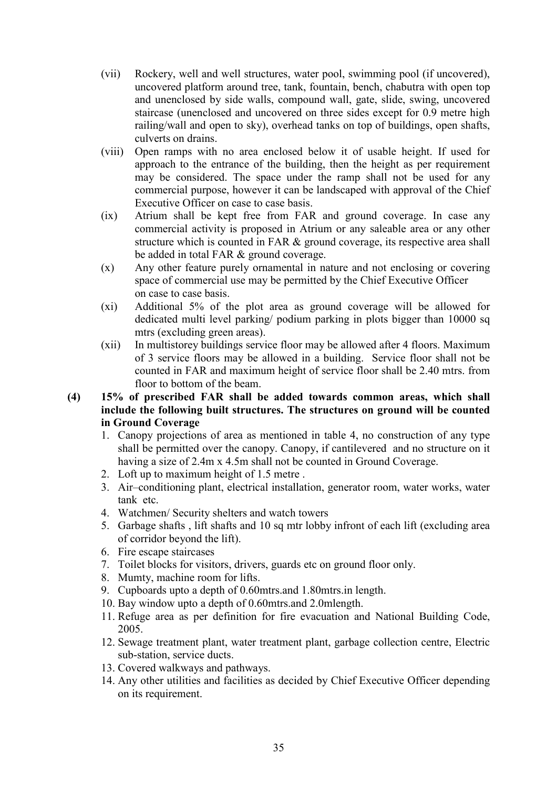- (vii) Rockery, well and well structures, water pool, swimming pool (if uncovered), uncovered platform around tree, tank, fountain, bench, chabutra with open top and unenclosed by side walls, compound wall, gate, slide, swing, uncovered staircase (unenclosed and uncovered on three sides except for 0.9 metre high railing/wall and open to sky), overhead tanks on top of buildings, open shafts, culverts on drains.
- (viii) Open ramps with no area enclosed below it of usable height. If used for approach to the entrance of the building, then the height as per requirement may be considered. The space under the ramp shall not be used for any commercial purpose, however it can be landscaped with approval of the Chief Executive Officer on case to case basis.
- (ix) Atrium shall be kept free from FAR and ground coverage. In case any commercial activity is proposed in Atrium or any saleable area or any other structure which is counted in FAR & ground coverage, its respective area shall be added in total FAR & ground coverage.
- (x) Any other feature purely ornamental in nature and not enclosing or covering space of commercial use may be permitted by the Chief Executive Officer on case to case basis.
- (xi) Additional 5% of the plot area as ground coverage will be allowed for dedicated multi level parking/ podium parking in plots bigger than 10000 sq mtrs (excluding green areas).
- (xii) In multistorey buildings service floor may be allowed after 4 floors. Maximum of 3 service floors may be allowed in a building. Service floor shall not be counted in FAR and maximum height of service floor shall be 2.40 mtrs. from floor to bottom of the beam.

## (4) 15% of prescribed FAR shall be added towards common areas, which shall include the following built structures. The structures on ground will be counted in Ground Coverage

- 1. Canopy projections of area as mentioned in table 4, no construction of any type shall be permitted over the canopy. Canopy, if cantilevered and no structure on it having a size of 2.4m x 4.5m shall not be counted in Ground Coverage.
- 2. Loft up to maximum height of 1.5 metre .
- 3. Air–conditioning plant, electrical installation, generator room, water works, water tank etc.
- 4. Watchmen/ Security shelters and watch towers
- 5. Garbage shafts , lift shafts and 10 sq mtr lobby infront of each lift (excluding area of corridor beyond the lift).
- 6. Fire escape staircases
- 7. Toilet blocks for visitors, drivers, guards etc on ground floor only.
- 8. Mumty, machine room for lifts.
- 9. Cupboards upto a depth of 0.60mtrs.and 1.80mtrs.in length.
- 10. Bay window upto a depth of 0.60mtrs.and 2.0mlength.
- 11. Refuge area as per definition for fire evacuation and National Building Code, 2005.
- 12. Sewage treatment plant, water treatment plant, garbage collection centre, Electric sub-station, service ducts.
- 13. Covered walkways and pathways.
- 14. Any other utilities and facilities as decided by Chief Executive Officer depending on its requirement.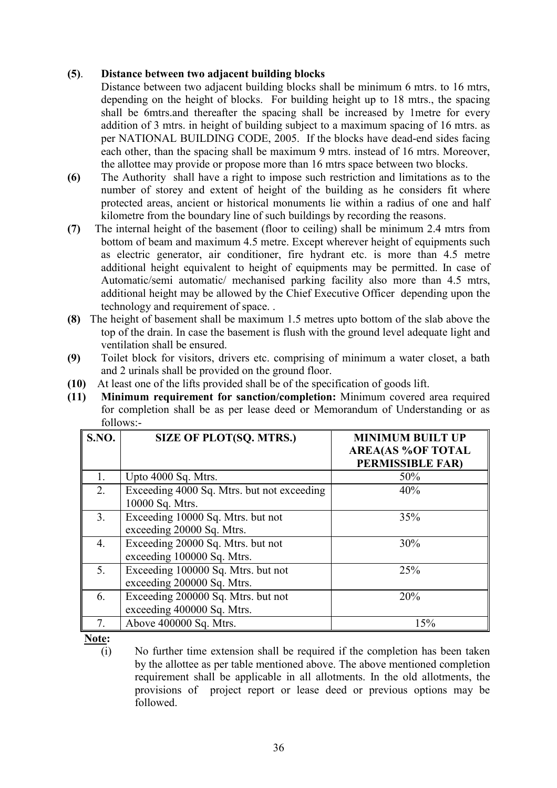## (5). Distance between two adjacent building blocks

- Distance between two adjacent building blocks shall be minimum 6 mtrs, to 16 mtrs, depending on the height of blocks. For building height up to 18 mtrs., the spacing shall be 6mtrs.and thereafter the spacing shall be increased by 1metre for every addition of 3 mtrs. in height of building subject to a maximum spacing of 16 mtrs. as per NATIONAL BUILDING CODE, 2005. If the blocks have dead-end sides facing each other, than the spacing shall be maximum 9 mtrs. instead of 16 mtrs. Moreover, the allottee may provide or propose more than 16 mtrs space between two blocks.
- (6) The Authority shall have a right to impose such restriction and limitations as to the number of storey and extent of height of the building as he considers fit where protected areas, ancient or historical monuments lie within a radius of one and half kilometre from the boundary line of such buildings by recording the reasons.
- (7) The internal height of the basement (floor to ceiling) shall be minimum 2.4 mtrs from bottom of beam and maximum 4.5 metre. Except wherever height of equipments such as electric generator, air conditioner, fire hydrant etc. is more than 4.5 metre additional height equivalent to height of equipments may be permitted. In case of Automatic/semi automatic/ mechanised parking facility also more than 4.5 mtrs, additional height may be allowed by the Chief Executive Officer depending upon the technology and requirement of space. .
- (8) The height of basement shall be maximum 1.5 metres upto bottom of the slab above the top of the drain. In case the basement is flush with the ground level adequate light and ventilation shall be ensured.
- (9) Toilet block for visitors, drivers etc. comprising of minimum a water closet, a bath and 2 urinals shall be provided on the ground floor.
- (10) At least one of the lifts provided shall be of the specification of goods lift.
- (11) Minimum requirement for sanction/completion: Minimum covered area required for completion shall be as per lease deed or Memorandum of Understanding or as follows:-

| S.NO.            | <b>SIZE OF PLOT(SQ. MTRS.)</b>                                   | <b>MINIMUM BUILT UP</b><br><b>AREA(AS %OF TOTAL</b><br>PERMISSIBLE FAR) |
|------------------|------------------------------------------------------------------|-------------------------------------------------------------------------|
| 1.               | Upto 4000 Sq. Mtrs.                                              | 50%                                                                     |
| $\overline{2}$ . | Exceeding 4000 Sq. Mtrs. but not exceeding<br>10000 Sq. Mtrs.    | 40%                                                                     |
| 3 <sub>1</sub>   | Exceeding 10000 Sq. Mtrs. but not<br>exceeding 20000 Sq. Mtrs.   | 35%                                                                     |
| $\overline{4}$ . | Exceeding 20000 Sq. Mtrs. but not<br>exceeding 100000 Sq. Mtrs.  | 30%                                                                     |
| 5.               | Exceeding 100000 Sq. Mtrs. but not<br>exceeding 200000 Sq. Mtrs. | 25%                                                                     |
| 6.               | Exceeding 200000 Sq. Mtrs. but not<br>exceeding 400000 Sq. Mtrs. | 20%                                                                     |
| 7.               | Above 400000 Sq. Mtrs.                                           | 15%                                                                     |

Note:

(i) No further time extension shall be required if the completion has been taken by the allottee as per table mentioned above. The above mentioned completion requirement shall be applicable in all allotments. In the old allotments, the provisions of project report or lease deed or previous options may be followed.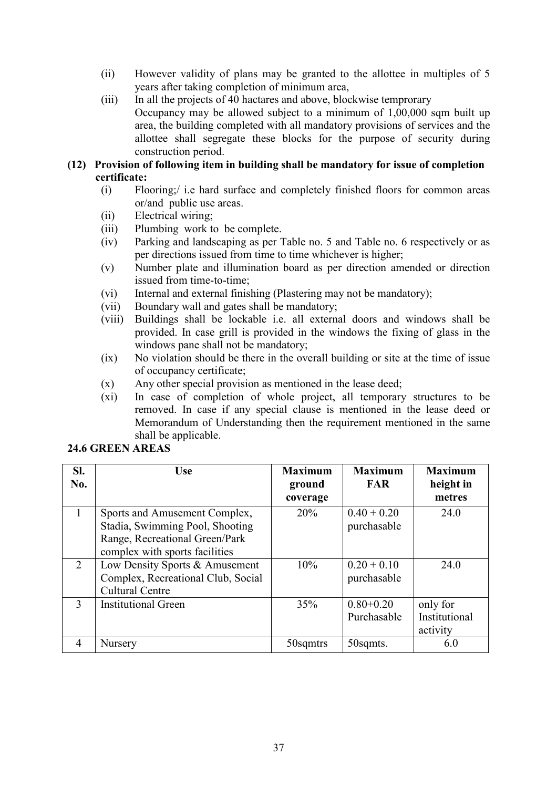- (ii) However validity of plans may be granted to the allottee in multiples of 5 years after taking completion of minimum area,
- (iii) In all the projects of 40 hactares and above, blockwise temprorary Occupancy may be allowed subject to a minimum of  $1,00,000$  sqm built up area, the building completed with all mandatory provisions of services and the allottee shall segregate these blocks for the purpose of security during construction period.
- (12) Provision of following item in building shall be mandatory for issue of completion certificate:
	- (i) Flooring;/ i.e hard surface and completely finished floors for common areas or/and public use areas.
	- (ii) Electrical wiring;
	- (iii) Plumbing work to be complete.
	- (iv) Parking and landscaping as per Table no. 5 and Table no. 6 respectively or as per directions issued from time to time whichever is higher;
	- (v) Number plate and illumination board as per direction amended or direction issued from time-to-time;
	- (vi) Internal and external finishing (Plastering may not be mandatory);
	- (vii) Boundary wall and gates shall be mandatory;
	- (viii) Buildings shall be lockable i.e. all external doors and windows shall be provided. In case grill is provided in the windows the fixing of glass in the windows pane shall not be mandatory;
	- (ix) No violation should be there in the overall building or site at the time of issue of occupancy certificate;
	- (x) Any other special provision as mentioned in the lease deed;
	- (xi) In case of completion of whole project, all temporary structures to be removed. In case if any special clause is mentioned in the lease deed or Memorandum of Understanding then the requirement mentioned in the same shall be applicable.

| SI.<br>No.     | <b>Use</b>                                                                                                                           | <b>Maximum</b><br>ground<br>coverage | <b>Maximum</b><br><b>FAR</b> | <b>Maximum</b><br>height in<br>metres |
|----------------|--------------------------------------------------------------------------------------------------------------------------------------|--------------------------------------|------------------------------|---------------------------------------|
|                | Sports and Amusement Complex,<br>Stadia, Swimming Pool, Shooting<br>Range, Recreational Green/Park<br>complex with sports facilities | 20%                                  | $0.40 + 0.20$<br>purchasable | 24.0                                  |
| $\overline{2}$ | Low Density Sports & Amusement<br>Complex, Recreational Club, Social<br><b>Cultural Centre</b>                                       | 10%                                  | $0.20 + 0.10$<br>purchasable | 24.0                                  |
| $\mathbf{3}$   | <b>Institutional Green</b>                                                                                                           | 35%                                  | $0.80 + 0.20$<br>Purchasable | only for<br>Institutional<br>activity |
| 4              | Nursery                                                                                                                              | 50sqmtrs                             | 50sqmts.                     | 6.0                                   |

# 24.6 GREEN AREAS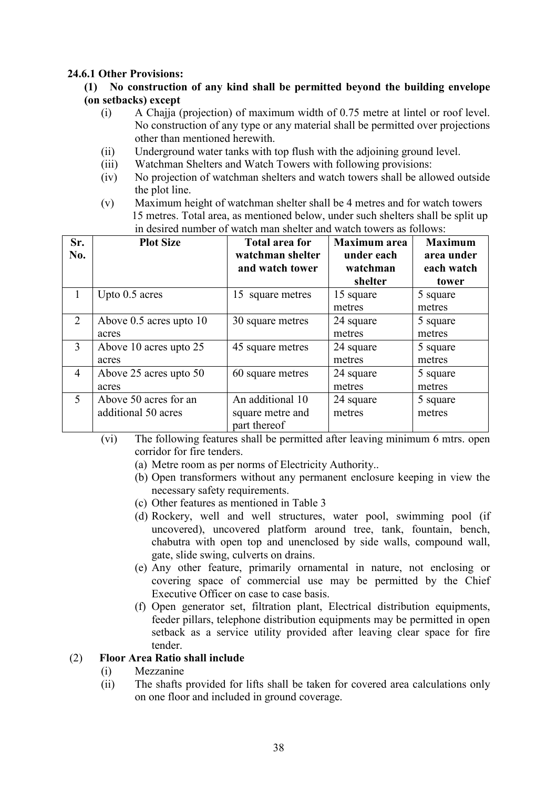#### 24.6.1 Other Provisions:

#### $(1)$  No construction of any kind shall be permitted beyond the building envelope (on setbacks) except

- (i) A Chajja (projection) of maximum width of 0.75 metre at lintel or roof level. No construction of any type or any material shall be permitted over projections other than mentioned herewith.
- (ii) Underground water tanks with top flush with the adjoining ground level.
- (iii) Watchman Shelters and Watch Towers with following provisions:
- (iv) No projection of watchman shelters and watch towers shall be allowed outside the plot line.
- (v) Maximum height of watchman shelter shall be 4 metres and for watch towers 15 metres. Total area, as mentioned below, under such shelters shall be split up in desired number of watch man shelter and watch towers as follows:

| Sr.<br>No. | <b>Plot Size</b>        | <b>Total area for</b><br>watchman shelter<br>and watch tower | <b>Maximum</b> area<br>under each<br>watchman<br>shelter | <b>Maximum</b><br>area under<br>each watch<br>tower |
|------------|-------------------------|--------------------------------------------------------------|----------------------------------------------------------|-----------------------------------------------------|
|            | Upto 0.5 acres          | 15 square metres                                             | 15 square                                                | 5 square                                            |
|            |                         |                                                              | metres                                                   | metres                                              |
| 2          | Above 0.5 acres upto 10 | 30 square metres                                             | 24 square                                                | 5 square                                            |
|            | acres                   |                                                              | metres                                                   | metres                                              |
| 3          | Above 10 acres upto 25  | 45 square metres                                             | 24 square                                                | 5 square                                            |
|            | acres                   |                                                              | metres                                                   | metres                                              |
| 4          | Above 25 acres upto 50  | 60 square metres                                             | 24 square                                                | 5 square                                            |
|            | acres                   |                                                              | metres                                                   | metres                                              |
| 5          | Above 50 acres for an   | An additional 10                                             | 24 square                                                | 5 square                                            |
|            | additional 50 acres     | square metre and                                             | metres                                                   | metres                                              |
|            |                         | part thereof                                                 |                                                          |                                                     |

- (vi) The following features shall be permitted after leaving minimum 6 mtrs. open corridor for fire tenders.
	- (a) Metre room as per norms of Electricity Authority..
	- (b) Open transformers without any permanent enclosure keeping in view the necessary safety requirements.
	- (c) Other features as mentioned in Table 3
	- (d) Rockery, well and well structures, water pool, swimming pool (if uncovered), uncovered platform around tree, tank, fountain, bench, chabutra with open top and unenclosed by side walls, compound wall, gate, slide swing, culverts on drains.
	- (e) Any other feature, primarily ornamental in nature, not enclosing or covering space of commercial use may be permitted by the Chief Executive Officer on case to case basis.
	- (f) Open generator set, filtration plant, Electrical distribution equipments, feeder pillars, telephone distribution equipments may be permitted in open setback as a service utility provided after leaving clear space for fire tender.

#### (2) Floor Area Ratio shall include

- (i) Mezzanine
- (ii) The shafts provided for lifts shall be taken for covered area calculations only on one floor and included in ground coverage.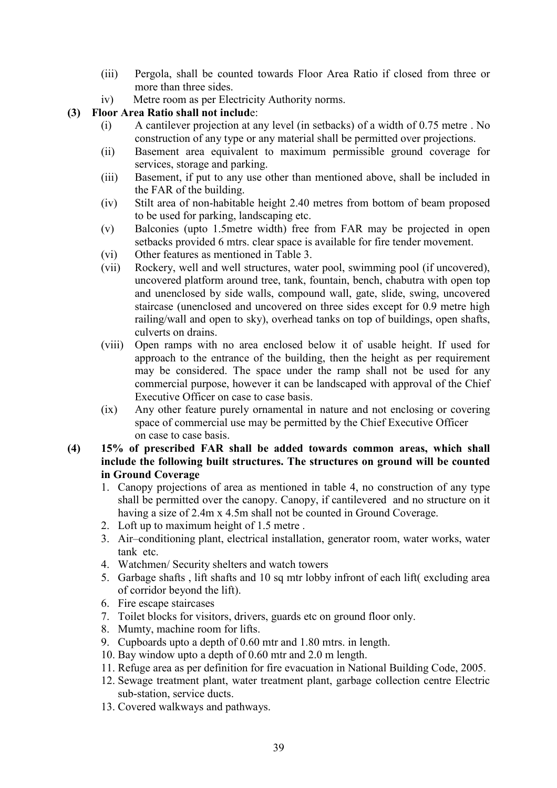- (iii) Pergola, shall be counted towards Floor Area Ratio if closed from three or more than three sides.
- iv) Metre room as per Electricity Authority norms.

#### (3) Floor Area Ratio shall not include:

- (i) A cantilever projection at any level (in setbacks) of a width of 0.75 metre . No construction of any type or any material shall be permitted over projections.
- (ii) Basement area equivalent to maximum permissible ground coverage for services, storage and parking.
- (iii) Basement, if put to any use other than mentioned above, shall be included in the FAR of the building.
- (iv) Stilt area of non-habitable height 2.40 metres from bottom of beam proposed to be used for parking, landscaping etc.
- (v) Balconies (upto 1.5metre width) free from FAR may be projected in open setbacks provided 6 mtrs. clear space is available for fire tender movement.
- (vi) Other features as mentioned in Table 3.
- (vii) Rockery, well and well structures, water pool, swimming pool (if uncovered), uncovered platform around tree, tank, fountain, bench, chabutra with open top and unenclosed by side walls, compound wall, gate, slide, swing, uncovered staircase (unenclosed and uncovered on three sides except for 0.9 metre high railing/wall and open to sky), overhead tanks on top of buildings, open shafts, culverts on drains.
- (viii) Open ramps with no area enclosed below it of usable height. If used for approach to the entrance of the building, then the height as per requirement may be considered. The space under the ramp shall not be used for any commercial purpose, however it can be landscaped with approval of the Chief Executive Officer on case to case basis.
- (ix) Any other feature purely ornamental in nature and not enclosing or covering space of commercial use may be permitted by the Chief Executive Officer on case to case basis.
- (4) 15% of prescribed FAR shall be added towards common areas, which shall include the following built structures. The structures on ground will be counted in Ground Coverage
	- 1. Canopy projections of area as mentioned in table 4, no construction of any type shall be permitted over the canopy. Canopy, if cantilevered and no structure on it having a size of 2.4m x 4.5m shall not be counted in Ground Coverage.
	- 2. Loft up to maximum height of 1.5 metre .
	- 3. Air–conditioning plant, electrical installation, generator room, water works, water tank etc.
	- 4. Watchmen/ Security shelters and watch towers
	- 5. Garbage shafts , lift shafts and 10 sq mtr lobby infront of each lift( excluding area of corridor beyond the lift).
	- 6. Fire escape staircases
	- 7. Toilet blocks for visitors, drivers, guards etc on ground floor only.
	- 8. Mumty, machine room for lifts.
	- 9. Cupboards upto a depth of 0.60 mtr and 1.80 mtrs. in length.
	- 10. Bay window upto a depth of 0.60 mtr and 2.0 m length.
	- 11. Refuge area as per definition for fire evacuation in National Building Code, 2005.
	- 12. Sewage treatment plant, water treatment plant, garbage collection centre Electric sub-station, service ducts.
	- 13. Covered walkways and pathways.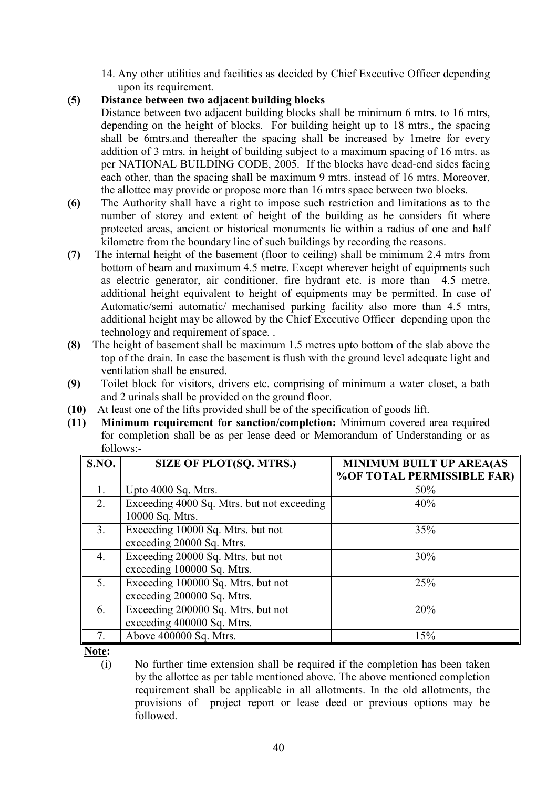- 14. Any other utilities and facilities as decided by Chief Executive Officer depending upon its requirement.
- (5) Distance between two adjacent building blocks

Distance between two adjacent building blocks shall be minimum 6 mtrs. to 16 mtrs, depending on the height of blocks. For building height up to 18 mtrs., the spacing shall be 6mtrs.and thereafter the spacing shall be increased by 1metre for every addition of 3 mtrs. in height of building subject to a maximum spacing of 16 mtrs. as per NATIONAL BUILDING CODE, 2005. If the blocks have dead-end sides facing each other, than the spacing shall be maximum 9 mtrs. instead of 16 mtrs. Moreover, the allottee may provide or propose more than 16 mtrs space between two blocks.

- (6) The Authority shall have a right to impose such restriction and limitations as to the number of storey and extent of height of the building as he considers fit where protected areas, ancient or historical monuments lie within a radius of one and half kilometre from the boundary line of such buildings by recording the reasons.
- (7) The internal height of the basement (floor to ceiling) shall be minimum 2.4 mtrs from bottom of beam and maximum 4.5 metre. Except wherever height of equipments such as electric generator, air conditioner, fire hydrant etc. is more than 4.5 metre, additional height equivalent to height of equipments may be permitted. In case of Automatic/semi automatic/ mechanised parking facility also more than 4.5 mtrs, additional height may be allowed by the Chief Executive Officer depending upon the technology and requirement of space. .
- (8) The height of basement shall be maximum 1.5 metres upto bottom of the slab above the top of the drain. In case the basement is flush with the ground level adequate light and ventilation shall be ensured.
- (9) Toilet block for visitors, drivers etc. comprising of minimum a water closet, a bath and 2 urinals shall be provided on the ground floor.
- (10) At least one of the lifts provided shall be of the specification of goods lift.
- (11) Minimum requirement for sanction/completion: Minimum covered area required for completion shall be as per lease deed or Memorandum of Understanding or as follows:-

| S.NO.          | <b>SIZE OF PLOT(SQ. MTRS.)</b>             | <b>MINIMUM BUILT UP AREA(AS</b><br>% OF TOTAL PERMISSIBLE FAR) |
|----------------|--------------------------------------------|----------------------------------------------------------------|
|                |                                            |                                                                |
| 1.             | Upto 4000 Sq. Mtrs.                        | 50%                                                            |
| 2.             | Exceeding 4000 Sq. Mtrs. but not exceeding | 40%                                                            |
|                | 10000 Sq. Mtrs.                            |                                                                |
| 3 <sub>1</sub> | Exceeding 10000 Sq. Mtrs. but not          | 35%                                                            |
|                | exceeding 20000 Sq. Mtrs.                  |                                                                |
| 4.             | Exceeding 20000 Sq. Mtrs. but not          | 30%                                                            |
|                | exceeding 100000 Sq. Mtrs.                 |                                                                |
| 5.             | Exceeding 100000 Sq. Mtrs. but not         | 25%                                                            |
|                | exceeding 200000 Sq. Mtrs.                 |                                                                |
| 6.             | Exceeding 200000 Sq. Mtrs. but not         | 20%                                                            |
|                | exceeding 400000 Sq. Mtrs.                 |                                                                |
|                | Above 400000 Sq. Mtrs.                     | 15%                                                            |

Note:

(i) No further time extension shall be required if the completion has been taken by the allottee as per table mentioned above. The above mentioned completion requirement shall be applicable in all allotments. In the old allotments, the provisions of project report or lease deed or previous options may be followed.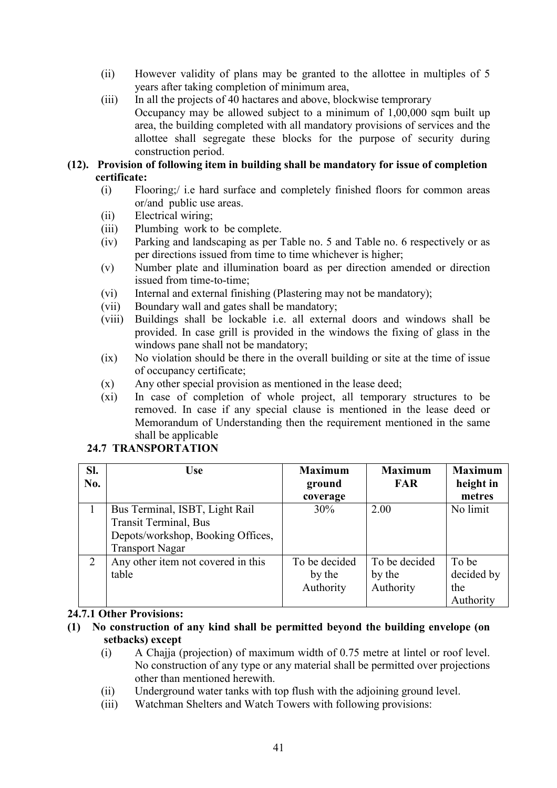- (ii) However validity of plans may be granted to the allottee in multiples of 5 years after taking completion of minimum area,
- (iii) In all the projects of 40 hactares and above, blockwise temprorary Occupancy may be allowed subject to a minimum of  $1,00,000$  sqm built up area, the building completed with all mandatory provisions of services and the allottee shall segregate these blocks for the purpose of security during construction period.
- (12). Provision of following item in building shall be mandatory for issue of completion certificate:
	- (i) Flooring;/ i.e hard surface and completely finished floors for common areas or/and public use areas.
	- (ii) Electrical wiring;
	- (iii) Plumbing work to be complete.
	- (iv) Parking and landscaping as per Table no. 5 and Table no. 6 respectively or as per directions issued from time to time whichever is higher;
	- (v) Number plate and illumination board as per direction amended or direction issued from time-to-time;
	- (vi) Internal and external finishing (Plastering may not be mandatory);
	- (vii) Boundary wall and gates shall be mandatory;
	- (viii) Buildings shall be lockable i.e. all external doors and windows shall be provided. In case grill is provided in the windows the fixing of glass in the windows pane shall not be mandatory;
	- (ix) No violation should be there in the overall building or site at the time of issue of occupancy certificate;
	- (x) Any other special provision as mentioned in the lease deed;
	- (xi) In case of completion of whole project, all temporary structures to be removed. In case if any special clause is mentioned in the lease deed or Memorandum of Understanding then the requirement mentioned in the same shall be applicable

| SI.<br>No.     | <b>Use</b>                                                                                                                     | <b>Maximum</b><br>ground<br>coverage | <b>Maximum</b><br><b>FAR</b>         | <b>Maximum</b><br>height in<br>metres   |
|----------------|--------------------------------------------------------------------------------------------------------------------------------|--------------------------------------|--------------------------------------|-----------------------------------------|
|                | Bus Terminal, ISBT, Light Rail<br><b>Transit Terminal</b> , Bus<br>Depots/workshop, Booking Offices,<br><b>Transport Nagar</b> | 30%                                  | 2.00                                 | No limit                                |
| $\overline{2}$ | Any other item not covered in this<br>table<br>$171$ $\Omega$ $\Gamma$                                                         | To be decided<br>by the<br>Authority | To be decided<br>by the<br>Authority | To be<br>decided by<br>the<br>Authority |

# 24.7 TRANSPORTATION

#### 24.7.1 Other Provisions:

- (1) No construction of any kind shall be permitted beyond the building envelope (on setbacks) except
	- (i) A Chajja (projection) of maximum width of 0.75 metre at lintel or roof level. No construction of any type or any material shall be permitted over projections other than mentioned herewith.
	- (ii) Underground water tanks with top flush with the adjoining ground level.
	- (iii) Watchman Shelters and Watch Towers with following provisions: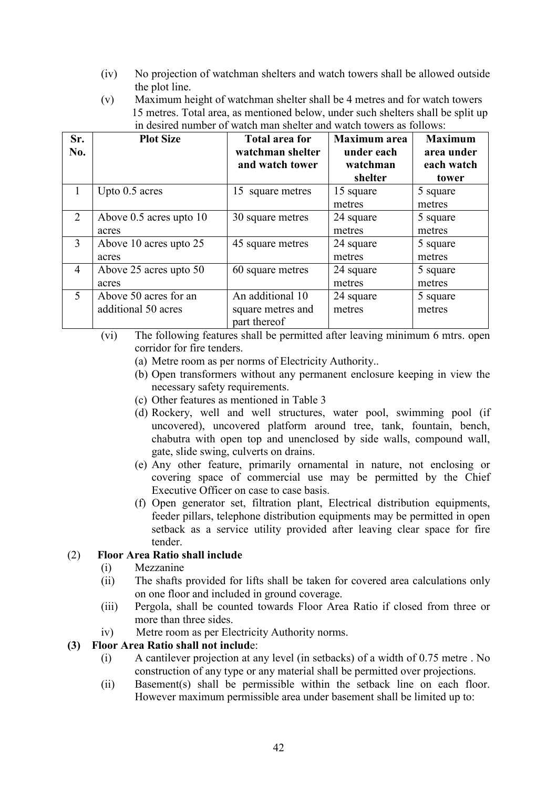- (iv) No projection of watchman shelters and watch towers shall be allowed outside the plot line.
- (v) Maximum height of watchman shelter shall be 4 metres and for watch towers 15 metres. Total area, as mentioned below, under such shelters shall be split up in desired number of watch man shelter and watch towers as follows:

| Sr.<br>No.     | <b>Plot Size</b>        | <b>Total area for</b><br>watchman shelter<br>and watch tower | <b>Maximum</b> area<br>under each<br>watchman<br>shelter | <b>Maximum</b><br>area under<br>each watch<br>tower |
|----------------|-------------------------|--------------------------------------------------------------|----------------------------------------------------------|-----------------------------------------------------|
| 1              | Upto 0.5 acres          | 15 square metres                                             | 15 square                                                | 5 square                                            |
|                |                         |                                                              | metres                                                   | metres                                              |
| $\overline{2}$ | Above 0.5 acres upto 10 | 30 square metres                                             | 24 square                                                | 5 square                                            |
|                | acres                   |                                                              | metres                                                   | metres                                              |
| 3              | Above 10 acres upto 25  | 45 square metres                                             | 24 square                                                | 5 square                                            |
|                | acres                   |                                                              | metres                                                   | metres                                              |
| $\overline{4}$ | Above 25 acres upto 50  | 60 square metres                                             | 24 square                                                | 5 square                                            |
|                | acres                   |                                                              | metres                                                   | metres                                              |
| 5              | Above 50 acres for an   | An additional 10                                             | 24 square                                                | 5 square                                            |
|                | additional 50 acres     | square metres and                                            | metres                                                   | metres                                              |
|                |                         | part thereof                                                 |                                                          |                                                     |

(vi) The following features shall be permitted after leaving minimum 6 mtrs. open corridor for fire tenders.

- (a) Metre room as per norms of Electricity Authority..
- (b) Open transformers without any permanent enclosure keeping in view the necessary safety requirements.
- (c) Other features as mentioned in Table 3
- (d) Rockery, well and well structures, water pool, swimming pool (if uncovered), uncovered platform around tree, tank, fountain, bench, chabutra with open top and unenclosed by side walls, compound wall, gate, slide swing, culverts on drains.
- (e) Any other feature, primarily ornamental in nature, not enclosing or covering space of commercial use may be permitted by the Chief Executive Officer on case to case basis.
- (f) Open generator set, filtration plant, Electrical distribution equipments, feeder pillars, telephone distribution equipments may be permitted in open setback as a service utility provided after leaving clear space for fire tender.

#### (2) Floor Area Ratio shall include

#### (i) Mezzanine

- (ii) The shafts provided for lifts shall be taken for covered area calculations only on one floor and included in ground coverage.
- (iii) Pergola, shall be counted towards Floor Area Ratio if closed from three or more than three sides.
- iv) Metre room as per Electricity Authority norms.

#### (3) Floor Area Ratio shall not include:

- (i) A cantilever projection at any level (in setbacks) of a width of 0.75 metre . No construction of any type or any material shall be permitted over projections.
- (ii) Basement(s) shall be permissible within the setback line on each floor. However maximum permissible area under basement shall be limited up to: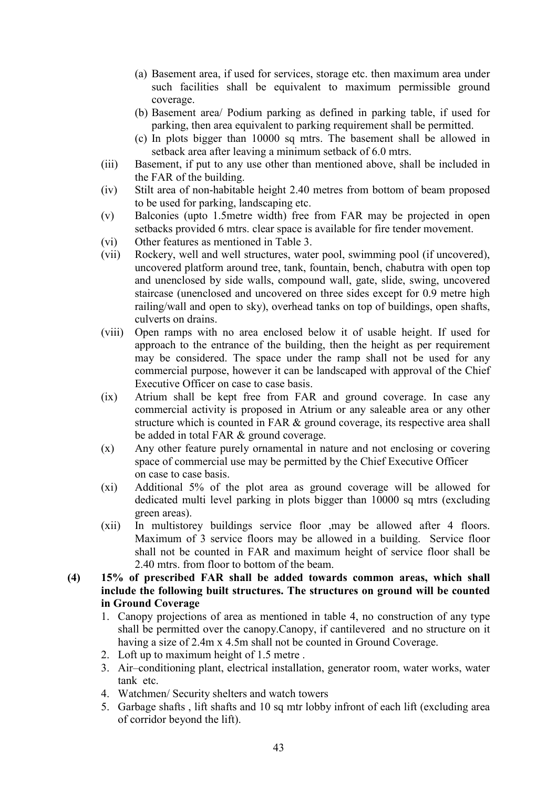- (a) Basement area, if used for services, storage etc. then maximum area under such facilities shall be equivalent to maximum permissible ground coverage.
- (b) Basement area/ Podium parking as defined in parking table, if used for parking, then area equivalent to parking requirement shall be permitted.
- (c) In plots bigger than 10000 sq mtrs. The basement shall be allowed in setback area after leaving a minimum setback of 6.0 mtrs.
- (iii) Basement, if put to any use other than mentioned above, shall be included in the FAR of the building.
- (iv) Stilt area of non-habitable height 2.40 metres from bottom of beam proposed to be used for parking, landscaping etc.
- (v) Balconies (upto 1.5metre width) free from FAR may be projected in open setbacks provided 6 mtrs. clear space is available for fire tender movement.
- (vi) Other features as mentioned in Table 3.
- (vii) Rockery, well and well structures, water pool, swimming pool (if uncovered), uncovered platform around tree, tank, fountain, bench, chabutra with open top and unenclosed by side walls, compound wall, gate, slide, swing, uncovered staircase (unenclosed and uncovered on three sides except for 0.9 metre high railing/wall and open to sky), overhead tanks on top of buildings, open shafts, culverts on drains.
- (viii) Open ramps with no area enclosed below it of usable height. If used for approach to the entrance of the building, then the height as per requirement may be considered. The space under the ramp shall not be used for any commercial purpose, however it can be landscaped with approval of the Chief Executive Officer on case to case basis.
- (ix) Atrium shall be kept free from FAR and ground coverage. In case any commercial activity is proposed in Atrium or any saleable area or any other structure which is counted in FAR & ground coverage, its respective area shall be added in total FAR & ground coverage.
- (x) Any other feature purely ornamental in nature and not enclosing or covering space of commercial use may be permitted by the Chief Executive Officer on case to case basis.
- (xi) Additional 5% of the plot area as ground coverage will be allowed for dedicated multi level parking in plots bigger than 10000 sq mtrs (excluding green areas).
- (xii) In multistorey buildings service floor ,may be allowed after 4 floors. Maximum of 3 service floors may be allowed in a building. Service floor shall not be counted in FAR and maximum height of service floor shall be 2.40 mtrs. from floor to bottom of the beam.
- (4) 15% of prescribed FAR shall be added towards common areas, which shall include the following built structures. The structures on ground will be counted in Ground Coverage
	- 1. Canopy projections of area as mentioned in table 4, no construction of any type shall be permitted over the canopy.Canopy, if cantilevered and no structure on it having a size of 2.4m x 4.5m shall not be counted in Ground Coverage.
	- 2. Loft up to maximum height of 1.5 metre .
	- 3. Air–conditioning plant, electrical installation, generator room, water works, water tank etc.
	- 4. Watchmen/ Security shelters and watch towers
	- 5. Garbage shafts , lift shafts and 10 sq mtr lobby infront of each lift (excluding area of corridor beyond the lift).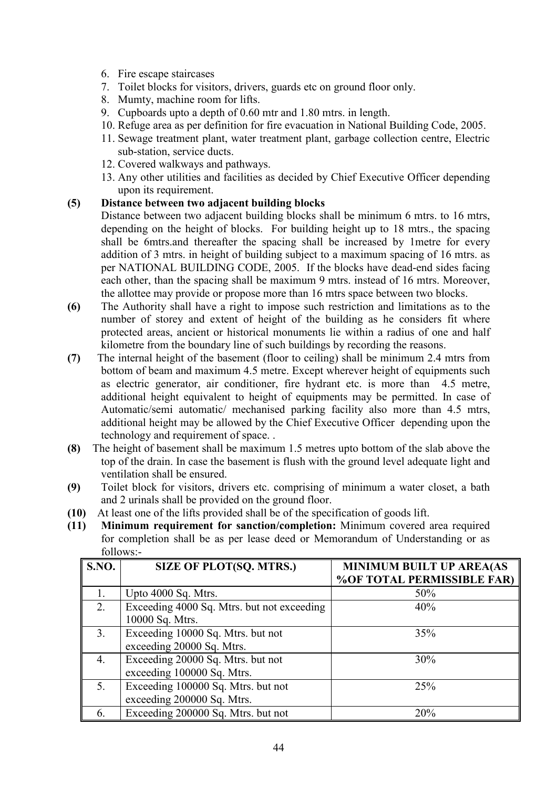- 6. Fire escape staircases
- 7. Toilet blocks for visitors, drivers, guards etc on ground floor only.
- 8. Mumty, machine room for lifts.
- 9. Cupboards upto a depth of 0.60 mtr and 1.80 mtrs. in length.
- 10. Refuge area as per definition for fire evacuation in National Building Code, 2005.
- 11. Sewage treatment plant, water treatment plant, garbage collection centre, Electric sub-station, service ducts.
- 12. Covered walkways and pathways.
- 13. Any other utilities and facilities as decided by Chief Executive Officer depending upon its requirement.

#### (5) Distance between two adjacent building blocks

- Distance between two adjacent building blocks shall be minimum 6 mtrs. to 16 mtrs, depending on the height of blocks. For building height up to 18 mtrs., the spacing shall be 6mtrs.and thereafter the spacing shall be increased by 1metre for every addition of 3 mtrs. in height of building subject to a maximum spacing of 16 mtrs. as per NATIONAL BUILDING CODE, 2005. If the blocks have dead-end sides facing each other, than the spacing shall be maximum 9 mtrs. instead of 16 mtrs. Moreover, the allottee may provide or propose more than 16 mtrs space between two blocks.
- (6) The Authority shall have a right to impose such restriction and limitations as to the number of storey and extent of height of the building as he considers fit where protected areas, ancient or historical monuments lie within a radius of one and half kilometre from the boundary line of such buildings by recording the reasons.
- (7) The internal height of the basement (floor to ceiling) shall be minimum 2.4 mtrs from bottom of beam and maximum 4.5 metre. Except wherever height of equipments such as electric generator, air conditioner, fire hydrant etc. is more than 4.5 metre, additional height equivalent to height of equipments may be permitted. In case of Automatic/semi automatic/ mechanised parking facility also more than 4.5 mtrs, additional height may be allowed by the Chief Executive Officer depending upon the technology and requirement of space. .
- (8) The height of basement shall be maximum 1.5 metres upto bottom of the slab above the top of the drain. In case the basement is flush with the ground level adequate light and ventilation shall be ensured.
- (9) Toilet block for visitors, drivers etc. comprising of minimum a water closet, a bath and 2 urinals shall be provided on the ground floor.
- (10) At least one of the lifts provided shall be of the specification of goods lift.
- (11) Minimum requirement for sanction/completion: Minimum covered area required for completion shall be as per lease deed or Memorandum of Understanding or as follows:-

| <b>S.NO.</b> | <b>SIZE OF PLOT(SQ. MTRS.)</b>             | <b>MINIMUM BUILT UP AREA(AS</b> |
|--------------|--------------------------------------------|---------------------------------|
|              |                                            | % OF TOTAL PERMISSIBLE FAR)     |
|              | Upto 4000 Sq. Mtrs.                        | 50%                             |
| 2.           | Exceeding 4000 Sq. Mtrs. but not exceeding | 40%                             |
|              | 10000 Sq. Mtrs.                            |                                 |
| 3.           | Exceeding 10000 Sq. Mtrs. but not          | 35%                             |
|              | exceeding 20000 Sq. Mtrs.                  |                                 |
| 4.           | Exceeding 20000 Sq. Mtrs. but not          | 30%                             |
|              | exceeding 100000 Sq. Mtrs.                 |                                 |
| 5.           | Exceeding 100000 Sq. Mtrs. but not         | 25%                             |
|              | exceeding 200000 Sq. Mtrs.                 |                                 |
| 6.           | Exceeding 200000 Sq. Mtrs. but not         | 20%                             |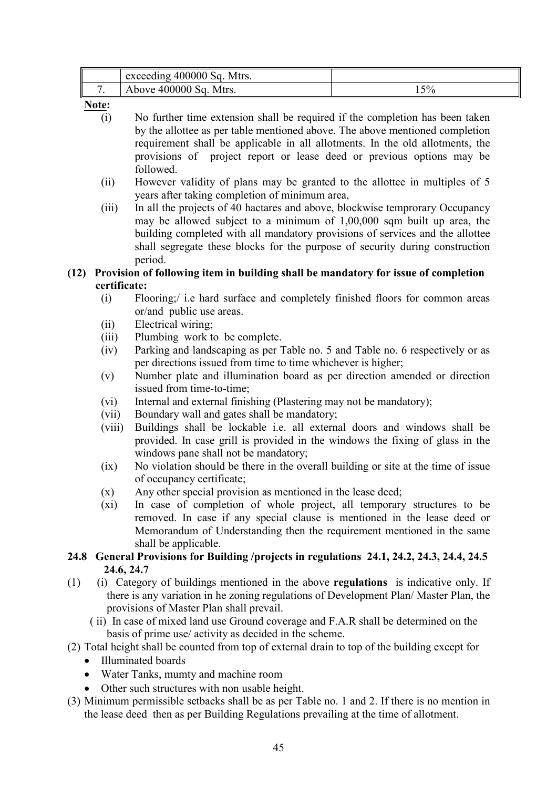| exceeding 400000 Sq. Mtrs. |    |
|----------------------------|----|
| Above 400000 Sq. Mtrs.     | 5% |

Note:

- (i) No further time extension shall be required if the completion has been taken by the allottee as per table mentioned above. The above mentioned completion requirement shall be applicable in all allotments. In the old allotments, the provisions of project report or lease deed or previous options may be followed.
- (ii) However validity of plans may be granted to the allottee in multiples of 5 years after taking completion of minimum area,
- (iii) In all the projects of 40 hactares and above, blockwise temprorary Occupancy may be allowed subject to a minimum of 1,00,000 sqm built up area, the building completed with all mandatory provisions of services and the allottee shall segregate these blocks for the purpose of security during construction period.

#### (12) Provision of following item in building shall be mandatory for issue of completion certificate:

- (i) Flooring;/ i.e hard surface and completely finished floors for common areas or/and public use areas.
- (ii) Electrical wiring;
- (iii) Plumbing work to be complete.
- (iv) Parking and landscaping as per Table no. 5 and Table no. 6 respectively or as per directions issued from time to time whichever is higher;
- (v) Number plate and illumination board as per direction amended or direction issued from time-to-time;
- (vi) Internal and external finishing (Plastering may not be mandatory);
- (vii) Boundary wall and gates shall be mandatory;
- (viii) Buildings shall be lockable i.e. all external doors and windows shall be provided. In case grill is provided in the windows the fixing of glass in the windows pane shall not be mandatory;
- (ix) No violation should be there in the overall building or site at the time of issue of occupancy certificate;
- (x) Any other special provision as mentioned in the lease deed;
- (xi) In case of completion of whole project, all temporary structures to be removed. In case if any special clause is mentioned in the lease deed or Memorandum of Understanding then the requirement mentioned in the same shall be applicable.
- 24.8 General Provisions for Building /projects in regulations 24.1, 24.2, 24.3, 24.4, 24.5 24.6, 24.7
- (1) (i) Category of buildings mentioned in the above regulations is indicative only. If there is any variation in he zoning regulations of Development Plan/ Master Plan, the provisions of Master Plan shall prevail.
	- ( ii) In case of mixed land use Ground coverage and F.A.R shall be determined on the basis of prime use/ activity as decided in the scheme.
- (2) Total height shall be counted from top of external drain to top of the building except for
	- Illuminated boards
	- Water Tanks, mumty and machine room
	- Other such structures with non usable height.
- (3) Minimum permissible setbacks shall be as per Table no. 1 and 2. If there is no mention in the lease deed then as per Building Regulations prevailing at the time of allotment.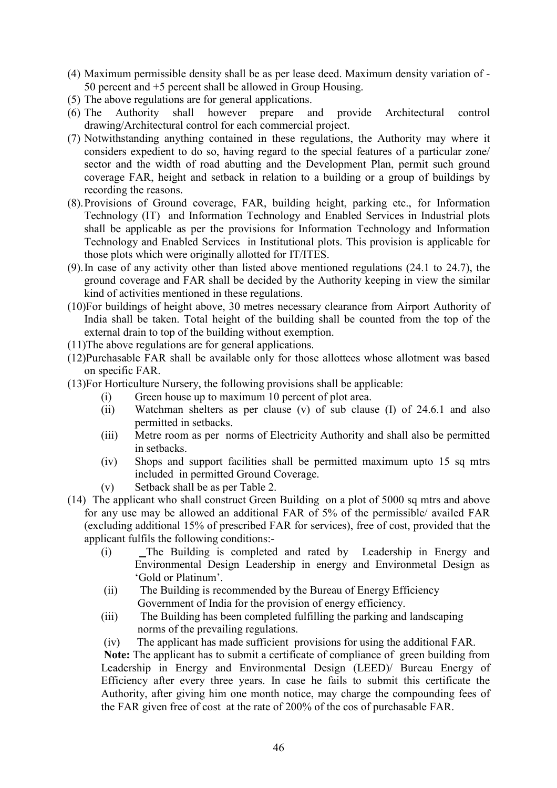- (4) Maximum permissible density shall be as per lease deed. Maximum density variation of 50 percent and +5 percent shall be allowed in Group Housing.
- (5) The above regulations are for general applications.<br>(6) The Authority shall however prepare as
- (6) The Authority shall however prepare and provide Architectural control drawing/Architectural control for each commercial project.
- (7) Notwithstanding anything contained in these regulations, the Authority may where it considers expedient to do so, having regard to the special features of a particular zone/ sector and the width of road abutting and the Development Plan, permit such ground coverage FAR, height and setback in relation to a building or a group of buildings by recording the reasons.
- (8). Provisions of Ground coverage, FAR, building height, parking etc., for Information Technology (IT) and Information Technology and Enabled Services in Industrial plots shall be applicable as per the provisions for Information Technology and Information Technology and Enabled Services in Institutional plots. This provision is applicable for those plots which were originally allotted for IT/ITES.
- (9). In case of any activity other than listed above mentioned regulations (24.1 to 24.7), the ground coverage and FAR shall be decided by the Authority keeping in view the similar kind of activities mentioned in these regulations.
- (10)For buildings of height above, 30 metres necessary clearance from Airport Authority of India shall be taken. Total height of the building shall be counted from the top of the external drain to top of the building without exemption.
- (11)The above regulations are for general applications.
- (12)Purchasable FAR shall be available only for those allottees whose allotment was based on specific FAR.
- (13)For Horticulture Nursery, the following provisions shall be applicable:
	- (i) Green house up to maximum 10 percent of plot area.
	- (ii) Watchman shelters as per clause (v) of sub clause (I) of 24.6.1 and also permitted in setbacks.
	- (iii) Metre room as per norms of Electricity Authority and shall also be permitted in setbacks.
	- (iv) Shops and support facilities shall be permitted maximum upto 15 sq mtrs included in permitted Ground Coverage.
	- (v) Setback shall be as per Table 2.
- (14) The applicant who shall construct Green Building on a plot of 5000 sq mtrs and above for any use may be allowed an additional FAR of 5% of the permissible/ availed FAR (excluding additional 15% of prescribed FAR for services), free of cost, provided that the applicant fulfils the following conditions:-
	- (i) The Building is completed and rated by Leadership in Energy and Environmental Design Leadership in energy and Environmetal Design as 'Gold or Platinum'.
	- (ii) The Building is recommended by the Bureau of Energy Efficiency Government of India for the provision of energy efficiency.
	- (iii) The Building has been completed fulfilling the parking and landscaping norms of the prevailing regulations.
	- (iv) The applicant has made sufficient provisions for using the additional FAR.

Note: The applicant has to submit a certificate of compliance of green building from Leadership in Energy and Environmental Design (LEED)/ Bureau Energy of Efficiency after every three years. In case he fails to submit this certificate the Authority, after giving him one month notice, may charge the compounding fees of the FAR given free of cost at the rate of 200% of the cos of purchasable FAR.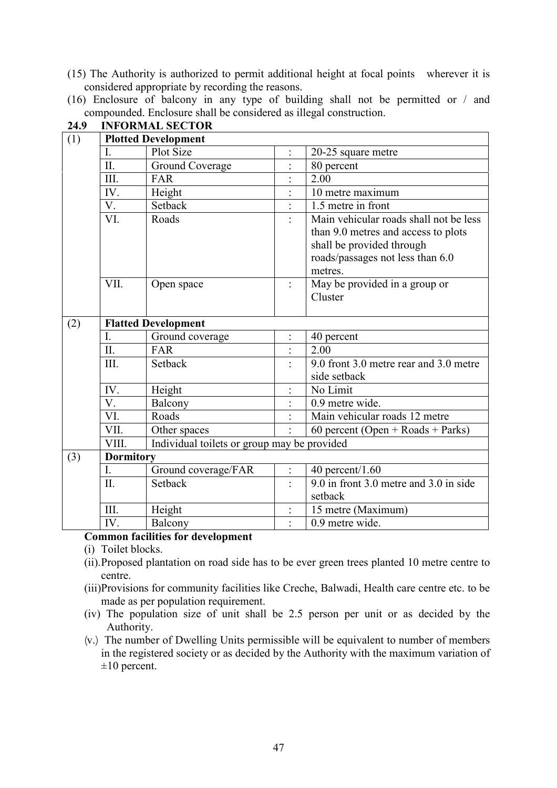- (15) The Authority is authorized to permit additional height at focal points wherever it is considered appropriate by recording the reasons.
- (16) Enclosure of balcony in any type of building shall not be permitted or / and compounded. Enclosure shall be considered as illegal construction.

| (1) | <b>Plotted Development</b> |                                             |                      |                                        |  |  |
|-----|----------------------------|---------------------------------------------|----------------------|----------------------------------------|--|--|
|     | I.                         | <b>Plot Size</b>                            |                      | 20-25 square metre                     |  |  |
|     | $\overline{\text{II}}$ .   | <b>Ground Coverage</b>                      |                      | 80 percent                             |  |  |
|     | III.                       | FAR                                         |                      | 2.00                                   |  |  |
|     | IV.                        | Height                                      |                      | 10 metre maximum                       |  |  |
|     | V.                         | Setback                                     |                      | 1.5 metre in front                     |  |  |
|     | VI.                        | Roads                                       |                      | Main vehicular roads shall not be less |  |  |
|     |                            |                                             |                      | than 9.0 metres and access to plots    |  |  |
|     |                            |                                             |                      | shall be provided through              |  |  |
|     |                            |                                             |                      | roads/passages not less than 6.0       |  |  |
|     |                            |                                             |                      | metres.                                |  |  |
|     | VII.                       | Open space                                  |                      | May be provided in a group or          |  |  |
|     |                            |                                             |                      | Cluster                                |  |  |
|     |                            |                                             |                      |                                        |  |  |
| (2) |                            | <b>Flatted Development</b>                  |                      |                                        |  |  |
|     | Ī.                         | Ground coverage                             |                      | 40 percent                             |  |  |
|     | II.                        | FAR                                         |                      | 2.00                                   |  |  |
|     | III.                       | Setback                                     |                      | 9.0 front 3.0 metre rear and 3.0 metre |  |  |
|     |                            |                                             |                      | side setback                           |  |  |
|     | IV.                        | Height                                      |                      | No Limit                               |  |  |
|     | V.                         | Balcony                                     |                      | 0.9 metre wide.                        |  |  |
|     | VI.                        | Roads                                       |                      | Main vehicular roads 12 metre          |  |  |
|     | VII.                       | Other spaces                                |                      | 60 percent (Open + Roads + Parks)      |  |  |
|     | VIII.                      | Individual toilets or group may be provided |                      |                                        |  |  |
| (3) | <b>Dormitory</b>           |                                             |                      |                                        |  |  |
|     | I.                         | Ground coverage/FAR                         | $\vdots$             | $40$ percent/ $1.60$                   |  |  |
|     | II.                        | Setback                                     | $\ddot{\phantom{1}}$ | 9.0 in front 3.0 metre and 3.0 in side |  |  |
|     |                            |                                             |                      | setback                                |  |  |
|     | III.                       | Height                                      | $\ddot{\cdot}$       | 15 metre (Maximum)                     |  |  |
|     | IV.                        | Balcony                                     |                      | 0.9 metre wide.                        |  |  |

24.9 INFORMAL SECTOR

#### Common facilities for development

- (i) Toilet blocks.
- (ii). Proposed plantation on road side has to be ever green trees planted 10 metre centre to centre.
- (iii)Provisions for community facilities like Creche, Balwadi, Health care centre etc. to be made as per population requirement.
- (iv) The population size of unit shall be 2.5 person per unit or as decided by the Authority.
- ¼v.½ The number of Dwelling Units permissible will be equivalent to number of members in the registered society or as decided by the Authority with the maximum variation of  $\pm 10$  percent.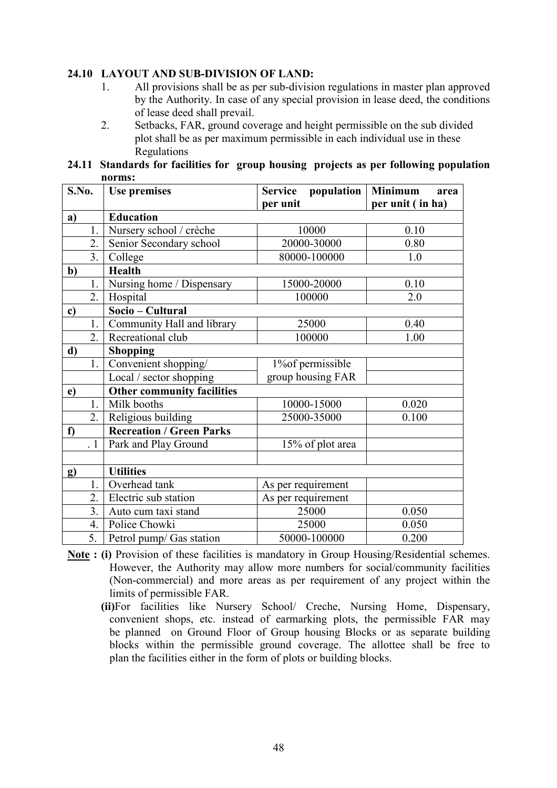#### 24.10 LAYOUT AND SUB-DIVISION OF LAND:

- 1. All provisions shall be as per sub-division regulations in master plan approved by the Authority. In case of any special provision in lease deed, the conditions of lease deed shall prevail.
- 2. Setbacks, FAR, ground coverage and height permissible on the sub divided plot shall be as per maximum permissible in each individual use in these Regulations

24.11 Standards for facilities for group housing projects as per following population norms:

| S.No.    |           | <b>Use premises</b>               | Service population | <b>Minimum</b><br>area |
|----------|-----------|-----------------------------------|--------------------|------------------------|
|          |           |                                   | per unit           | per unit (in ha)       |
| a)       |           | <b>Education</b>                  |                    |                        |
|          | 1.        | Nursery school / crèche           | 10000              | 0.10                   |
|          | 2.        | Senior Secondary school           | 20000-30000        | 0.80                   |
|          | 3.        | College                           | 80000-100000       | 1.0                    |
| b)       |           | <b>Health</b>                     |                    |                        |
|          | 1.        | Nursing home / Dispensary         | 15000-20000        | 0.10                   |
|          | 2.        | Hospital                          | 100000             | 2.0                    |
| c)       |           | Socio – Cultural                  |                    |                        |
|          | 1.        | Community Hall and library        | 25000              | 0.40                   |
|          | 2.        | Recreational club                 | 100000             | 1.00                   |
| d)       |           | <b>Shopping</b>                   |                    |                        |
|          | 1.        | Convenient shopping/              | 1% of permissible  |                        |
|          |           | Local / sector shopping           | group housing FAR  |                        |
| e)       |           | <b>Other community facilities</b> |                    |                        |
|          | 1.        | Milk booths                       | 10000-15000        | 0.020                  |
|          | 2.        | Religious building                | 25000-35000        | 0.100                  |
| f        |           | <b>Recreation / Green Parks</b>   |                    |                        |
|          | $\cdot$ 1 | Park and Play Ground              | 15% of plot area   |                        |
|          |           |                                   |                    |                        |
| $\bf{g}$ |           | <b>Utilities</b>                  |                    |                        |
|          | 1.        | Overhead tank                     | As per requirement |                        |
|          | 2.        | Electric sub station              | As per requirement |                        |
|          | 3.        | Auto cum taxi stand               | 25000              | 0.050                  |
|          | 4.        | Police Chowki                     | 25000              | 0.050                  |
|          | 5.        | Petrol pump/ Gas station          | 50000-100000       | 0.200                  |

- Note : (i) Provision of these facilities is mandatory in Group Housing/Residential schemes. However, the Authority may allow more numbers for social/community facilities (Non-commercial) and more areas as per requirement of any project within the limits of permissible FAR.
	- (ii)For facilities like Nursery School/ Creche, Nursing Home, Dispensary, convenient shops, etc. instead of earmarking plots, the permissible FAR may be planned on Ground Floor of Group housing Blocks or as separate building blocks within the permissible ground coverage. The allottee shall be free to plan the facilities either in the form of plots or building blocks.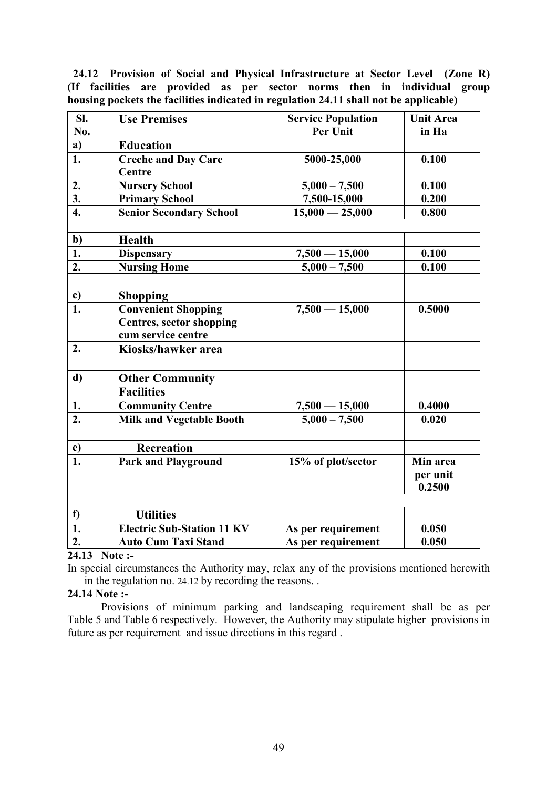24.12 Provision of Social and Physical Infrastructure at Sector Level (Zone R) (If facilities are provided as per sector norms then in individual group housing pockets the facilities indicated in regulation 24.11 shall not be applicable)

| SI.                       | <b>Use Premises</b>               | <b>Service Population</b> | <b>Unit Area</b> |
|---------------------------|-----------------------------------|---------------------------|------------------|
| No.                       |                                   | Per Unit                  | in Ha            |
| a)                        | <b>Education</b>                  |                           |                  |
| $\overline{1}$ .          | <b>Creche and Day Care</b>        | 5000-25,000               | 0.100            |
|                           | Centre                            |                           |                  |
| 2.                        | <b>Nursery School</b>             | $5,000 - 7,500$           | 0.100            |
| $\overline{\mathbf{3}}$ . | <b>Primary School</b>             | 7,500-15,000              | 0.200            |
| $\overline{4}$ .          | <b>Senior Secondary School</b>    | $15,000 - 25,000$         | 0.800            |
|                           |                                   |                           |                  |
| $rac{b}{1}$               | Health                            |                           |                  |
|                           | <b>Dispensary</b>                 | $7,500 - 15,000$          | 0.100            |
| 2.                        | <b>Nursing Home</b>               | $5,000 - 7,500$           | 0.100            |
|                           |                                   |                           |                  |
| c)                        | <b>Shopping</b>                   |                           |                  |
| 1.                        | <b>Convenient Shopping</b>        | $7,500 - 15,000$          | 0.5000           |
|                           | <b>Centres, sector shopping</b>   |                           |                  |
|                           | cum service centre                |                           |                  |
| 2.                        | Kiosks/hawker area                |                           |                  |
|                           |                                   |                           |                  |
| d)                        | <b>Other Community</b>            |                           |                  |
|                           | <b>Facilities</b>                 |                           |                  |
| 1.                        | <b>Community Centre</b>           | $7,500 - 15,000$          | 0.4000           |
| 2.                        | <b>Milk and Vegetable Booth</b>   | $5,000 - 7,500$           | 0.020            |
|                           |                                   |                           |                  |
| e)                        | <b>Recreation</b>                 |                           |                  |
| 1.                        | <b>Park and Playground</b>        | 15% of plot/sector        | Min area         |
|                           |                                   |                           | per unit         |
|                           |                                   |                           | 0.2500           |
|                           |                                   |                           |                  |
| f)                        | <b>Utilities</b>                  |                           |                  |
| $\overline{1}$ .          | <b>Electric Sub-Station 11 KV</b> | As per requirement        | 0.050            |
| $\overline{2}$ .          | <b>Auto Cum Taxi Stand</b>        | As per requirement        | 0.050            |

#### 24.13 Note :-

In special circumstances the Authority may, relax any of the provisions mentioned herewith in the regulation no. 24.12 by recording the reasons. .

#### 24.14 Note :-

 Provisions of minimum parking and landscaping requirement shall be as per Table 5 and Table 6 respectively. However, the Authority may stipulate higher provisions in future as per requirement and issue directions in this regard .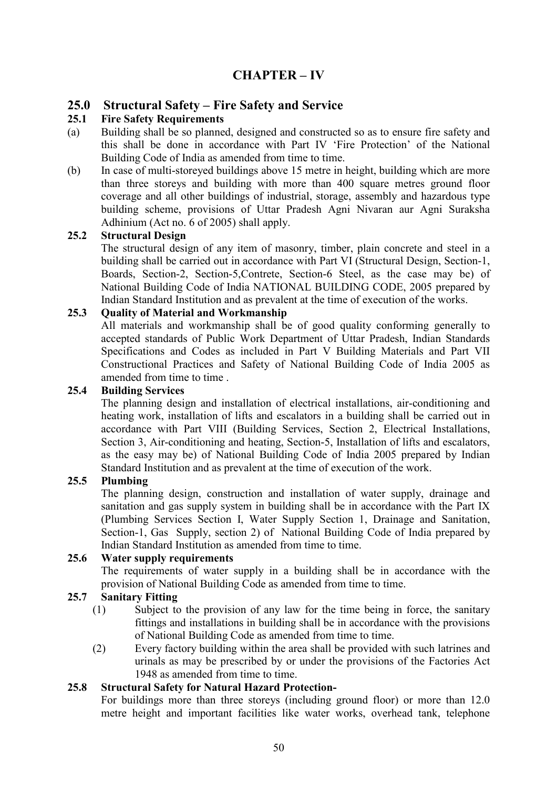# CHAPTER – IV

# 25.0 Structural Safety – Fire Safety and Service<br>25.1 Fire Safety Requirements

#### **Fire Safety Requirements**

- (a) Building shall be so planned, designed and constructed so as to ensure fire safety and this shall be done in accordance with Part IV 'Fire Protection' of the National Building Code of India as amended from time to time.
- (b) In case of multi-storeyed buildings above 15 metre in height, building which are more than three storeys and building with more than 400 square metres ground floor coverage and all other buildings of industrial, storage, assembly and hazardous type building scheme, provisions of Uttar Pradesh Agni Nivaran aur Agni Suraksha Adhinium (Act no. 6 of 2005) shall apply.

#### 25.2 Structural Design

 The structural design of any item of masonry, timber, plain concrete and steel in a building shall be carried out in accordance with Part VI (Structural Design, Section-1, Boards, Section-2, Section-5,Contrete, Section-6 Steel, as the case may be) of National Building Code of India NATIONAL BUILDING CODE, 2005 prepared by Indian Standard Institution and as prevalent at the time of execution of the works.

#### 25.3 Quality of Material and Workmanship

 All materials and workmanship shall be of good quality conforming generally to accepted standards of Public Work Department of Uttar Pradesh, Indian Standards Specifications and Codes as included in Part V Building Materials and Part VII Constructional Practices and Safety of National Building Code of India 2005 as amended from time to time.

#### 25.4 Building Services

 The planning design and installation of electrical installations, air-conditioning and heating work, installation of lifts and escalators in a building shall be carried out in accordance with Part VIII (Building Services, Section 2, Electrical Installations, Section 3, Air-conditioning and heating, Section-5, Installation of lifts and escalators, as the easy may be) of National Building Code of India 2005 prepared by Indian Standard Institution and as prevalent at the time of execution of the work.

#### 25.5 Plumbing

 The planning design, construction and installation of water supply, drainage and sanitation and gas supply system in building shall be in accordance with the Part IX (Plumbing Services Section I, Water Supply Section 1, Drainage and Sanitation, Section-1, Gas Supply, section 2) of National Building Code of India prepared by Indian Standard Institution as amended from time to time.

#### 25.6 Water supply requirements

 The requirements of water supply in a building shall be in accordance with the provision of National Building Code as amended from time to time.

#### 25.7 Sanitary Fitting

- (1) Subject to the provision of any law for the time being in force, the sanitary fittings and installations in building shall be in accordance with the provisions of National Building Code as amended from time to time.
- (2) Every factory building within the area shall be provided with such latrines and urinals as may be prescribed by or under the provisions of the Factories Act 1948 as amended from time to time.

#### 25.8 Structural Safety for Natural Hazard Protection-

 For buildings more than three storeys (including ground floor) or more than 12.0 metre height and important facilities like water works, overhead tank, telephone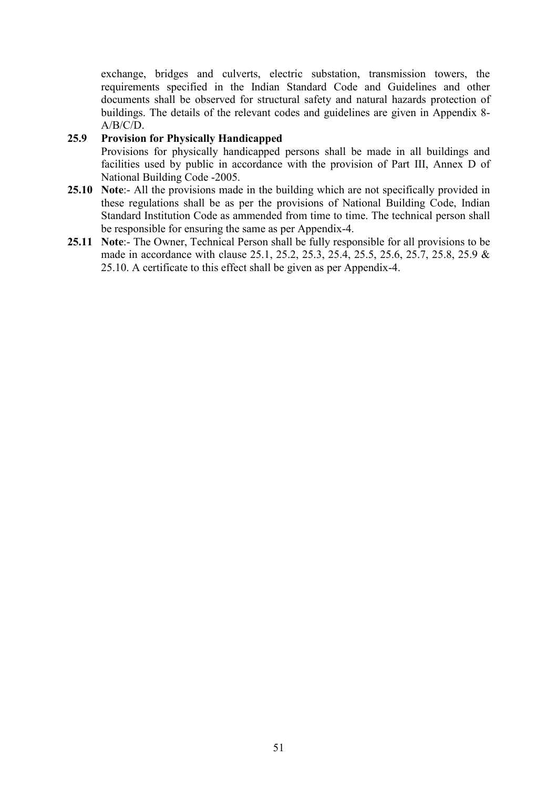exchange, bridges and culverts, electric substation, transmission towers, the requirements specified in the Indian Standard Code and Guidelines and other documents shall be observed for structural safety and natural hazards protection of buildings. The details of the relevant codes and guidelines are given in Appendix 8-  $A/B/C/D$ .

#### 25.9 Provision for Physically Handicapped

 Provisions for physically handicapped persons shall be made in all buildings and facilities used by public in accordance with the provision of Part III, Annex D of National Building Code -2005.

- 25.10 Note:- All the provisions made in the building which are not specifically provided in these regulations shall be as per the provisions of National Building Code, Indian Standard Institution Code as ammended from time to time. The technical person shall be responsible for ensuring the same as per Appendix-4.
- 25.11 Note:- The Owner, Technical Person shall be fully responsible for all provisions to be made in accordance with clause 25.1, 25.2, 25.3, 25.4, 25.5, 25.6, 25.7, 25.8, 25.9 & 25.10. A certificate to this effect shall be given as per Appendix-4.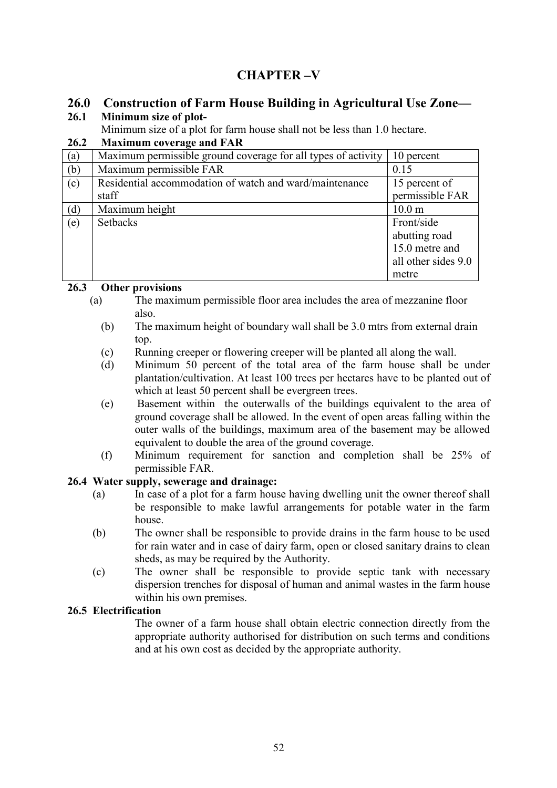# CHAPTER –V

# 26.0 Construction of Farm House Building in Agricultural Use Zone—

# 26.1 Minimum size of plot-

Minimum size of a plot for farm house shall not be less than 1.0 hectare.

### 26.2 Maximum coverage and FAR

| $\left( \text{a}\right)$ | Maximum permissible ground coverage for all types of activity | 10 percent          |
|--------------------------|---------------------------------------------------------------|---------------------|
| (b)                      | Maximum permissible FAR                                       | 0.15                |
| (c)                      | Residential accommodation of watch and ward/maintenance       | 15 percent of       |
|                          | staff                                                         | permissible FAR     |
| (d)                      | Maximum height                                                | 10.0 <sub>m</sub>   |
| (e)                      | <b>Setbacks</b>                                               | Front/side          |
|                          |                                                               | abutting road       |
|                          |                                                               | 15.0 metre and      |
|                          |                                                               | all other sides 9.0 |
|                          |                                                               | metre               |

#### 26.3 Other provisions

- (a) The maximum permissible floor area includes the area of mezzanine floor also.
	- (b) The maximum height of boundary wall shall be 3.0 mtrs from external drain top.
	- (c) Running creeper or flowering creeper will be planted all along the wall.
	- (d) Minimum 50 percent of the total area of the farm house shall be under plantation/cultivation. At least 100 trees per hectares have to be planted out of which at least 50 percent shall be evergreen trees.
	- (e) Basement within the outerwalls of the buildings equivalent to the area of ground coverage shall be allowed. In the event of open areas falling within the outer walls of the buildings, maximum area of the basement may be allowed equivalent to double the area of the ground coverage.
	- (f) Minimum requirement for sanction and completion shall be 25% of permissible FAR.

# 26.4 Water supply, sewerage and drainage:

- (a) In case of a plot for a farm house having dwelling unit the owner thereof shall be responsible to make lawful arrangements for potable water in the farm house.
- (b) The owner shall be responsible to provide drains in the farm house to be used for rain water and in case of dairy farm, open or closed sanitary drains to clean sheds, as may be required by the Authority.
- (c) The owner shall be responsible to provide septic tank with necessary dispersion trenches for disposal of human and animal wastes in the farm house within his own premises.

# 26.5 Electrification

The owner of a farm house shall obtain electric connection directly from the appropriate authority authorised for distribution on such terms and conditions and at his own cost as decided by the appropriate authority.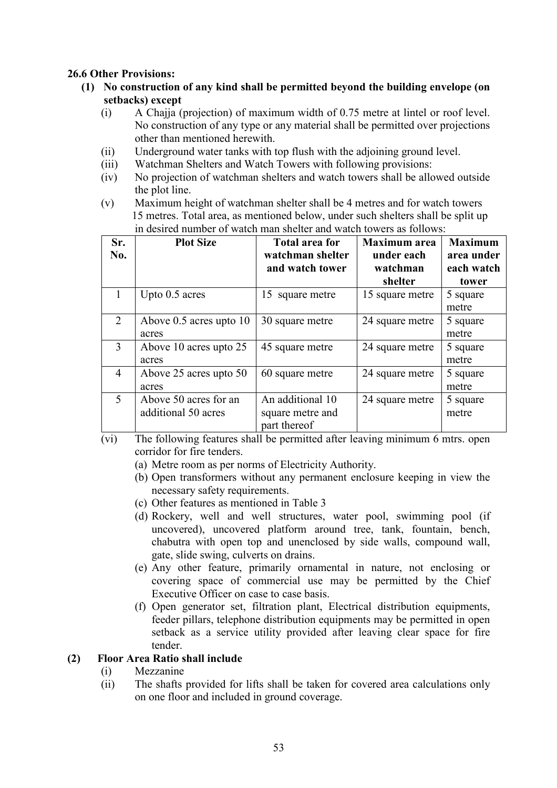#### 26.6 Other Provisions:

- (1) No construction of any kind shall be permitted beyond the building envelope (on setbacks) except
	- (i) A Chajja (projection) of maximum width of 0.75 metre at lintel or roof level. No construction of any type or any material shall be permitted over projections other than mentioned herewith.
	- (ii) Underground water tanks with top flush with the adjoining ground level.
	- (iii) Watchman Shelters and Watch Towers with following provisions:
	- (iv) No projection of watchman shelters and watch towers shall be allowed outside the plot line.
	- (v) Maximum height of watchman shelter shall be 4 metres and for watch towers 15 metres. Total area, as mentioned below, under such shelters shall be split up in desired number of watch man shelter and watch towers as follows:

| Sr.<br>No.     | <b>Plot Size</b>        | <b>Total area for</b><br>watchman shelter<br>and watch tower | <b>Maximum</b> area<br>under each<br>watchman | <b>Maximum</b><br>area under<br>each watch |
|----------------|-------------------------|--------------------------------------------------------------|-----------------------------------------------|--------------------------------------------|
|                |                         |                                                              | shelter                                       | tower                                      |
| 1              | Upto 0.5 acres          | 15 square metre                                              | 15 square metre                               | 5 square                                   |
|                |                         |                                                              |                                               | metre                                      |
| 2              | Above 0.5 acres upto 10 | 30 square metre                                              | 24 square metre                               | 5 square                                   |
|                | acres                   |                                                              |                                               | metre                                      |
| 3              | Above 10 acres upto 25  | 45 square metre                                              | 24 square metre                               | 5 square                                   |
|                | acres                   |                                                              |                                               | metre                                      |
| $\overline{4}$ | Above 25 acres upto 50  | 60 square metre                                              | 24 square metre                               | 5 square                                   |
|                | acres                   |                                                              |                                               | metre                                      |
| 5              | Above 50 acres for an   | An additional 10                                             | 24 square metre                               | 5 square                                   |
|                | additional 50 acres     | square metre and                                             |                                               | metre                                      |
|                |                         | part thereof                                                 |                                               |                                            |

- (vi) The following features shall be permitted after leaving minimum 6 mtrs. open corridor for fire tenders.
	- (a) Metre room as per norms of Electricity Authority.
	- (b) Open transformers without any permanent enclosure keeping in view the necessary safety requirements.
	- (c) Other features as mentioned in Table 3
	- (d) Rockery, well and well structures, water pool, swimming pool (if uncovered), uncovered platform around tree, tank, fountain, bench, chabutra with open top and unenclosed by side walls, compound wall, gate, slide swing, culverts on drains.
	- (e) Any other feature, primarily ornamental in nature, not enclosing or covering space of commercial use may be permitted by the Chief Executive Officer on case to case basis.
	- (f) Open generator set, filtration plant, Electrical distribution equipments, feeder pillars, telephone distribution equipments may be permitted in open setback as a service utility provided after leaving clear space for fire tender.

#### (2) Floor Area Ratio shall include

- (i) Mezzanine
- (ii) The shafts provided for lifts shall be taken for covered area calculations only on one floor and included in ground coverage.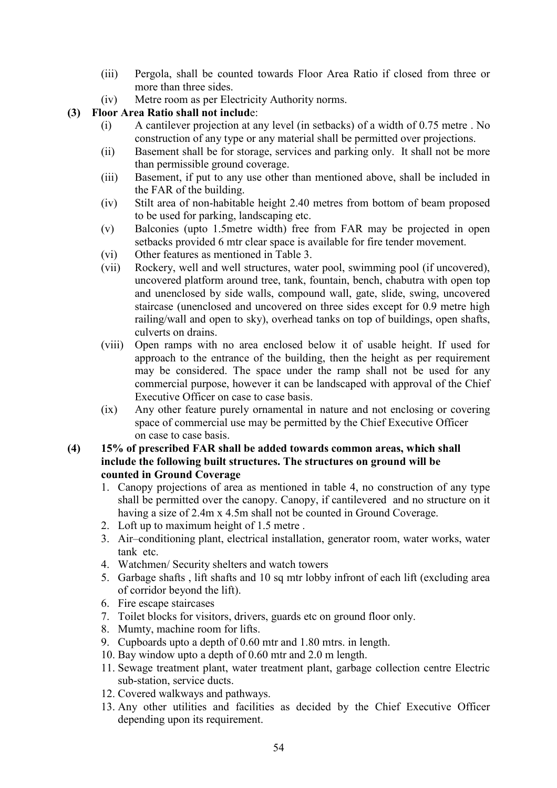- (iii) Pergola, shall be counted towards Floor Area Ratio if closed from three or more than three sides.
- (iv) Metre room as per Electricity Authority norms.

#### (3) Floor Area Ratio shall not include:

- (i) A cantilever projection at any level (in setbacks) of a width of 0.75 metre . No construction of any type or any material shall be permitted over projections.
- (ii) Basement shall be for storage, services and parking only. It shall not be more than permissible ground coverage.
- (iii) Basement, if put to any use other than mentioned above, shall be included in the FAR of the building.
- (iv) Stilt area of non-habitable height 2.40 metres from bottom of beam proposed to be used for parking, landscaping etc.
- (v) Balconies (upto 1.5metre width) free from FAR may be projected in open setbacks provided 6 mtr clear space is available for fire tender movement.
- (vi) Other features as mentioned in Table 3.
- (vii) Rockery, well and well structures, water pool, swimming pool (if uncovered), uncovered platform around tree, tank, fountain, bench, chabutra with open top and unenclosed by side walls, compound wall, gate, slide, swing, uncovered staircase (unenclosed and uncovered on three sides except for 0.9 metre high railing/wall and open to sky), overhead tanks on top of buildings, open shafts, culverts on drains.
- (viii) Open ramps with no area enclosed below it of usable height. If used for approach to the entrance of the building, then the height as per requirement may be considered. The space under the ramp shall not be used for any commercial purpose, however it can be landscaped with approval of the Chief Executive Officer on case to case basis.
- (ix) Any other feature purely ornamental in nature and not enclosing or covering space of commercial use may be permitted by the Chief Executive Officer on case to case basis.

#### (4) 15% of prescribed FAR shall be added towards common areas, which shall include the following built structures. The structures on ground will be counted in Ground Coverage

- 1. Canopy projections of area as mentioned in table 4, no construction of any type shall be permitted over the canopy. Canopy, if cantilevered and no structure on it having a size of 2.4m x 4.5m shall not be counted in Ground Coverage.
- 2. Loft up to maximum height of 1.5 metre .
- 3. Air–conditioning plant, electrical installation, generator room, water works, water tank etc.
- 4. Watchmen/ Security shelters and watch towers
- 5. Garbage shafts , lift shafts and 10 sq mtr lobby infront of each lift (excluding area of corridor beyond the lift).
- 6. Fire escape staircases
- 7. Toilet blocks for visitors, drivers, guards etc on ground floor only.
- 8. Mumty, machine room for lifts.
- 9. Cupboards upto a depth of 0.60 mtr and 1.80 mtrs. in length.
- 10. Bay window upto a depth of 0.60 mtr and 2.0 m length.
- 11. Sewage treatment plant, water treatment plant, garbage collection centre Electric sub-station, service ducts.
- 12. Covered walkways and pathways.
- 13. Any other utilities and facilities as decided by the Chief Executive Officer depending upon its requirement.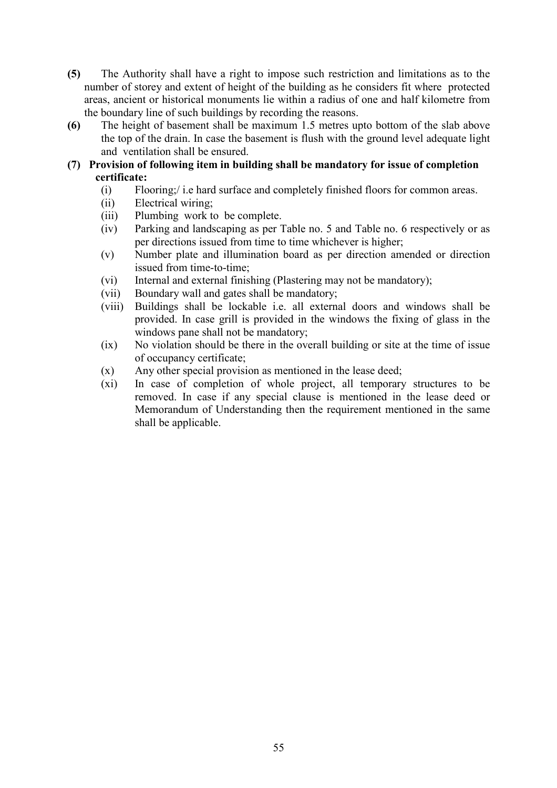- (5) The Authority shall have a right to impose such restriction and limitations as to the number of storey and extent of height of the building as he considers fit where protected areas, ancient or historical monuments lie within a radius of one and half kilometre from the boundary line of such buildings by recording the reasons.
- (6) The height of basement shall be maximum 1.5 metres upto bottom of the slab above the top of the drain. In case the basement is flush with the ground level adequate light and ventilation shall be ensured.
- (7) Provision of following item in building shall be mandatory for issue of completion certificate:
	- (i) Flooring;/ i.e hard surface and completely finished floors for common areas.
	- (ii) Electrical wiring;
	- (iii) Plumbing work to be complete.
	- (iv) Parking and landscaping as per Table no. 5 and Table no. 6 respectively or as per directions issued from time to time whichever is higher;
	- (v) Number plate and illumination board as per direction amended or direction issued from time-to-time;
	- (vi) Internal and external finishing (Plastering may not be mandatory);
	- (vii) Boundary wall and gates shall be mandatory;
	- (viii) Buildings shall be lockable i.e. all external doors and windows shall be provided. In case grill is provided in the windows the fixing of glass in the windows pane shall not be mandatory;
	- (ix) No violation should be there in the overall building or site at the time of issue of occupancy certificate;
	- (x) Any other special provision as mentioned in the lease deed;
	- (xi) In case of completion of whole project, all temporary structures to be removed. In case if any special clause is mentioned in the lease deed or Memorandum of Understanding then the requirement mentioned in the same shall be applicable.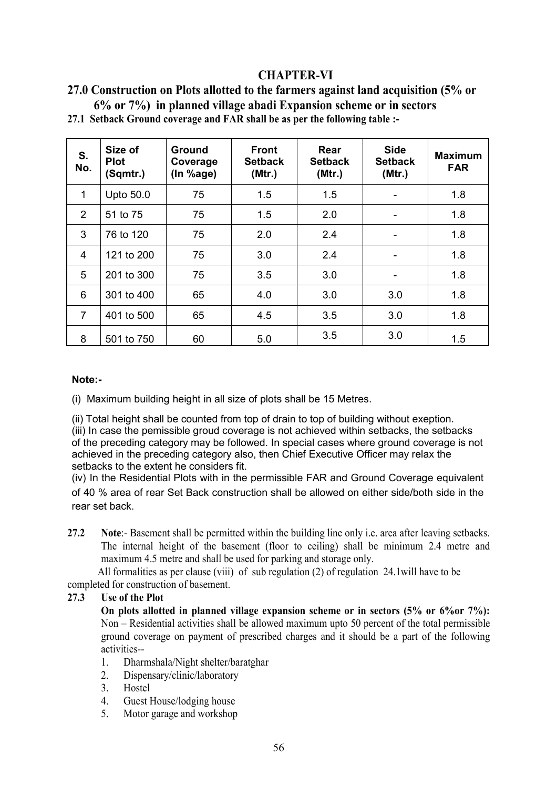# CHAPTER-VI

| 27.0 Construction on Plots allotted to the farmers against land acquisition (5% or |  |
|------------------------------------------------------------------------------------|--|
| $6\%$ or $7\%$ ) in planned village abadi Expansion scheme or in sectors           |  |

| S.<br>No.      | Size of<br><b>Plot</b><br>(Sqmtr.) | Ground<br>Coverage<br>(In %age) | <b>Front</b><br><b>Setback</b><br>(Mtr.) | Rear<br><b>Setback</b><br>(Mtr.) | <b>Side</b><br><b>Setback</b><br>(Mtr.) | <b>Maximum</b><br><b>FAR</b> |
|----------------|------------------------------------|---------------------------------|------------------------------------------|----------------------------------|-----------------------------------------|------------------------------|
| $\mathbf{1}$   | Upto 50.0                          | 75                              | 1.5                                      | 1.5                              |                                         | 1.8                          |
| $\overline{2}$ | 51 to 75                           | 75                              | 1.5                                      | 2.0                              |                                         | 1.8                          |
| 3              | 76 to 120                          | 75                              | 2.0                                      | 2.4                              |                                         | 1.8                          |
| 4              | 121 to 200                         | 75                              | 3.0                                      | 2.4                              |                                         | 1.8                          |
| 5              | 201 to 300                         | 75                              | 3.5                                      | 3.0                              |                                         | 1.8                          |
| 6              | 301 to 400                         | 65                              | 4.0                                      | 3.0                              | 3.0                                     | 1.8                          |
| $\overline{7}$ | 401 to 500                         | 65                              | 4.5                                      | 3.5                              | 3.0                                     | 1.8                          |
| 8              | 501 to 750                         | 60                              | 5.0                                      | 3.5                              | 3.0                                     | 1.5                          |

27.1 Setback Ground coverage and FAR shall be as per the following table :-

#### Note:-

(i) Maximum building height in all size of plots shall be 15 Metres.

(ii) Total height shall be counted from top of drain to top of building without exeption.

(iii) In case the pemissible groud coverage is not achieved within setbacks, the setbacks of the preceding category may be followed. In special cases where ground coverage is not achieved in the preceding category also, then Chief Executive Officer may relax the setbacks to the extent he considers fit.

(iv) In the Residential Plots with in the permissible FAR and Ground Coverage equivalent of 40 % area of rear Set Back construction shall be allowed on either side/both side in the rear set back.

27.2 Note:- Basement shall be permitted within the building line only i.e. area after leaving setbacks. The internal height of the basement (floor to ceiling) shall be minimum 2.4 metre and maximum 4.5 metre and shall be used for parking and storage only.

 All formalities as per clause (viii) of sub regulation (2) of regulation 24.1will have to be completed for construction of basement.

#### 27.3 Use of the Plot

On plots allotted in planned village expansion scheme or in sectors (5% or 6%or 7%): Non – Residential activities shall be allowed maximum upto 50 percent of the total permissible ground coverage on payment of prescribed charges and it should be a part of the following activities--

- 1. Dharmshala/Night shelter/baratghar
- 2. Dispensary/clinic/laboratory
- 3. Hostel
- 4. Guest House/lodging house
- 5. Motor garage and workshop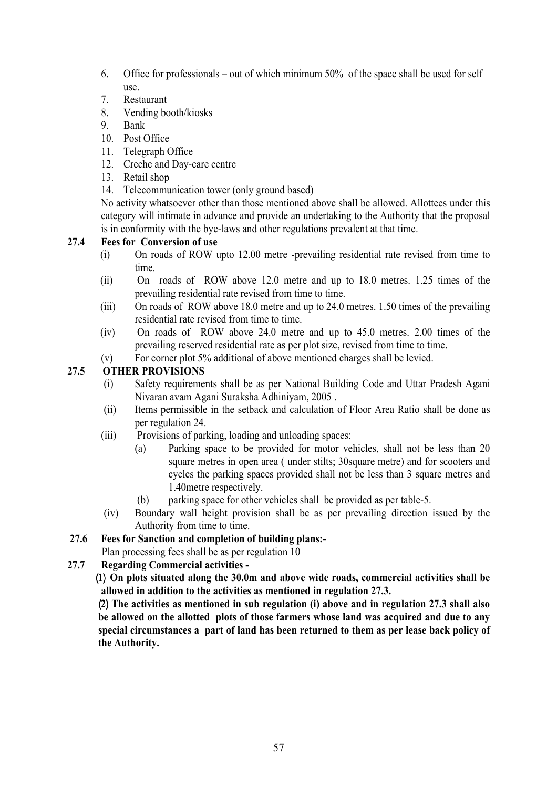- 6. Office for professionals out of which minimum 50% of the space shall be used for self use.
- 7. Restaurant
- 8. Vending booth/kiosks
- 9. Bank
- 10. Post Office
- 11. Telegraph Office
- 12. Creche and Day-care centre
- 13. Retail shop
- 14. Telecommunication tower (only ground based)

No activity whatsoever other than those mentioned above shall be allowed. Allottees under this category will intimate in advance and provide an undertaking to the Authority that the proposal is in conformity with the bye-laws and other regulations prevalent at that time.

#### 27.4 Fees for Conversion of use

- (i) On roads of ROW upto 12.00 metre -prevailing residential rate revised from time to time.
- (ii) On roads of ROW above 12.0 metre and up to 18.0 metres. 1.25 times of the prevailing residential rate revised from time to time.
- (iii) On roads of ROW above 18.0 metre and up to 24.0 metres. 1.50 times of the prevailing residential rate revised from time to time.
- (iv) On roads of ROW above 24.0 metre and up to 45.0 metres. 2.00 times of the prevailing reserved residential rate as per plot size, revised from time to time.
- (v) For corner plot 5% additional of above mentioned charges shall be levied.

#### 27.5 OTHER PROVISIONS

- (i) Safety requirements shall be as per National Building Code and Uttar Pradesh Agani Nivaran avam Agani Suraksha Adhiniyam, 2005 .
- (ii) Items permissible in the setback and calculation of Floor Area Ratio shall be done as per regulation 24.
- (iii) Provisions of parking, loading and unloading spaces:
	- (a) Parking space to be provided for motor vehicles, shall not be less than 20 square metres in open area ( under stilts; 30square metre) and for scooters and cycles the parking spaces provided shall not be less than 3 square metres and 1.40metre respectively.
	- (b) parking space for other vehicles shall be provided as per table-5.
- (iv) Boundary wall height provision shall be as per prevailing direction issued by the Authority from time to time.
- 27.6 Fees for Sanction and completion of building plans:-
	- Plan processing fees shall be as per regulation 10
- 27.7 Regarding Commercial activities -

¼1½ On plots situated along the 30.0m and above wide roads, commercial activities shall be allowed in addition to the activities as mentioned in regulation 27.3.

¼2½ The activities as mentioned in sub regulation (i) above and in regulation 27.3 shall also be allowed on the allotted plots of those farmers whose land was acquired and due to any special circumstances a part of land has been returned to them as per lease back policy of the Authority.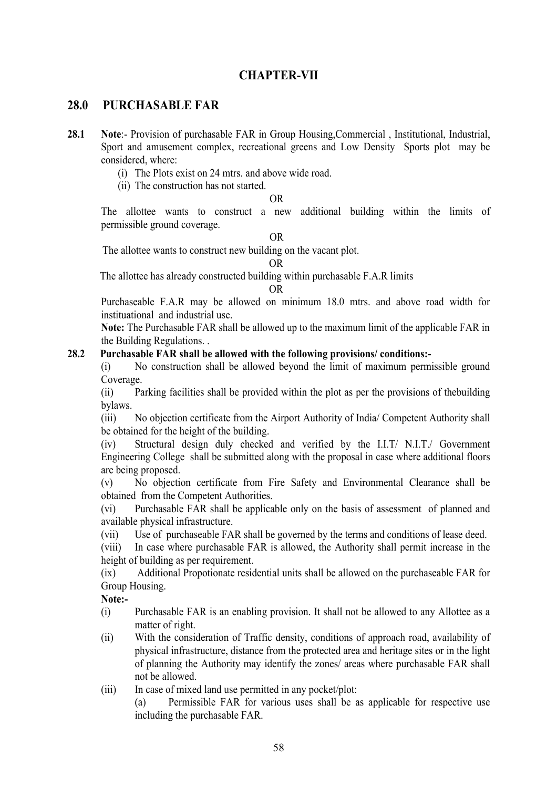# CHAPTER-VII

### 28.0 PURCHASABLE FAR

- 28.1 Note:- Provision of purchasable FAR in Group Housing, Commercial, Institutional, Industrial, Sport and amusement complex, recreational greens and Low Density Sports plot may be considered, where:
	- (i) The Plots exist on 24 mtrs. and above wide road.
	- (ii) The construction has not started.

#### OR

The allottee wants to construct a new additional building within the limits of permissible ground coverage.

OR

The allottee wants to construct new building on the vacant plot.

OR

The allottee has already constructed building within purchasable F.A.R limits

#### OR

Purchaseable F.A.R may be allowed on minimum 18.0 mtrs. and above road width for instituational and industrial use.

Note: The Purchasable FAR shall be allowed up to the maximum limit of the applicable FAR in the Building Regulations. .

#### 28.2 Purchasable FAR shall be allowed with the following provisions/ conditions:-

(i) No construction shall be allowed beyond the limit of maximum permissible ground Coverage.

(ii) Parking facilities shall be provided within the plot as per the provisions of thebuilding bylaws.

(iii) No objection certificate from the Airport Authority of India/ Competent Authority shall be obtained for the height of the building.

(iv) Structural design duly checked and verified by the I.I.T/ N.I.T./ Government Engineering College shall be submitted along with the proposal in case where additional floors are being proposed.

(v) No objection certificate from Fire Safety and Environmental Clearance shall be obtained from the Competent Authorities.

(vi) Purchasable FAR shall be applicable only on the basis of assessment of planned and available physical infrastructure.

(vii) Use of purchaseable FAR shall be governed by the terms and conditions of lease deed.

(viii) In case where purchasable FAR is allowed, the Authority shall permit increase in the height of building as per requirement.

(ix) Additional Propotionate residential units shall be allowed on the purchaseable FAR for Group Housing.

Note:-

- (i) Purchasable FAR is an enabling provision. It shall not be allowed to any Allottee as a matter of right.
- (ii) With the consideration of Traffic density, conditions of approach road, availability of physical infrastructure, distance from the protected area and heritage sites or in the light of planning the Authority may identify the zones/ areas where purchasable FAR shall not be allowed.

(iii) In case of mixed land use permitted in any pocket/plot:

(a) Permissible FAR for various uses shall be as applicable for respective use including the purchasable FAR.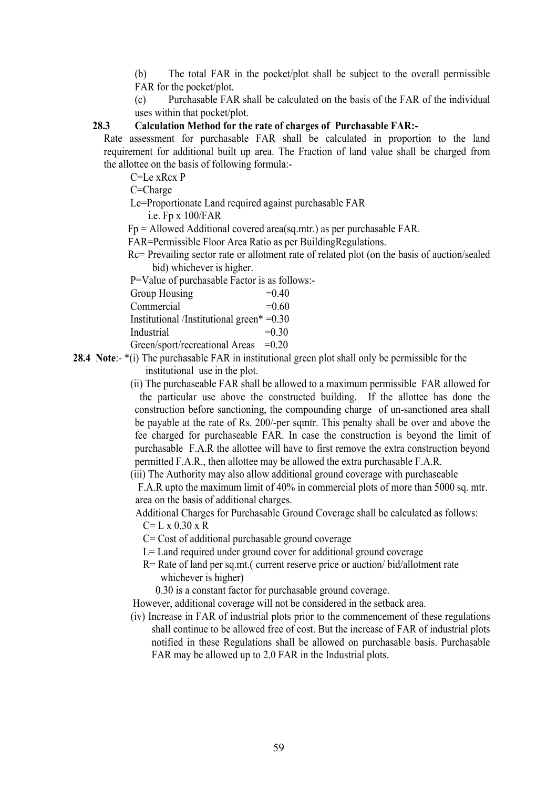(b) The total FAR in the pocket/plot shall be subject to the overall permissible FAR for the pocket/plot.

(c) Purchasable FAR shall be calculated on the basis of the FAR of the individual uses within that pocket/plot.

### 28.3 Calculation Method for the rate of charges of Purchasable FAR:-

Rate assessment for purchasable FAR shall be calculated in proportion to the land requirement for additional built up area. The Fraction of land value shall be charged from the allottee on the basis of following formula:-

C=Le xRcx P

C=Charge

Le=Proportionate Land required against purchasable FAR

i.e. Fp x 100/FAR

Fp = Allowed Additional covered area(sq.mtr.) as per purchasable FAR.

FAR=Permissible Floor Area Ratio as per BuildingRegulations.

 Rc= Prevailing sector rate or allotment rate of related plot (on the basis of auction/sealed bid) whichever is higher.

P=Value of purchasable Factor is as follows:-

| Group Housing | $=0.40$ |
|---------------|---------|
|---------------|---------|

 $Commercial$  =0.60

Institutional /Institutional green\* =0.30

Industrial  $=0.30$ 

Green/sport/recreational Areas =0.20

28.4 Note:- $*(i)$  The purchasable FAR in institutional green plot shall only be permissible for the institutional use in the plot.

> (ii) The purchaseable FAR shall be allowed to a maximum permissible FAR allowed for the particular use above the constructed building. If the allottee has done the construction before sanctioning, the compounding charge of un-sanctioned area shall be payable at the rate of Rs. 200/-per sqmtr. This penalty shall be over and above the fee charged for purchaseable FAR. In case the construction is beyond the limit of purchasable F.A.R the allottee will have to first remove the extra construction beyond permitted F.A.R., then allottee may be allowed the extra purchasable F.A.R.

(iii) The Authority may also allow additional ground coverage with purchaseable

 F.A.R upto the maximum limit of 40% in commercial plots of more than 5000 sq. mtr. area on the basis of additional charges.

Additional Charges for Purchasable Ground Coverage shall be calculated as follows:

 $C = L x 0.30 x R$ 

C= Cost of additional purchasable ground coverage

 $L =$  Land required under ground cover for additional ground coverage

R= Rate of land per sq.mt.( current reserve price or auction/ bid/allotment rate whichever is higher)

0.30 is a constant factor for purchasable ground coverage.

However, additional coverage will not be considered in the setback area.

 (iv) Increase in FAR of industrial plots prior to the commencement of these regulations shall continue to be allowed free of cost. But the increase of FAR of industrial plots notified in these Regulations shall be allowed on purchasable basis. Purchasable FAR may be allowed up to 2.0 FAR in the Industrial plots.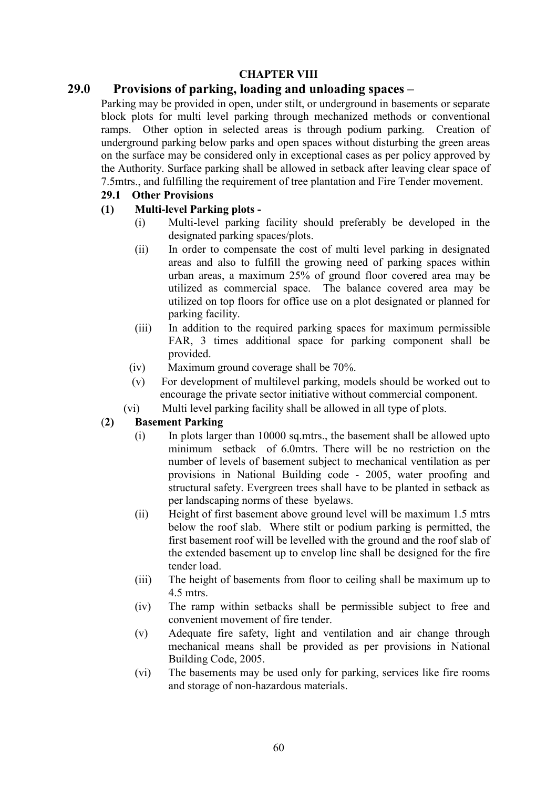#### CHAPTER VIII

# 29.0 Provisions of parking, loading and unloading spaces –

Parking may be provided in open, under stilt, or underground in basements or separate block plots for multi level parking through mechanized methods or conventional ramps. Other option in selected areas is through podium parking. Creation of underground parking below parks and open spaces without disturbing the green areas on the surface may be considered only in exceptional cases as per policy approved by the Authority. Surface parking shall be allowed in setback after leaving clear space of 7.5mtrs., and fulfilling the requirement of tree plantation and Fire Tender movement.

### 29.1 Other Provisions

#### (1) Multi-level Parking plots -

- (i) Multi-level parking facility should preferably be developed in the designated parking spaces/plots.
- (ii) In order to compensate the cost of multi level parking in designated areas and also to fulfill the growing need of parking spaces within urban areas, a maximum 25% of ground floor covered area may be utilized as commercial space. The balance covered area may be utilized on top floors for office use on a plot designated or planned for parking facility.
- (iii) In addition to the required parking spaces for maximum permissible FAR, 3 times additional space for parking component shall be provided.
- (iv) Maximum ground coverage shall be 70%.
- (v) For development of multilevel parking, models should be worked out to encourage the private sector initiative without commercial component.
- (vi) Multi level parking facility shall be allowed in all type of plots.

# (2) Basement Parking

- (i) In plots larger than 10000 sq.mtrs., the basement shall be allowed upto minimum setback of 6.0mtrs. There will be no restriction on the number of levels of basement subject to mechanical ventilation as per provisions in National Building code - 2005, water proofing and structural safety. Evergreen trees shall have to be planted in setback as per landscaping norms of these byelaws.
- (ii) Height of first basement above ground level will be maximum 1.5 mtrs below the roof slab. Where stilt or podium parking is permitted, the first basement roof will be levelled with the ground and the roof slab of the extended basement up to envelop line shall be designed for the fire tender load.
- (iii) The height of basements from floor to ceiling shall be maximum up to 4.5 mtrs.
- (iv) The ramp within setbacks shall be permissible subject to free and convenient movement of fire tender.
- (v) Adequate fire safety, light and ventilation and air change through mechanical means shall be provided as per provisions in National Building Code, 2005.
- (vi) The basements may be used only for parking, services like fire rooms and storage of non-hazardous materials.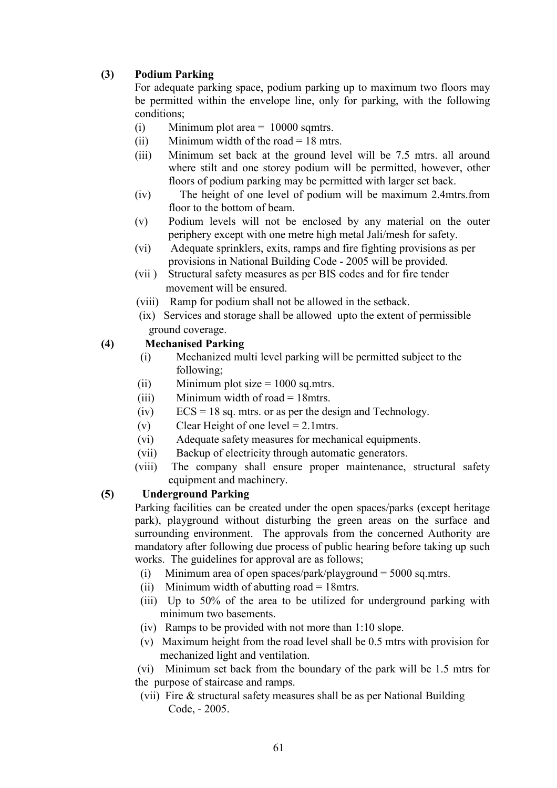# (3) Podium Parking

For adequate parking space, podium parking up to maximum two floors may be permitted within the envelope line, only for parking, with the following conditions;

- (i) Minimum plot area  $= 10000$  sqmtrs.
- (ii) Minimum width of the road  $= 18$  mtrs.
- (iii) Minimum set back at the ground level will be 7.5 mtrs. all around where stilt and one storey podium will be permitted, however, other floors of podium parking may be permitted with larger set back.
- (iv) The height of one level of podium will be maximum 2.4mtrs.from floor to the bottom of beam.
- (v) Podium levels will not be enclosed by any material on the outer periphery except with one metre high metal Jali/mesh for safety.
- (vi) Adequate sprinklers, exits, ramps and fire fighting provisions as per provisions in National Building Code - 2005 will be provided.
- (vii ) Structural safety measures as per BIS codes and for fire tender movement will be ensured.
- (viii) Ramp for podium shall not be allowed in the setback.
- (ix) Services and storage shall be allowed upto the extent of permissible ground coverage.

#### (4) Mechanised Parking

- (i) Mechanized multi level parking will be permitted subject to the following;
- (ii) Minimum plot size  $= 1000$  sq.mtrs.
- (iii) Minimum width of road  $= 18$ mtrs.
- $(iv)$  ECS = 18 sq. mtrs. or as per the design and Technology.
- (v) Clear Height of one level  $= 2.1$  mtrs.
- (vi) Adequate safety measures for mechanical equipments.
- (vii) Backup of electricity through automatic generators.
- (viii) The company shall ensure proper maintenance, structural safety equipment and machinery.

#### (5) Underground Parking

Parking facilities can be created under the open spaces/parks (except heritage park), playground without disturbing the green areas on the surface and surrounding environment. The approvals from the concerned Authority are mandatory after following due process of public hearing before taking up such works. The guidelines for approval are as follows:

- (i) Minimum area of open spaces/park/playground = 5000 sq.mtrs.
- (ii) Minimum width of abutting road = 18mtrs.
- (iii) Up to 50% of the area to be utilized for underground parking with minimum two basements.
- (iv) Ramps to be provided with not more than 1:10 slope.
- (v) Maximum height from the road level shall be 0.5 mtrs with provision for mechanized light and ventilation.

 (vi) Minimum set back from the boundary of the park will be 1.5 mtrs for the purpose of staircase and ramps.

(vii) Fire & structural safety measures shall be as per National Building Code, - 2005.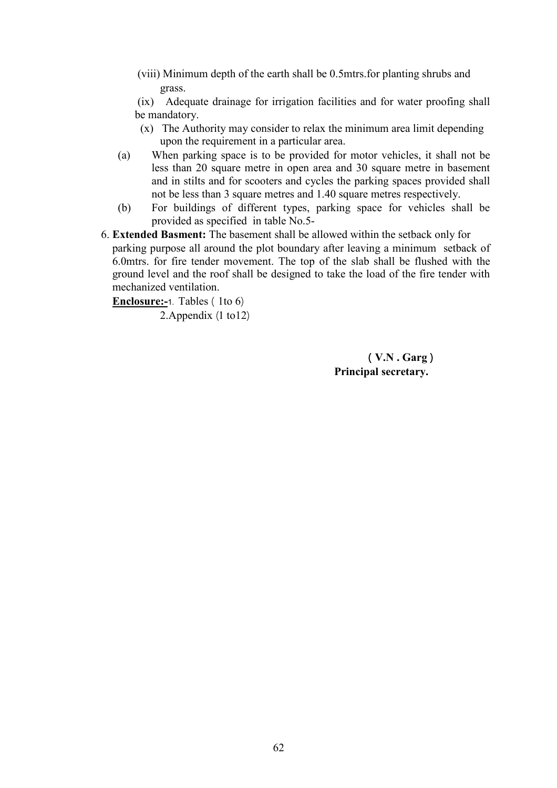(viii) Minimum depth of the earth shall be 0.5mtrs.for planting shrubs and grass.

 (ix) Adequate drainage for irrigation facilities and for water proofing shall be mandatory.

- (x) The Authority may consider to relax the minimum area limit depending upon the requirement in a particular area.
- (a) When parking space is to be provided for motor vehicles, it shall not be less than 20 square metre in open area and 30 square metre in basement and in stilts and for scooters and cycles the parking spaces provided shall not be less than 3 square metres and 1.40 square metres respectively.
- (b) For buildings of different types, parking space for vehicles shall be provided as specified in table No.5-
- 6. Extended Basment: The basement shall be allowed within the setback only for parking purpose all around the plot boundary after leaving a minimum setback of 6.0mtrs. for fire tender movement. The top of the slab shall be flushed with the ground level and the roof shall be designed to take the load of the fire tender with mechanized ventilation.

**Enclosure:-1.** Tables  $(1to 6)$ 

2. Appendix  $(1 \text{ to } 12)$ 

 $(V.N. Garg)$ Principal secretary.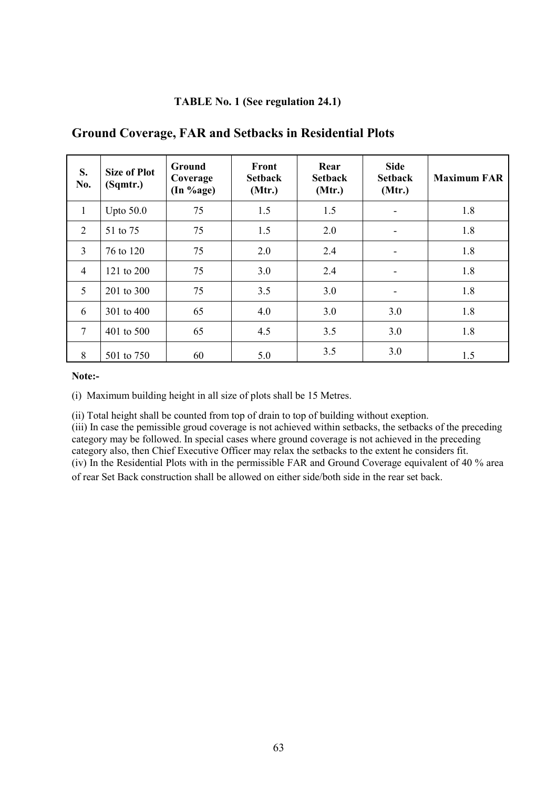#### TABLE No. 1 (See regulation 24.1)

| S.<br>No.       | <b>Size of Plot</b><br>(Sqmtr.) | Ground<br>Coverage<br>(In %age) | Front<br><b>Setback</b><br>(Mtr.) | Rear<br><b>Setback</b><br>(Mtr.) | <b>Side</b><br><b>Setback</b><br>(Mtr.) | <b>Maximum FAR</b> |
|-----------------|---------------------------------|---------------------------------|-----------------------------------|----------------------------------|-----------------------------------------|--------------------|
| $\mathbf{1}$    | Upto $50.0$                     | 75                              | 1.5                               | 1.5                              | $\overline{\phantom{a}}$                | 1.8                |
| 2               | 51 to 75                        | 75                              | 1.5                               | 2.0                              | -                                       | 1.8                |
| $\overline{3}$  | 76 to 120                       | 75                              | 2.0                               | 2.4                              | $\overline{\phantom{a}}$                | 1.8                |
| $\overline{4}$  | 121 to 200                      | 75                              | 3.0                               | 2.4                              | ۰                                       | 1.8                |
| 5               | 201 to 300                      | 75                              | 3.5                               | 3.0                              | -                                       | 1.8                |
| 6               | 301 to 400                      | 65                              | 4.0                               | 3.0                              | 3.0                                     | 1.8                |
| $7\overline{ }$ | 401 to 500                      | 65                              | 4.5                               | 3.5                              | 3.0                                     | 1.8                |
| 8               | 501 to 750                      | 60                              | 5.0                               | 3.5                              | 3.0                                     | 1.5                |

# Ground Coverage, FAR and Setbacks in Residential Plots

Note:-

(i) Maximum building height in all size of plots shall be 15 Metres.

(ii) Total height shall be counted from top of drain to top of building without exeption. (iii) In case the pemissible groud coverage is not achieved within setbacks, the setbacks of the preceding category may be followed. In special cases where ground coverage is not achieved in the preceding category also, then Chief Executive Officer may relax the setbacks to the extent he considers fit. (iv) In the Residential Plots with in the permissible FAR and Ground Coverage equivalent of 40 % area of rear Set Back construction shall be allowed on either side/both side in the rear set back.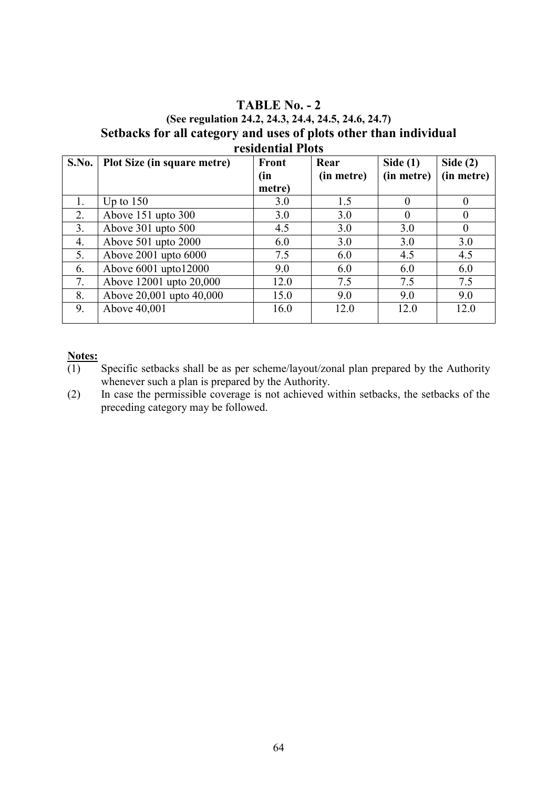# TABLE  $No. - 2$ (See regulation 24.2, 24.3, 24.4, 24.5, 24.6, 24.7) Setbacks for all category and uses of plots other than individual residential Plots

| S.No.          | Plot Size (in square metre) | Front  | Rear       | Side $(1)$ | Side $(2)$     |
|----------------|-----------------------------|--------|------------|------------|----------------|
|                |                             | (in    | (in metre) | (in metre) | (in metre)     |
|                |                             | metre) |            |            |                |
| 1.             | Up to $150$                 | 3.0    | 1.5        |            | $\Omega$       |
| 2.             | Above 151 upto 300          | 3.0    | 3.0        |            | $\Omega$       |
| 3 <sub>1</sub> | Above $301$ upto $500$      | 4.5    | 3.0        | 3.0        | $\overline{0}$ |
| 4.             | Above 501 upto 2000         | 6.0    | 3.0        | 3.0        | 3.0            |
| 5.             | Above 2001 upto 6000        | 7.5    | 6.0        | 4.5        | 4.5            |
| 6.             | Above $6001$ upto $12000$   | 9.0    | 6.0        | 6.0        | 6.0            |
| 7.             | Above 12001 upto 20,000     | 12.0   | 7.5        | 7.5        | 7.5            |
| 8.             | Above 20,001 upto 40,000    | 15.0   | 9.0        | 9.0        | 9.0            |
| 9.             | Above 40,001                | 16.0   | 12.0       | 12.0       | 12.0           |

#### Notes:

- $\overline{(1)}$  Specific setbacks shall be as per scheme/layout/zonal plan prepared by the Authority whenever such a plan is prepared by the Authority.
- (2) In case the permissible coverage is not achieved within setbacks, the setbacks of the preceding category may be followed.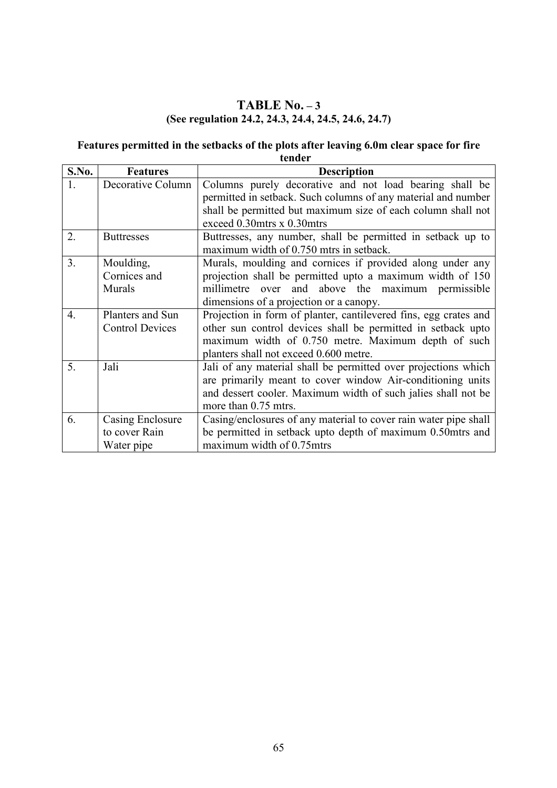# TABLE  $No. - 3$ (See regulation 24.2, 24.3, 24.4, 24.5, 24.6, 24.7)

#### Features permitted in the setbacks of the plots after leaving 6.0m clear space for fire tender

| S.No.            | <b>Features</b>        | <b>Description</b>                                               |  |  |
|------------------|------------------------|------------------------------------------------------------------|--|--|
|                  | Decorative Column      | Columns purely decorative and not load bearing shall be          |  |  |
|                  |                        | permitted in setback. Such columns of any material and number    |  |  |
|                  |                        | shall be permitted but maximum size of each column shall not     |  |  |
|                  |                        | exceed 0.30mtrs x 0.30mtrs                                       |  |  |
| 2.               | <b>Buttresses</b>      | Buttresses, any number, shall be permitted in setback up to      |  |  |
|                  |                        | maximum width of 0.750 mtrs in setback.                          |  |  |
| 3 <sub>1</sub>   | Moulding,              | Murals, moulding and cornices if provided along under any        |  |  |
|                  | Cornices and           | projection shall be permitted upto a maximum width of 150        |  |  |
|                  | <b>Murals</b>          | millimetre over and above the maximum permissible                |  |  |
|                  |                        | dimensions of a projection or a canopy.                          |  |  |
| $\overline{4}$ . | Planters and Sun       | Projection in form of planter, cantilevered fins, egg crates and |  |  |
|                  | <b>Control Devices</b> | other sun control devices shall be permitted in setback upto     |  |  |
|                  |                        | maximum width of 0.750 metre. Maximum depth of such              |  |  |
|                  |                        | planters shall not exceed 0.600 metre.                           |  |  |
| 5 <sub>1</sub>   | Jali                   | Jali of any material shall be permitted over projections which   |  |  |
|                  |                        | are primarily meant to cover window Air-conditioning units       |  |  |
|                  |                        | and dessert cooler. Maximum width of such jalies shall not be    |  |  |
|                  |                        | more than 0.75 mtrs.                                             |  |  |
| 6.               | Casing Enclosure       | Casing/enclosures of any material to cover rain water pipe shall |  |  |
|                  | to cover Rain          | be permitted in setback upto depth of maximum 0.50mtrs and       |  |  |
|                  | Water pipe             | maximum width of 0.75mtrs                                        |  |  |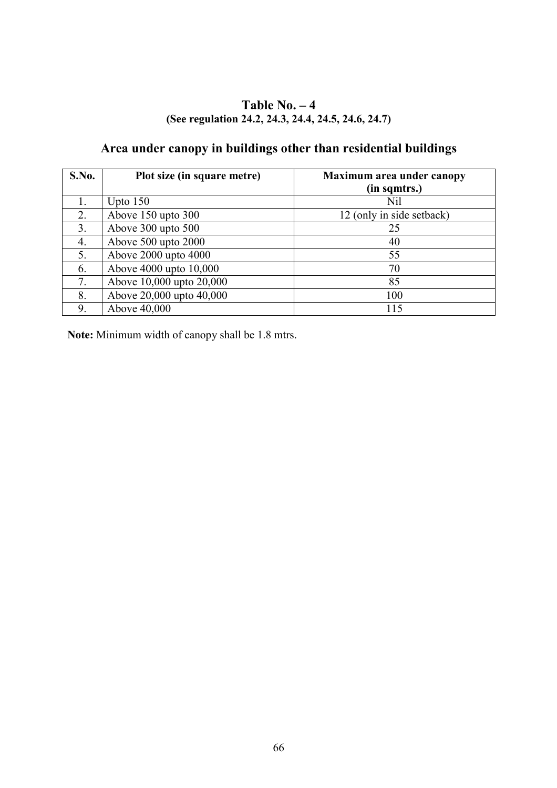# Table No.  $-4$ (See regulation 24.2, 24.3, 24.4, 24.5, 24.6, 24.7)

# Area under canopy in buildings other than residential buildings

| S.No. | Plot size (in square metre) | Maximum area under canopy |
|-------|-----------------------------|---------------------------|
|       |                             | (in sqmtrs.)              |
|       | Upto $150$                  | Nil                       |
| 2.    | Above 150 upto 300          | 12 (only in side setback) |
| 3.    | Above 300 upto 500          | 25                        |
| 4.    | Above 500 upto 2000         | 40                        |
| 5.    | Above 2000 upto 4000        | 55                        |
| 6.    | Above 4000 upto 10,000      | 70                        |
| 7.    | Above 10,000 upto 20,000    | 85                        |
| 8.    | Above 20,000 upto 40,000    | 100                       |
| 9.    | Above 40,000                | 115                       |

Note: Minimum width of canopy shall be 1.8 mtrs.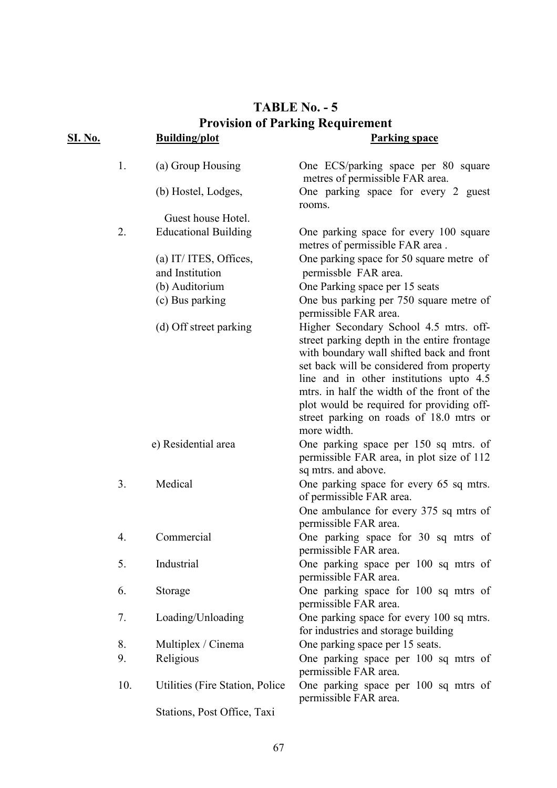# TABLE No.  $-5$ **Provision of Parking Requirement**

| <u>SI. No.</u> |     | <b>Building/plot</b>             | <b>Parking space</b>                                                                                                                                                                                                                                                                                                                                                             |
|----------------|-----|----------------------------------|----------------------------------------------------------------------------------------------------------------------------------------------------------------------------------------------------------------------------------------------------------------------------------------------------------------------------------------------------------------------------------|
|                | 1.  | (a) Group Housing                | One ECS/parking space per 80 square<br>metres of permissible FAR area.                                                                                                                                                                                                                                                                                                           |
|                |     | (b) Hostel, Lodges,              | One parking space for every 2 guest<br>rooms.                                                                                                                                                                                                                                                                                                                                    |
|                |     | Guest house Hotel.               |                                                                                                                                                                                                                                                                                                                                                                                  |
|                | 2.  | <b>Educational Building</b>      | One parking space for every 100 square<br>metres of permissible FAR area.                                                                                                                                                                                                                                                                                                        |
|                |     | (a) IT/ ITES, Offices,           | One parking space for 50 square metre of                                                                                                                                                                                                                                                                                                                                         |
|                |     | and Institution                  | permissble FAR area.                                                                                                                                                                                                                                                                                                                                                             |
|                |     | (b) Auditorium                   | One Parking space per 15 seats                                                                                                                                                                                                                                                                                                                                                   |
|                |     | (c) Bus parking                  | One bus parking per 750 square metre of<br>permissible FAR area.                                                                                                                                                                                                                                                                                                                 |
|                |     | (d) Off street parking           | Higher Secondary School 4.5 mtrs. off-<br>street parking depth in the entire frontage<br>with boundary wall shifted back and front<br>set back will be considered from property<br>line and in other institutions upto 4.5<br>mtrs. in half the width of the front of the<br>plot would be required for providing off-<br>street parking on roads of 18.0 mtrs or<br>more width. |
|                |     | e) Residential area              | One parking space per 150 sq mtrs. of<br>permissible FAR area, in plot size of 112<br>sq mtrs. and above.                                                                                                                                                                                                                                                                        |
|                | 3.  | Medical                          | One parking space for every 65 sq mtrs.<br>of permissible FAR area.<br>One ambulance for every 375 sq mtrs of                                                                                                                                                                                                                                                                    |
|                | 4.  | Commercial                       | permissible FAR area.<br>One parking space for 30 sq mtrs of<br>permissible FAR area.                                                                                                                                                                                                                                                                                            |
|                | 5.  | Industrial                       | One parking space per 100 sq mtrs of<br>permissible FAR area.                                                                                                                                                                                                                                                                                                                    |
|                | 6.  | Storage                          | One parking space for 100 sq mtrs of<br>permissible FAR area.                                                                                                                                                                                                                                                                                                                    |
|                | 7.  | Loading/Unloading                | One parking space for every 100 sq mtrs.<br>for industries and storage building                                                                                                                                                                                                                                                                                                  |
|                | 8.  | Multiplex / Cinema               | One parking space per 15 seats.                                                                                                                                                                                                                                                                                                                                                  |
|                | 9.  | Religious                        | One parking space per 100 sq mtrs of<br>permissible FAR area.                                                                                                                                                                                                                                                                                                                    |
|                | 10. | Utilities (Fire Station, Police) | One parking space per 100 sq mtrs of<br>permissible FAR area.                                                                                                                                                                                                                                                                                                                    |
|                |     | Stations, Post Office, Taxi      |                                                                                                                                                                                                                                                                                                                                                                                  |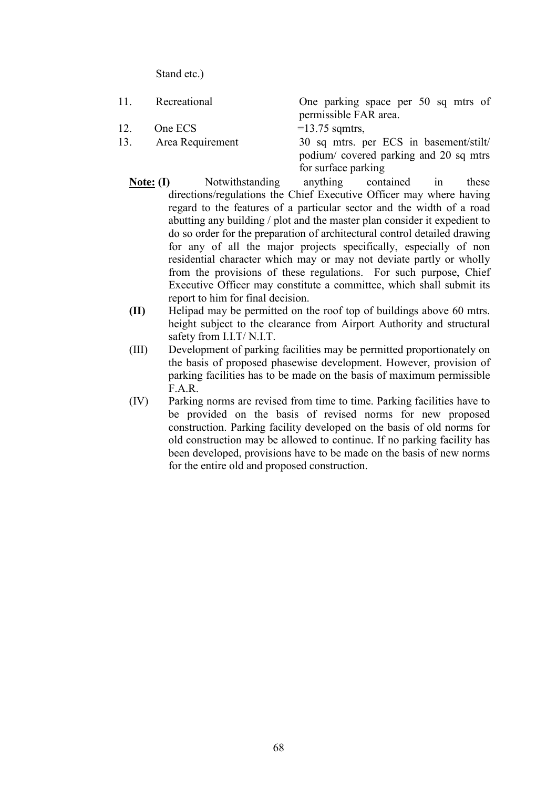Stand etc.)

 11. Recreational One parking space per 50 sq mtrs of permissible FAR area. 12. One ECS  $=13.75$  sqmtrs, 13. Area Requirement 30 sq mtrs. per ECS in basement/stilt/ podium/ covered parking and 20 sq mtrs

for surface parking

- Note: (I) Notwithstanding anything contained in these directions/regulations the Chief Executive Officer may where having regard to the features of a particular sector and the width of a road abutting any building / plot and the master plan consider it expedient to do so order for the preparation of architectural control detailed drawing for any of all the major projects specifically, especially of non residential character which may or may not deviate partly or wholly from the provisions of these regulations. For such purpose, Chief Executive Officer may constitute a committee, which shall submit its report to him for final decision.
- (II) Helipad may be permitted on the roof top of buildings above 60 mtrs. height subject to the clearance from Airport Authority and structural safety from I.I.T/ N.I.T.
- (III) Development of parking facilities may be permitted proportionately on the basis of proposed phasewise development. However, provision of parking facilities has to be made on the basis of maximum permissible F.A.R.
- (IV) Parking norms are revised from time to time. Parking facilities have to be provided on the basis of revised norms for new proposed construction. Parking facility developed on the basis of old norms for old construction may be allowed to continue. If no parking facility has been developed, provisions have to be made on the basis of new norms for the entire old and proposed construction.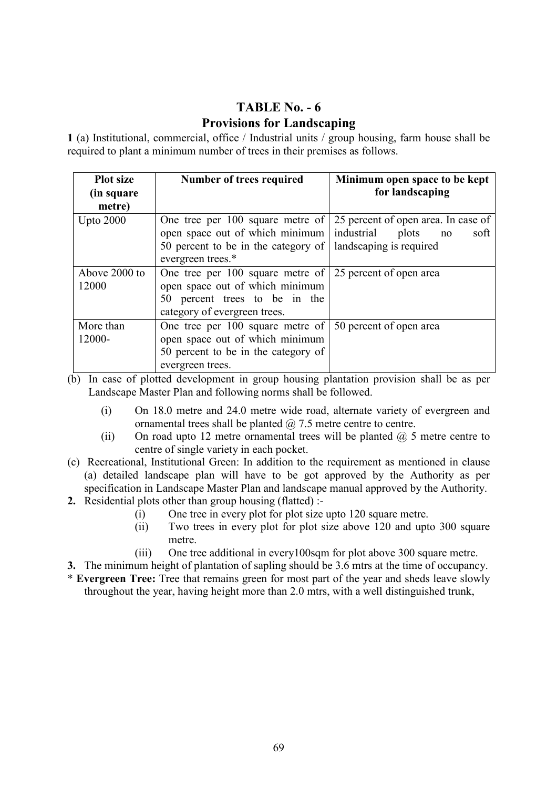# TABLE No.  $-6$ Provisions for Landscaping

1 (a) Institutional, commercial, office / Industrial units / group housing, farm house shall be required to plant a minimum number of trees in their premises as follows.

| <b>Plot size</b>       | Number of trees required                                                                                                                                             | Minimum open space to be kept                                                                       |  |  |
|------------------------|----------------------------------------------------------------------------------------------------------------------------------------------------------------------|-----------------------------------------------------------------------------------------------------|--|--|
| (in square             |                                                                                                                                                                      | for landscaping                                                                                     |  |  |
| metre)                 |                                                                                                                                                                      |                                                                                                     |  |  |
| <b>Upto 2000</b>       | One tree per 100 square metre of<br>open space out of which minimum<br>50 percent to be in the category of<br>evergreen trees.*                                      | 25 percent of open area. In case of<br>industrial<br>plots<br>soft<br>no<br>landscaping is required |  |  |
| Above 2000 to<br>12000 | One tree per 100 square metre of $\vert$ 25 percent of open area<br>open space out of which minimum<br>50 percent trees to be in the<br>category of evergreen trees. |                                                                                                     |  |  |
| More than<br>12000-    | One tree per 100 square metre of<br>open space out of which minimum<br>50 percent to be in the category of<br>evergreen trees.                                       | 50 percent of open area                                                                             |  |  |

(b) In case of plotted development in group housing plantation provision shall be as per Landscape Master Plan and following norms shall be followed.

- (i) On 18.0 metre and 24.0 metre wide road, alternate variety of evergreen and ornamental trees shall be planted  $\omega$  7.5 metre centre to centre.
- (ii) On road upto 12 metre ornamental trees will be planted  $\omega$ , 5 metre centre to centre of single variety in each pocket.
- (c) Recreational, Institutional Green: In addition to the requirement as mentioned in clause (a) detailed landscape plan will have to be got approved by the Authority as per specification in Landscape Master Plan and landscape manual approved by the Authority.
- 2. Residential plots other than group housing (flatted) :-
	- (i) One tree in every plot for plot size upto 120 square metre.
	- (ii) Two trees in every plot for plot size above 120 and upto 300 square metre.
	- (iii) One tree additional in every100sqm for plot above 300 square metre.
- 3. The minimum height of plantation of sapling should be 3.6 mtrs at the time of occupancy.
- \* Evergreen Tree: Tree that remains green for most part of the year and sheds leave slowly throughout the year, having height more than 2.0 mtrs, with a well distinguished trunk,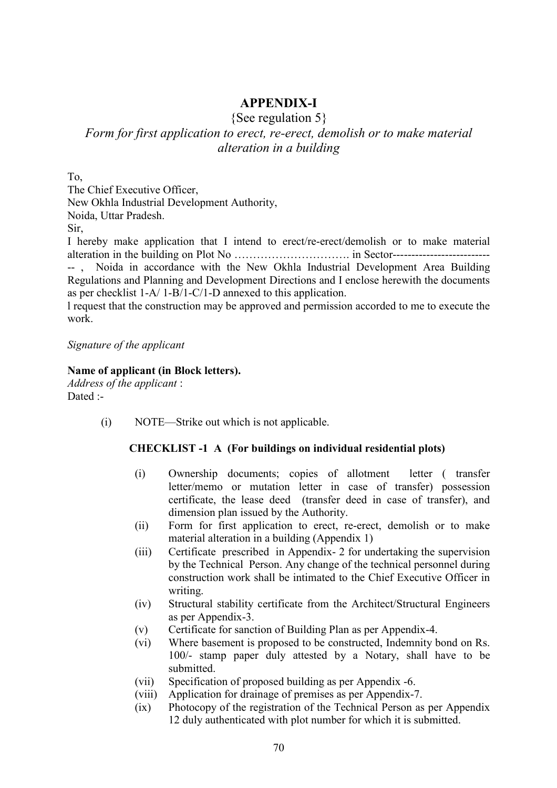# **APPENDIX-I**

{See regulation 5}

# Form for first application to erect, re-erect, demolish or to make material alteration in a building

To,

The Chief Executive Officer, New Okhla Industrial Development Authority,

Noida, Uttar Pradesh.

Sir,

I hereby make application that I intend to erect/re-erect/demolish or to make material alteration in the building on Plot No …………………………. in Sector-------------------------- -- , Noida in accordance with the New Okhla Industrial Development Area Building Regulations and Planning and Development Directions and I enclose herewith the documents as per checklist 1-A/ 1-B/1-C/1-D annexed to this application.

l request that the construction may be approved and permission accorded to me to execute the work.

Signature of the applicant

#### Name of applicant (in Block letters).

Address of the applicant : Dated :-

(i) NOTE—Strike out which is not applicable.

#### CHECKLIST -1 A (For buildings on individual residential plots)

- (i) Ownership documents; copies of allotment letter ( transfer letter/memo or mutation letter in case of transfer) possession certificate, the lease deed (transfer deed in case of transfer), and dimension plan issued by the Authority.
- (ii) Form for first application to erect, re-erect, demolish or to make material alteration in a building (Appendix 1)
- (iii) Certificate prescribed in Appendix- 2 for undertaking the supervision by the Technical Person. Any change of the technical personnel during construction work shall be intimated to the Chief Executive Officer in writing.
- (iv) Structural stability certificate from the Architect/Structural Engineers as per Appendix-3.
- (v) Certificate for sanction of Building Plan as per Appendix-4.
- (vi) Where basement is proposed to be constructed, Indemnity bond on Rs. 100/- stamp paper duly attested by a Notary, shall have to be submitted.
- (vii) Specification of proposed building as per Appendix -6.
- (viii) Application for drainage of premises as per Appendix-7.
- (ix) Photocopy of the registration of the Technical Person as per Appendix 12 duly authenticated with plot number for which it is submitted.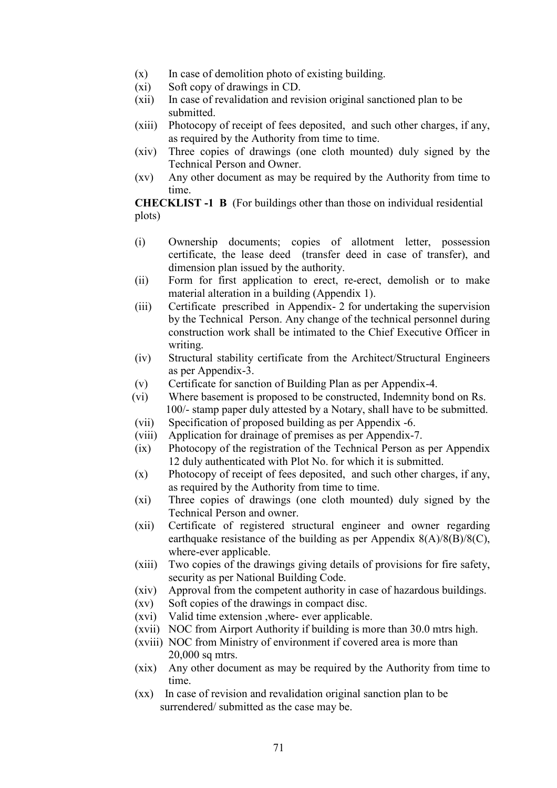- $(x)$  In case of demolition photo of existing building.
- (xi) Soft copy of drawings in CD.
- (xii) In case of revalidation and revision original sanctioned plan to be submitted.
- (xiii) Photocopy of receipt of fees deposited, and such other charges, if any, as required by the Authority from time to time.
- (xiv) Three copies of drawings (one cloth mounted) duly signed by the Technical Person and Owner.
- (xv) Any other document as may be required by the Authority from time to time.

CHECKLIST -1 B (For buildings other than those on individual residential plots)

- (i) Ownership documents; copies of allotment letter, possession certificate, the lease deed (transfer deed in case of transfer), and dimension plan issued by the authority.
- (ii) Form for first application to erect, re-erect, demolish or to make material alteration in a building (Appendix 1).
- (iii) Certificate prescribed in Appendix- 2 for undertaking the supervision by the Technical Person. Any change of the technical personnel during construction work shall be intimated to the Chief Executive Officer in writing.
- (iv) Structural stability certificate from the Architect/Structural Engineers as per Appendix-3.
- (v) Certificate for sanction of Building Plan as per Appendix-4.
- (vi) Where basement is proposed to be constructed, Indemnity bond on Rs. 100/- stamp paper duly attested by a Notary, shall have to be submitted.
- (vii) Specification of proposed building as per Appendix -6.
- (viii) Application for drainage of premises as per Appendix-7.
- (ix) Photocopy of the registration of the Technical Person as per Appendix 12 duly authenticated with Plot No. for which it is submitted.
- (x) Photocopy of receipt of fees deposited, and such other charges, if any, as required by the Authority from time to time.
- (xi) Three copies of drawings (one cloth mounted) duly signed by the Technical Person and owner.
- (xii) Certificate of registered structural engineer and owner regarding earthquake resistance of the building as per Appendix  $8(A)/8(B)/8(C)$ , where-ever applicable.
- (xiii) Two copies of the drawings giving details of provisions for fire safety, security as per National Building Code.
- (xiv) Approval from the competent authority in case of hazardous buildings.
- (xv) Soft copies of the drawings in compact disc.
- (xvi) Valid time extension ,where- ever applicable.
- (xvii) NOC from Airport Authority if building is more than 30.0 mtrs high.
- (xviii) NOC from Ministry of environment if covered area is more than 20,000 sq mtrs.
- (xix) Any other document as may be required by the Authority from time to time.
- (xx) In case of revision and revalidation original sanction plan to be surrendered/ submitted as the case may be.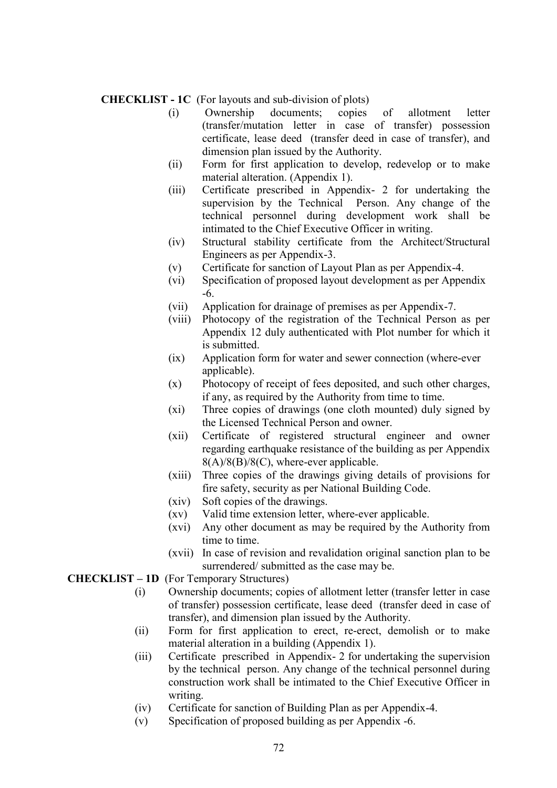#### CHECKLIST - 1C (For layouts and sub-division of plots)

- (i) Ownership documents; copies of allotment letter (transfer/mutation letter in case of transfer) possession certificate, lease deed (transfer deed in case of transfer), and dimension plan issued by the Authority.
- (ii) Form for first application to develop, redevelop or to make material alteration. (Appendix 1).
- (iii) Certificate prescribed in Appendix- 2 for undertaking the supervision by the Technical Person. Any change of the technical personnel during development work shall be intimated to the Chief Executive Officer in writing.
- (iv) Structural stability certificate from the Architect/Structural Engineers as per Appendix-3.
- (v) Certificate for sanction of Layout Plan as per Appendix-4.
- (vi) Specification of proposed layout development as per Appendix -6.
- (vii) Application for drainage of premises as per Appendix-7.
- (viii) Photocopy of the registration of the Technical Person as per Appendix 12 duly authenticated with Plot number for which it is submitted.
- (ix) Application form for water and sewer connection (where-ever applicable).
- (x) Photocopy of receipt of fees deposited, and such other charges, if any, as required by the Authority from time to time.
- (xi) Three copies of drawings (one cloth mounted) duly signed by the Licensed Technical Person and owner.
- (xii) Certificate of registered structural engineer and owner regarding earthquake resistance of the building as per Appendix 8(A)/8(B)/8(C), where-ever applicable.
- (xiii) Three copies of the drawings giving details of provisions for fire safety, security as per National Building Code.
- (xiv) Soft copies of the drawings.
- (xv) Valid time extension letter, where-ever applicable.
- (xvi) Any other document as may be required by the Authority from time to time.
- (xvii) In case of revision and revalidation original sanction plan to be surrendered/ submitted as the case may be.

#### CHECKLIST – 1D (For Temporary Structures)

- (i) Ownership documents; copies of allotment letter (transfer letter in case of transfer) possession certificate, lease deed (transfer deed in case of transfer), and dimension plan issued by the Authority.
- (ii) Form for first application to erect, re-erect, demolish or to make material alteration in a building (Appendix 1).
- (iii) Certificate prescribed in Appendix- 2 for undertaking the supervision by the technical person. Any change of the technical personnel during construction work shall be intimated to the Chief Executive Officer in writing.
- (iv) Certificate for sanction of Building Plan as per Appendix-4.
- (v) Specification of proposed building as per Appendix -6.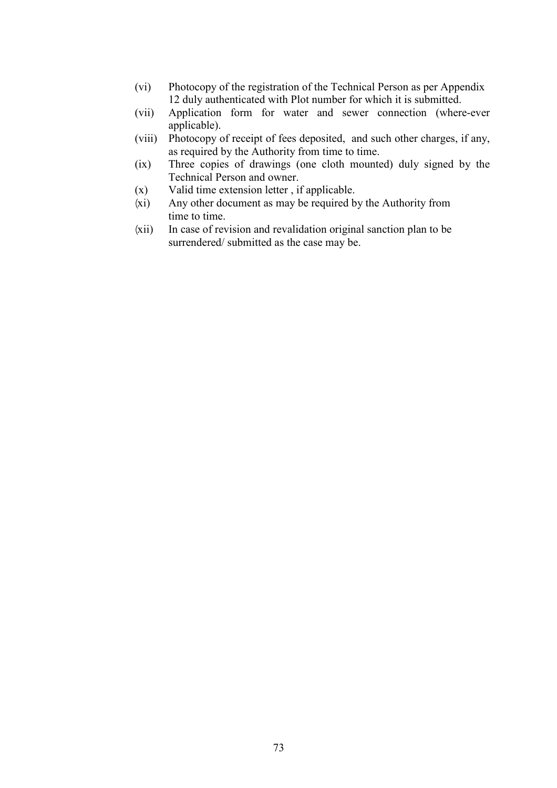- (vi) Photocopy of the registration of the Technical Person as per Appendix 12 duly authenticated with Plot number for which it is submitted.
- (vii) Application form for water and sewer connection (where-ever applicable).
- (viii) Photocopy of receipt of fees deposited, and such other charges, if any, as required by the Authority from time to time.
- (ix) Three copies of drawings (one cloth mounted) duly signed by the Technical Person and owner.
- (x) Valid time extension letter , if applicable.
- ¼xi) Any other document as may be required by the Authority from time to time.
- ¼xii) In case of revision and revalidation original sanction plan to be surrendered/ submitted as the case may be.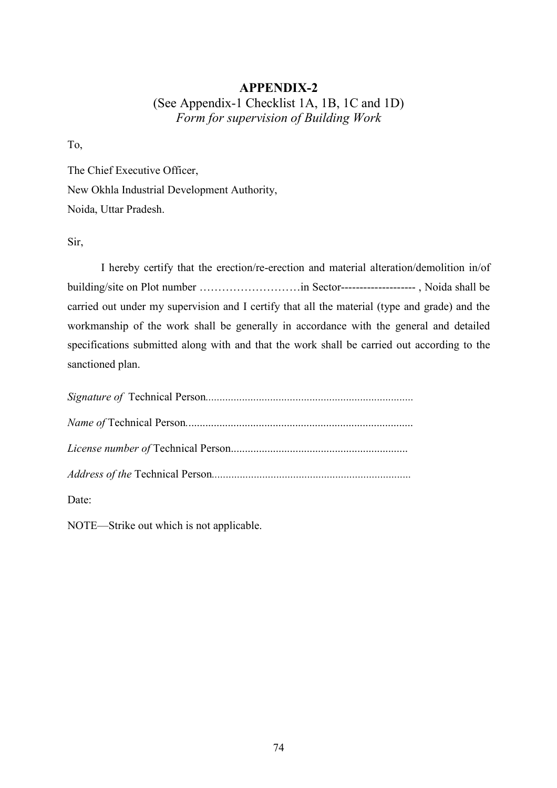# APPENDIX-2 (See Appendix-1 Checklist 1A, 1B, 1C and 1D) Form for supervision of Building Work

To,

The Chief Executive Officer, New Okhla Industrial Development Authority, Noida, Uttar Pradesh.

Sir,

 I hereby certify that the erection/re-erection and material alteration/demolition in/of building/site on Plot number ………………………in Sector-------------------- , Noida shall be carried out under my supervision and I certify that all the material (type and grade) and the workmanship of the work shall be generally in accordance with the general and detailed specifications submitted along with and that the work shall be carried out according to the sanctioned plan.

| Date: |
|-------|

NOTE—Strike out which is not applicable.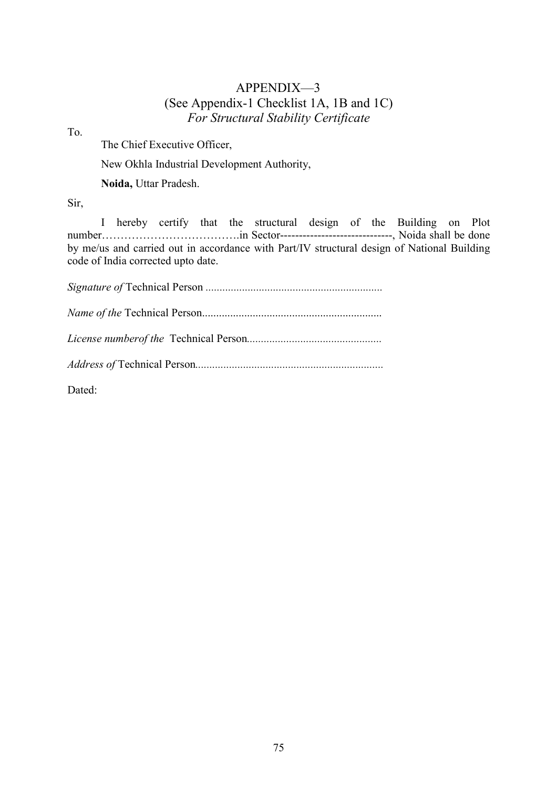# APPENDIX—3 (See Appendix-1 Checklist 1A, 1B and 1C) For Structural Stability Certificate

To.

The Chief Executive Officer,

New Okhla Industrial Development Authority,

Noida, Uttar Pradesh.

Sir,

 I hereby certify that the structural design of the Building on Plot number……………………………….in Sector------------------------------, Noida shall be done by me/us and carried out in accordance with Part/IV structural design of National Building code of India corrected upto date.

Signature of Technical Person ............................................................... ame of the Technical Person................................................................ License numberof the Technical Person................................................ Address of Technical Person...................................................................

Dated: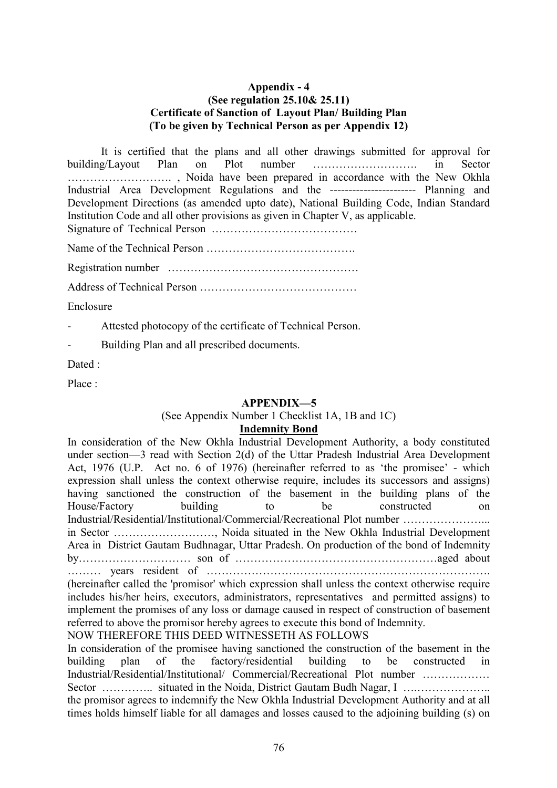## Appendix - 4 (See regulation 25.10& 25.11) Certificate of Sanction of Layout Plan/ Building Plan (To be given by Technical Person as per Appendix 12)

 It is certified that the plans and all other drawings submitted for approval for building/Layout Plan on Plot number ………………………. in Sector ………………………. , Noida have been prepared in accordance with the New Okhla Industrial Area Development Regulations and the ----------------------- Planning and Development Directions (as amended upto date), National Building Code, Indian Standard Institution Code and all other provisions as given in Chapter V, as applicable. Signature of Technical Person …………………………………

Name of the Technical Person ………………………………….

Registration number ……………………………………………

Address of Technical Person ……………………………………

Enclosure

- Attested photocopy of the certificate of Technical Person.
- Building Plan and all prescribed documents.

Dated :

Place ·

## APPENDIX-5

## (See Appendix Number 1 Checklist 1A, 1B and 1C)

## Indemnity Bond

In consideration of the New Okhla Industrial Development Authority, a body constituted under section—3 read with Section 2(d) of the Uttar Pradesh Industrial Area Development Act, 1976 (U.P. Act no. 6 of 1976) (hereinafter referred to as 'the promisee' - which expression shall unless the context otherwise require, includes its successors and assigns) having sanctioned the construction of the basement in the building plans of the House/Factory building to be constructed on Industrial/Residential/Institutional/Commercial/Recreational Plot number …………………... in Sector ………………………, Noida situated in the New Okhla Industrial Development Area in District Gautam Budhnagar, Uttar Pradesh. On production of the bond of Indemnity by………………………… son of ………………………………………………aged about ……… years resident of …………………………………………………………………. (hereinafter called the 'promisor' which expression shall unless the context otherwise require includes his/her heirs, executors, administrators, representatives and permitted assigns) to implement the promises of any loss or damage caused in respect of construction of basement referred to above the promisor hereby agrees to execute this bond of Indemnity. NOW THEREFORE THIS DEED WITNESSETH AS FOLLOWS In consideration of the promisee having sanctioned the construction of the basement in the building plan of the factory/residential building to be constructed in

Industrial/Residential/Institutional/ Commercial/Recreational Plot number ……………… Sector …………... situated in the Noida, District Gautam Budh Nagar, I ……………………. the promisor agrees to indemnify the New Okhla Industrial Development Authority and at all times holds himself liable for all damages and losses caused to the adjoining building (s) on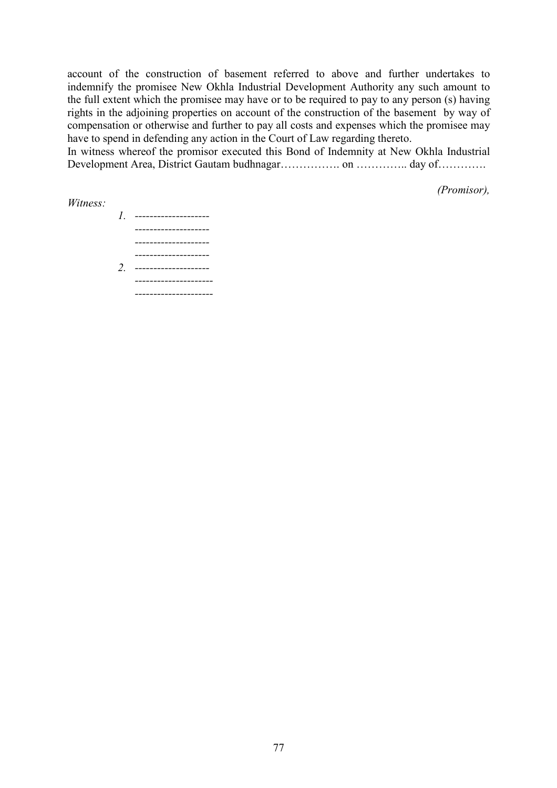account of the construction of basement referred to above and further undertakes to indemnify the promisee New Okhla Industrial Development Authority any such amount to the full extent which the promisee may have or to be required to pay to any person (s) having rights in the adjoining properties on account of the construction of the basement by way of compensation or otherwise and further to pay all costs and expenses which the promisee may have to spend in defending any action in the Court of Law regarding thereto.

In witness whereof the promisor executed this Bond of Indemnity at New Okhla Industrial Development Area, District Gautam budhnagar…………….. on ………….. day of………….

Witness:

(Promisor),

1. -------------------- -------------------- -------------------- -------------------- 2. -------------------- --------------------- ---------------------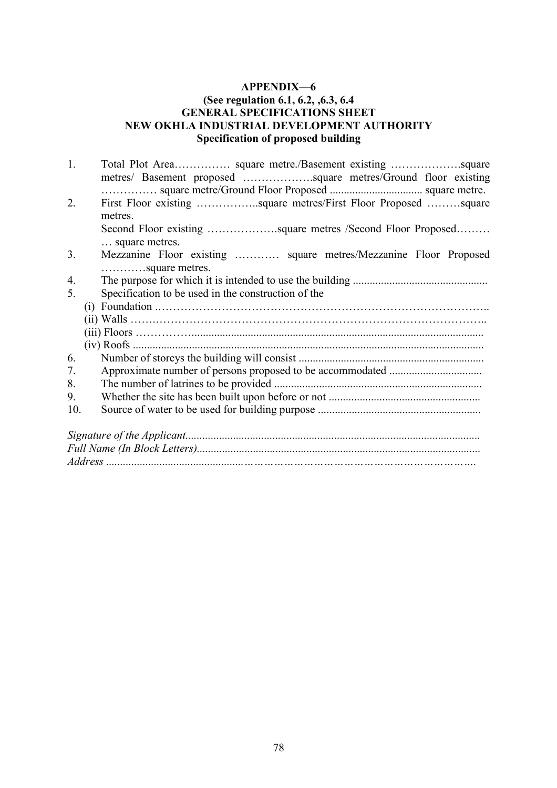## (See regulation 6.1, 6.2, ,6.3, 6.4 **GENERAL SPECIFICATIONS SHEET** NEW OKHLA INDUSTRIAL DEVELOPMENT AUTHORITY Specification of proposed building

| 1.  |                                                                                    |
|-----|------------------------------------------------------------------------------------|
|     |                                                                                    |
|     |                                                                                    |
| 2.  | First Floor existing square metres/First Floor Proposed square<br>metres.          |
|     | square metres.                                                                     |
| 3.  | Mezzanine Floor existing  square metres/Mezzanine Floor Proposed<br>square metres. |
| 4.  |                                                                                    |
| 5.  | Specification to be used in the construction of the                                |
|     |                                                                                    |
|     |                                                                                    |
|     |                                                                                    |
|     |                                                                                    |
| 6.  |                                                                                    |
| 7.  |                                                                                    |
| 8.  |                                                                                    |
| 9.  |                                                                                    |
| 10. |                                                                                    |
|     |                                                                                    |
|     |                                                                                    |
|     |                                                                                    |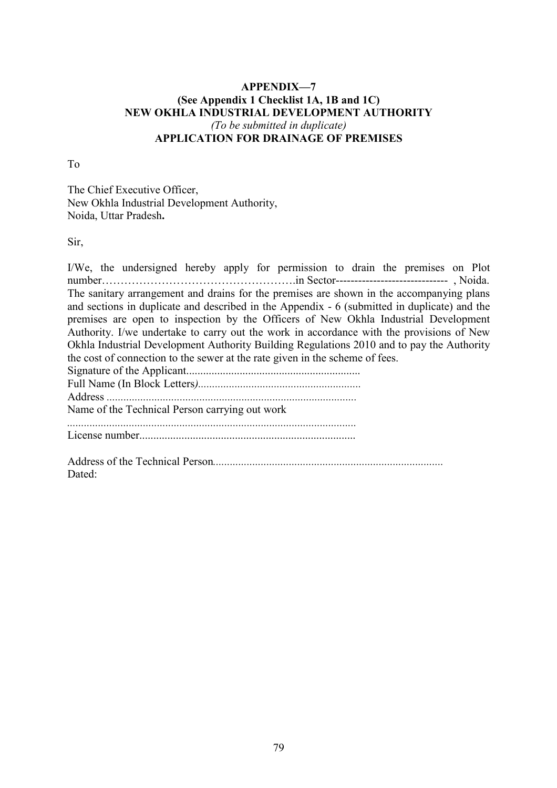## APPENDIX-7 (See Appendix 1 Checklist 1A, 1B and 1C) NEW OKHLA INDUSTRIAL DEVELOPMENT AUTHORITY (To be submitted in duplicate) APPLICATION FOR DRAINAGE OF PREMISES

To

The Chief Executive Officer, New Okhla Industrial Development Authority, Noida, Uttar Pradesh.

Sir,

Dated:

I/We, the undersigned hereby apply for permission to drain the premises on Plot number…………………………………………….in Sector------------------------------ , Noida. The sanitary arrangement and drains for the premises are shown in the accompanying plans and sections in duplicate and described in the Appendix - 6 (submitted in duplicate) and the premises are open to inspection by the Officers of New Okhla Industrial Development Authority. I/we undertake to carry out the work in accordance with the provisions of New Okhla Industrial Development Authority Building Regulations 2010 and to pay the Authority the cost of connection to the sewer at the rate given in the scheme of fees. Signature of the Applicant.............................................................. Full Name (In Block Letters).......................................................... Address ......................................................................................... Name of the Technical Person carrying out work ....................................................................................................... License number............................................................................. Address of the Technical Person..................................................................................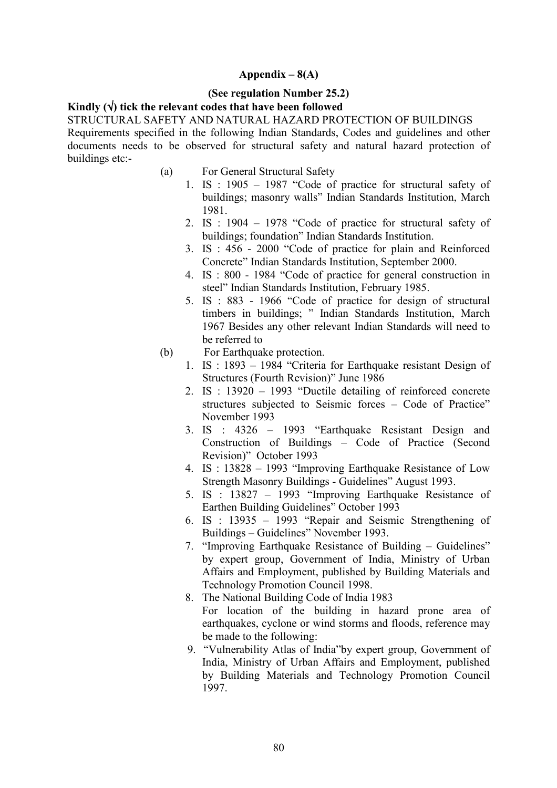## Appendix  $-8(A)$

#### (See regulation Number 25.2)

## Kindly  $(\forall)$  tick the relevant codes that have been followed

STRUCTURAL SAFETY AND NATURAL HAZARD PROTECTION OF BUILDINGS Requirements specified in the following Indian Standards, Codes and guidelines and other documents needs to be observed for structural safety and natural hazard protection of buildings etc:-

- (a) For General Structural Safety
	- 1. IS : 1905 1987 "Code of practice for structural safety of buildings; masonry walls" Indian Standards Institution, March 1981.
	- 2. IS : 1904 1978 "Code of practice for structural safety of buildings; foundation" Indian Standards Institution.
	- 3. IS : 456 2000 "Code of practice for plain and Reinforced Concrete" Indian Standards Institution, September 2000.
	- 4. IS : 800 1984 "Code of practice for general construction in steel" Indian Standards Institution, February 1985.
	- 5. IS : 883 1966 "Code of practice for design of structural timbers in buildings; " Indian Standards Institution, March 1967 Besides any other relevant Indian Standards will need to be referred to
- (b) For Earthquake protection.
	- 1. IS : 1893 1984 "Criteria for Earthquake resistant Design of Structures (Fourth Revision)" June 1986
	- 2. IS : 13920 1993 "Ductile detailing of reinforced concrete structures subjected to Seismic forces – Code of Practice" November 1993
	- 3. IS : 4326 1993 "Earthquake Resistant Design and Construction of Buildings – Code of Practice (Second Revision)" October 1993
	- 4. IS : 13828 1993 "Improving Earthquake Resistance of Low Strength Masonry Buildings - Guidelines" August 1993.
	- 5. IS : 13827 1993 "Improving Earthquake Resistance of Earthen Building Guidelines" October 1993
	- 6. IS : 13935 1993 "Repair and Seismic Strengthening of Buildings – Guidelines" November 1993.
	- 7. "Improving Earthquake Resistance of Building Guidelines" by expert group, Government of India, Ministry of Urban Affairs and Employment, published by Building Materials and Technology Promotion Council 1998.
	- 8. The National Building Code of India 1983 For location of the building in hazard prone area of earthquakes, cyclone or wind storms and floods, reference may be made to the following:
	- 9. "Vulnerability Atlas of India"by expert group, Government of India, Ministry of Urban Affairs and Employment, published by Building Materials and Technology Promotion Council 1997.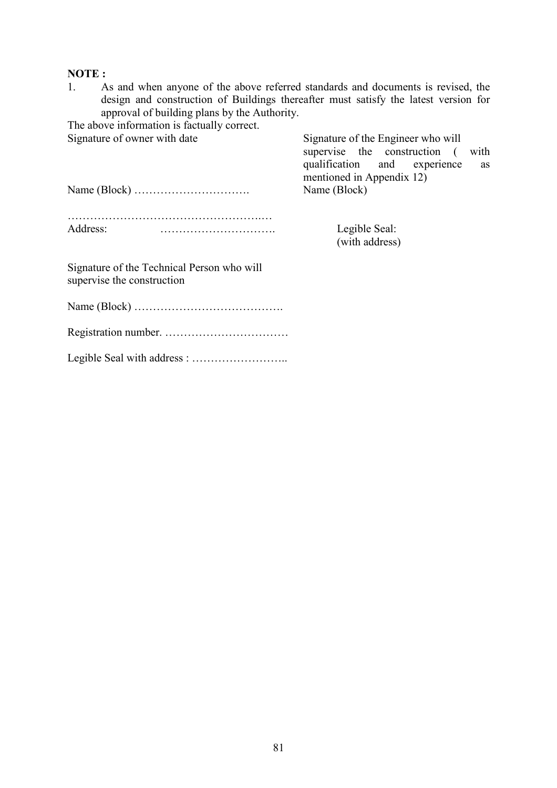## NOTE:

1. As and when anyone of the above referred standards and documents is revised, the design and construction of Buildings thereafter must satisfy the latest version for approval of building plans by the Authority.

The above information is factually correct.

Signature of owner with date Signature of the Engineer who will supervise the construction ( with qualification and experience as mentioned in Appendix 12)<br>Name (Block)

Name (Block) …………………………. Name (Block)

| Address: |  |
|----------|--|

Legible Seal: (with address)

Signature of the Technical Person who will supervise the construction

Name (Block) ………………………………….

Registration number. ……………………………

Legible Seal with address : ……………………..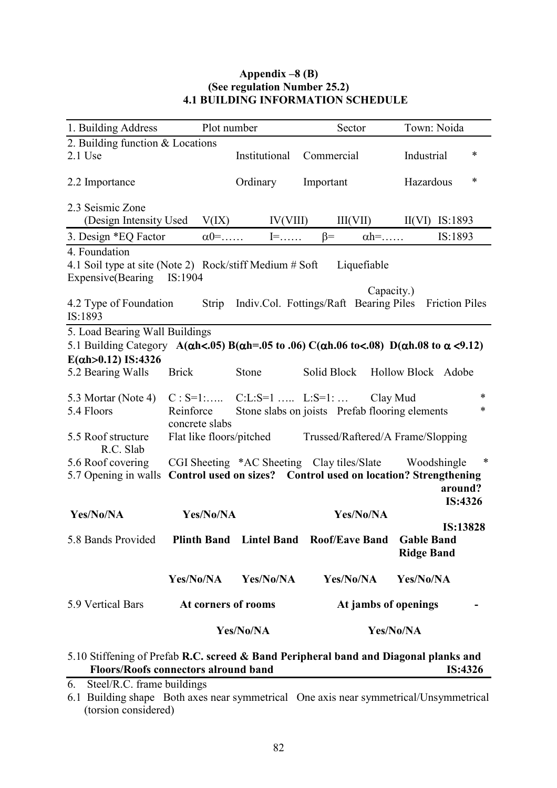## Appendix  $-8$  (B) (See regulation Number 25.2) 4.1 BUILDING INFORMATION SCHEDULE

| 1. Building Address                                                                                                             | Plot number         |                          | Sector                                                              | Town: Noida                   |  |
|---------------------------------------------------------------------------------------------------------------------------------|---------------------|--------------------------|---------------------------------------------------------------------|-------------------------------|--|
| 2. Building function & Locations                                                                                                |                     |                          |                                                                     |                               |  |
| $2.1$ Use                                                                                                                       |                     | Institutional            | Commercial                                                          | $\ast$<br>Industrial          |  |
| 2.2 Importance                                                                                                                  |                     | Ordinary                 | Important                                                           | *<br>Hazardous                |  |
| 2.3 Seismic Zone                                                                                                                |                     |                          |                                                                     |                               |  |
| (Design Intensity Used                                                                                                          | V(IX)               | IV(VIII)                 |                                                                     | $III(VII)$ $II(VI)$ $IS:1893$ |  |
| 3. Design *EQ Factor                                                                                                            | $\alpha$ 0=         | $I = \dots$              | $\beta$ =<br>$\alpha h = \dots$                                     | IS:1893                       |  |
| 4. Foundation                                                                                                                   |                     |                          |                                                                     |                               |  |
| 4.1 Soil type at site (Note 2) Rock/stiff Medium # Soft                                                                         |                     |                          | Liquefiable                                                         |                               |  |
| Expensive(Bearing IS:1904                                                                                                       |                     |                          |                                                                     |                               |  |
| 4.2 Type of Foundation<br>IS:1893                                                                                               | Strip               |                          | Capacity.)<br>Indiv.Col. Fottings/Raft Bearing Piles Friction Piles |                               |  |
| 5. Load Bearing Wall Buildings                                                                                                  |                     |                          |                                                                     |                               |  |
| 5.1 Building Category A( $\alpha$ h<.05) B( $\alpha$ h=.05 to .06) C( $\alpha$ h.06 to<.08) D( $\alpha$ h.08 to $\alpha$ <0.12) |                     |                          |                                                                     |                               |  |
| $E(\alpha h > 0.12)$ IS:4326                                                                                                    |                     |                          |                                                                     |                               |  |
| 5.2 Bearing Walls                                                                                                               | <b>Brick</b>        | Stone                    | Solid Block                                                         | Hollow Block Adobe            |  |
|                                                                                                                                 |                     |                          |                                                                     |                               |  |
| 5.3 Mortar (Note 4)                                                                                                             | $C: S=1:$           |                          | $C:L: S=1$ $L: S=1$ :<br>Clay Mud                                   | *                             |  |
| 5.4 Floors                                                                                                                      | Reinforce           |                          | Stone slabs on joists Prefab flooring elements                      | *                             |  |
|                                                                                                                                 | concrete slabs      |                          |                                                                     |                               |  |
| 5.5 Roof structure<br>R.C. Slab                                                                                                 |                     | Flat like floors/pitched | Trussed/Raftered/A Frame/Slopping                                   |                               |  |
| 5.6 Roof covering                                                                                                               |                     |                          | CGI Sheeting *AC Sheeting Clay tiles/Slate                          | ∗<br>Woodshingle              |  |
| 5.7 Opening in walls                                                                                                            |                     |                          | Control used on sizes? Control used on location? Strengthening      |                               |  |
|                                                                                                                                 |                     |                          |                                                                     | around?                       |  |
| Yes/No/NA                                                                                                                       | Yes/No/NA           |                          | Yes/No/NA                                                           | IS:4326                       |  |
|                                                                                                                                 |                     |                          |                                                                     | IS:13828                      |  |
| 5.8 Bands Provided                                                                                                              |                     |                          | Plinth Band Lintel Band Roof/Eave Band Gable Band                   |                               |  |
|                                                                                                                                 |                     |                          |                                                                     | <b>Ridge Band</b>             |  |
|                                                                                                                                 |                     |                          |                                                                     |                               |  |
|                                                                                                                                 | Yes/No/NA           | Yes/No/NA                | Yes/No/NA                                                           | Yes/No/NA                     |  |
| 5.9 Vertical Bars                                                                                                               | At corners of rooms |                          | At jambs of openings                                                |                               |  |
|                                                                                                                                 |                     | Yes/No/NA                |                                                                     | Yes/No/NA                     |  |
| 5.10 Stiffening of Prefah R.C. screed & Band Perinheral hand and Diagonal planks and                                            |                     |                          |                                                                     |                               |  |

## 5.10 Stiffening of Prefab R.C. screed & Band Peripheral band and Diagonal planks and Floors/Roofs connectors alround band<br>IS:4326

6. Steel/R.C. frame buildings

6.1 Building shape Both axes near symmetrical One axis near symmetrical/Unsymmetrical (torsion considered)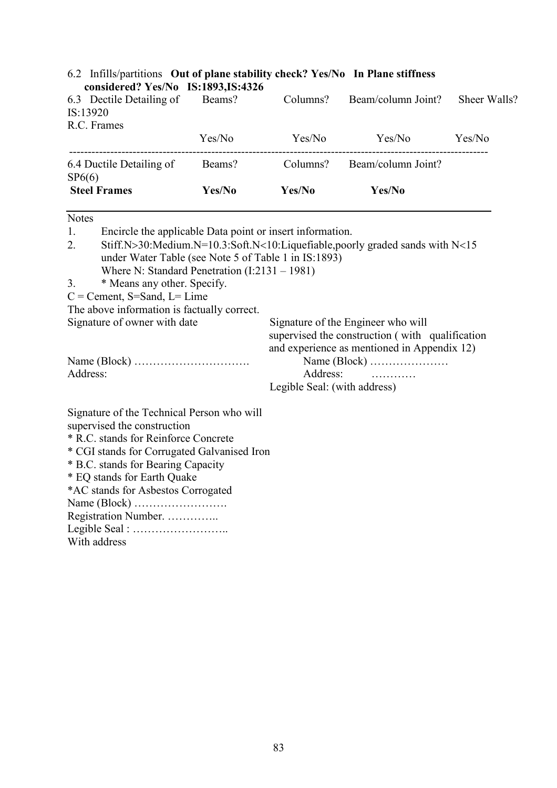| considered? Yes/No IS:1893, IS:4326 |        |          |                    |              |
|-------------------------------------|--------|----------|--------------------|--------------|
| 6.3 Dectile Detailing of            | Beams? | Columns? | Beam/column Joint? | Sheer Walls? |
| IS:13920                            |        |          |                    |              |
| R.C. Frames                         |        |          |                    |              |
|                                     | Yes/No | Yes/No   | Yes/No             | Yes/No       |
| 6.4 Ductile Detailing of<br>SP6(6)  | Beams? | Columns? | Beam/column Joint? |              |
| <b>Steel Frames</b>                 | Yes/No | Yes/No   | Yes/No             |              |

# 6.2 Infills/partitions Out of plane stability check? Yes/No In Plane stiffness

| <b>Notes</b> |                                                                                                                                                                                           |                                                                                                                                      |  |  |  |  |
|--------------|-------------------------------------------------------------------------------------------------------------------------------------------------------------------------------------------|--------------------------------------------------------------------------------------------------------------------------------------|--|--|--|--|
| 1.           | Encircle the applicable Data point or insert information.                                                                                                                                 |                                                                                                                                      |  |  |  |  |
| 2.           | Stiff.N>30:Medium.N=10.3:Soft.N<10:Liquefiable,poorly graded sands with $N<15$<br>under Water Table (see Note 5 of Table 1 in IS:1893)<br>Where N: Standard Penetration $(I:2131 - 1981)$ |                                                                                                                                      |  |  |  |  |
| 3.           | * Means any other. Specify.                                                                                                                                                               |                                                                                                                                      |  |  |  |  |
|              | $C =$ Cement, S=Sand, L= Lime                                                                                                                                                             |                                                                                                                                      |  |  |  |  |
|              | The above information is factually correct.                                                                                                                                               |                                                                                                                                      |  |  |  |  |
|              | Signature of owner with date                                                                                                                                                              | Signature of the Engineer who will<br>supervised the construction (with qualification<br>and experience as mentioned in Appendix 12) |  |  |  |  |
|              |                                                                                                                                                                                           |                                                                                                                                      |  |  |  |  |
| Address:     |                                                                                                                                                                                           | Address:                                                                                                                             |  |  |  |  |
|              |                                                                                                                                                                                           | Legible Seal: (with address)                                                                                                         |  |  |  |  |
|              | Signature of the Technical Person who will<br>supervised the construction                                                                                                                 |                                                                                                                                      |  |  |  |  |
|              | * R.C. stands for Reinforce Concrete                                                                                                                                                      |                                                                                                                                      |  |  |  |  |
|              | * CGI stands for Corrugated Galvanised Iron                                                                                                                                               |                                                                                                                                      |  |  |  |  |
|              | * B.C. stands for Bearing Capacity                                                                                                                                                        |                                                                                                                                      |  |  |  |  |
|              | $*$ CO stands for Earth Oualza                                                                                                                                                            |                                                                                                                                      |  |  |  |  |

\* EQ stands for Earth Quake

| *AC stands for Asbestos Corrogated |
|------------------------------------|
|                                    |
| Registration Number.               |
|                                    |
| With address                       |
|                                    |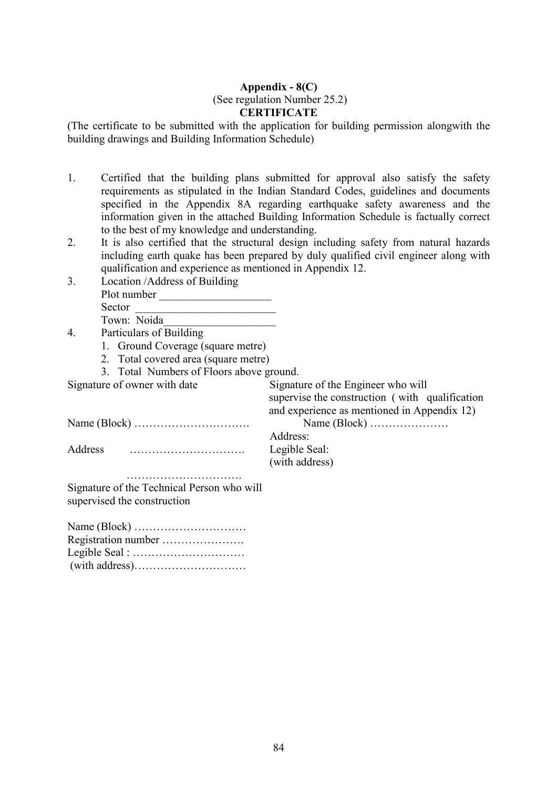## Appendix  $-8(C)$  (See regulation Number 25.2) **CERTIFICATE**

(The certificate to be submitted with the application for building permission alongwith the building drawings and Building Information Schedule)

- 1. Certified that the building plans submitted for approval also satisfy the safety requirements as stipulated in the Indian Standard Codes, guidelines and documents specified in the Appendix 8A regarding earthquake safety awareness and the information given in the attached Building Information Schedule is factually correct to the best of my knowledge and understanding.
- 2. It is also certified that the structural design including safety from natural hazards including earth quake has been prepared by duly qualified civil engineer along with qualification and experience as mentioned in Appendix 12.
- 3. Location /Address of Building Plot number \_\_\_\_\_\_\_\_\_\_\_\_\_\_\_\_\_\_\_\_ Sector Town: Noida\_\_\_\_\_\_\_\_\_\_\_\_\_\_\_\_\_\_\_\_
- 4. Particulars of Building
	- 1. Ground Coverage (square metre)
	- 2. Total covered area (square metre)
	- 3. Total Numbers of Floors above ground.

Signature of owner with date Signature of the Engineer who will supervise the construction ( with qualification and experience as mentioned in Appendix 12)

Name (Block) …………………………. Name (Block) …………………

Address …………………………. Legible Seal:

Address: (with address)

 …………………………. Signature of the Technical Person who will supervised the construction

| Registration number |
|---------------------|
|                     |
|                     |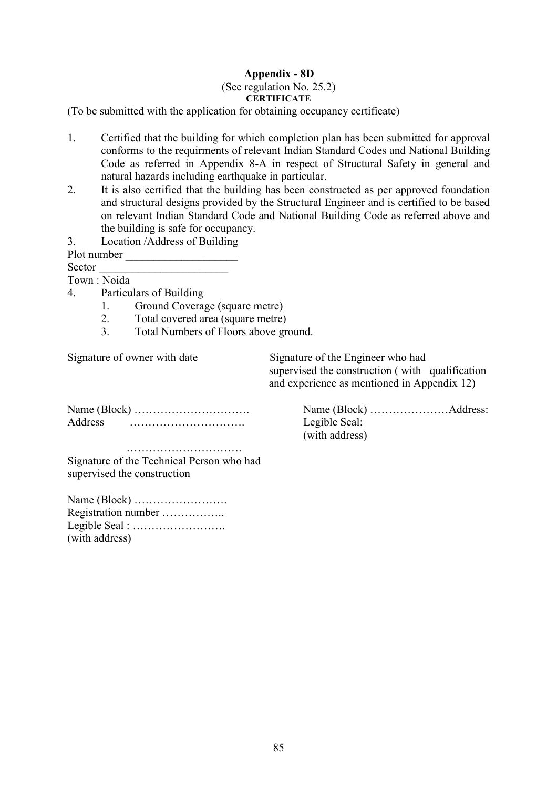## Appendix - 8D

#### (See regulation No. 25.2) **CERTIFICATE**

(To be submitted with the application for obtaining occupancy certificate)

- 1. Certified that the building for which completion plan has been submitted for approval conforms to the requirments of relevant Indian Standard Codes and National Building Code as referred in Appendix 8-A in respect of Structural Safety in general and natural hazards including earthquake in particular.
- 2. It is also certified that the building has been constructed as per approved foundation and structural designs provided by the Structural Engineer and is certified to be based on relevant Indian Standard Code and National Building Code as referred above and the building is safe for occupancy.
- 3. Location /Address of Building

Plot number

Sector \_\_\_\_\_\_\_\_\_\_\_\_\_\_\_\_\_\_\_\_\_\_\_

Town : Noida

- 4. Particulars of Building
	- 1. Ground Coverage (square metre)
	- 2. Total covered area (square metre)
	- 3. Total Numbers of Floors above ground.

Signature of owner with date Signature of the Engineer who had supervised the construction ( with qualification and experience as mentioned in Appendix 12)

Address …………………………. Legible Seal:

Name (Block) …………………………. Name (Block) …………………Address: (with address)

 …………………………. Signature of the Technical Person who had supervised the construction

| Registration number |
|---------------------|
|                     |
| (with address)      |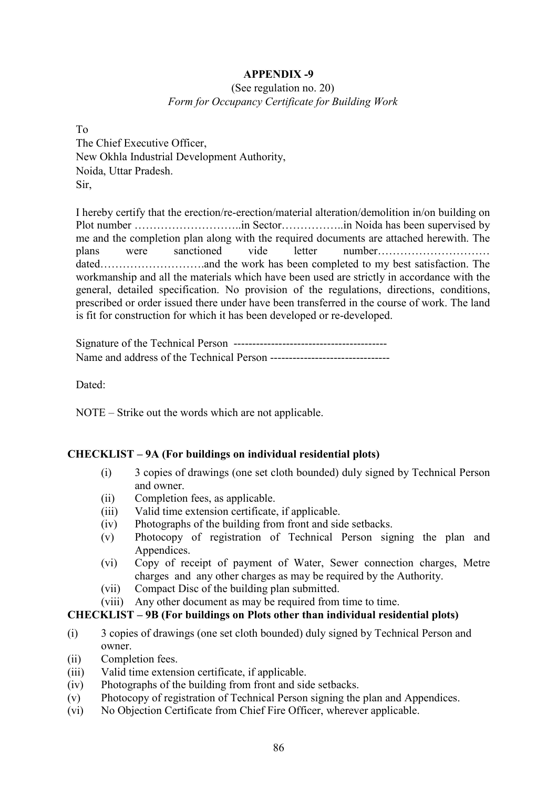## (See regulation no. 20) Form for Occupancy Certificate for Building Work

To The Chief Executive Officer, New Okhla Industrial Development Authority, Noida, Uttar Pradesh. Sir,

I hereby certify that the erection/re-erection/material alteration/demolition in/on building on Plot number ………………………..in Sector……………..in Noida has been supervised by me and the completion plan along with the required documents are attached herewith. The plans were sanctioned vide letter number………………………… dated……………………….and the work has been completed to my best satisfaction. The workmanship and all the materials which have been used are strictly in accordance with the general, detailed specification. No provision of the regulations, directions, conditions, prescribed or order issued there under have been transferred in the course of work. The land is fit for construction for which it has been developed or re-developed.

Signature of the Technical Person ----------------------------------------- Name and address of the Technical Person --------------------------------

Dated:

NOTE – Strike out the words which are not applicable.

## CHECKLIST – 9A (For buildings on individual residential plots)

- (i) 3 copies of drawings (one set cloth bounded) duly signed by Technical Person and owner.
- (ii) Completion fees, as applicable.
- (iii) Valid time extension certificate, if applicable.
- (iv) Photographs of the building from front and side setbacks.
- (v) Photocopy of registration of Technical Person signing the plan and Appendices.
- (vi) Copy of receipt of payment of Water, Sewer connection charges, Metre charges and any other charges as may be required by the Authority.
- (vii) Compact Disc of the building plan submitted.
- (viii) Any other document as may be required from time to time.

## CHECKLIST – 9B (For buildings on Plots other than individual residential plots)

- (i) 3 copies of drawings (one set cloth bounded) duly signed by Technical Person and owner.
- (ii) Completion fees.
- (iii) Valid time extension certificate, if applicable.
- (iv) Photographs of the building from front and side setbacks.
- (v) Photocopy of registration of Technical Person signing the plan and Appendices.
- (vi) No Objection Certificate from Chief Fire Officer, wherever applicable.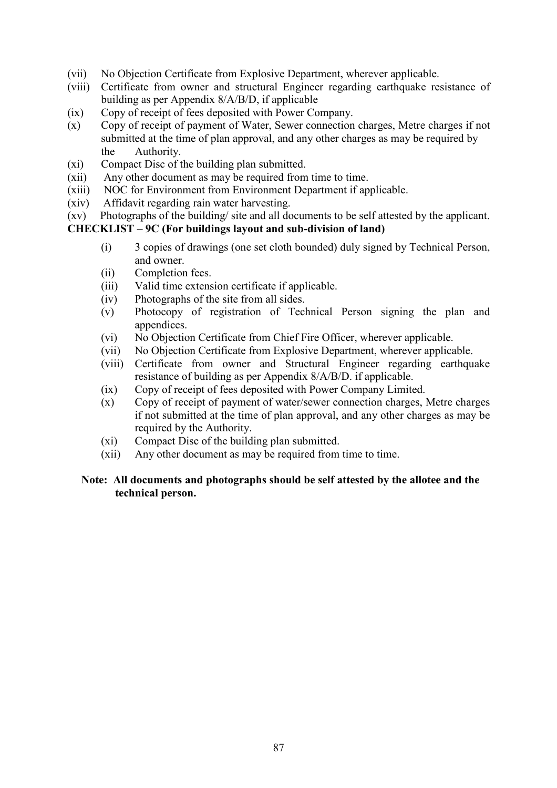- (vii) No Objection Certificate from Explosive Department, wherever applicable.
- (viii) Certificate from owner and structural Engineer regarding earthquake resistance of building as per Appendix 8/A/B/D, if applicable
- (ix) Copy of receipt of fees deposited with Power Company.
- (x) Copy of receipt of payment of Water, Sewer connection charges, Metre charges if not submitted at the time of plan approval, and any other charges as may be required by the Authority.
- (xi) Compact Disc of the building plan submitted.
- (xii) Any other document as may be required from time to time.
- (xiii) NOC for Environment from Environment Department if applicable.
- (xiv) Affidavit regarding rain water harvesting.
- (xv) Photographs of the building/ site and all documents to be self attested by the applicant.

## CHECKLIST – 9C (For buildings layout and sub-division of land)

- (i) 3 copies of drawings (one set cloth bounded) duly signed by Technical Person, and owner.
- (ii) Completion fees.
- (iii) Valid time extension certificate if applicable.
- (iv) Photographs of the site from all sides.
- (v) Photocopy of registration of Technical Person signing the plan and appendices.
- (vi) No Objection Certificate from Chief Fire Officer, wherever applicable.
- (vii) No Objection Certificate from Explosive Department, wherever applicable.
- (viii) Certificate from owner and Structural Engineer regarding earthquake resistance of building as per Appendix 8/A/B/D. if applicable.
- (ix) Copy of receipt of fees deposited with Power Company Limited.
- (x) Copy of receipt of payment of water/sewer connection charges, Metre charges if not submitted at the time of plan approval, and any other charges as may be required by the Authority.
- (xi) Compact Disc of the building plan submitted.
- (xii) Any other document as may be required from time to time.

## Note: All documents and photographs should be self attested by the allotee and the technical person.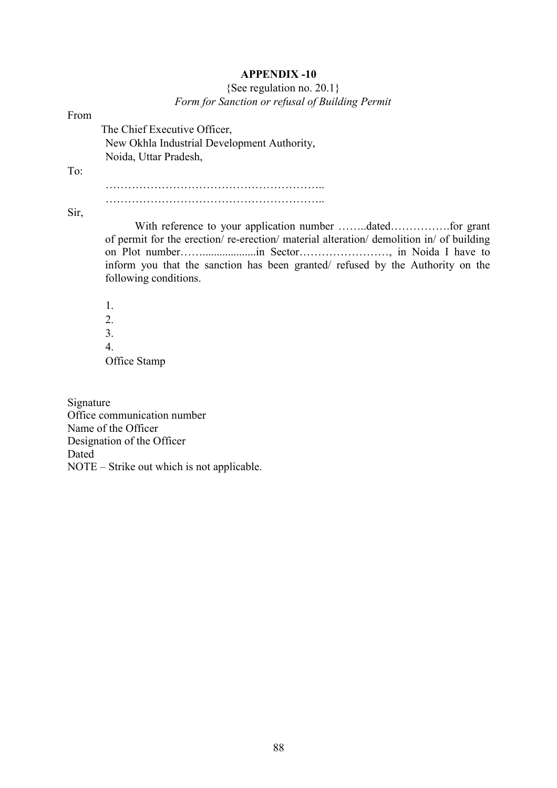## {See regulation no. 20.1}

Form for Sanction or refusal of Building Permit

| From |                                                                                                                                                                                                  |
|------|--------------------------------------------------------------------------------------------------------------------------------------------------------------------------------------------------|
|      | The Chief Executive Officer,                                                                                                                                                                     |
|      | New Okhla Industrial Development Authority,                                                                                                                                                      |
|      | Noida, Uttar Pradesh,                                                                                                                                                                            |
| To:  |                                                                                                                                                                                                  |
|      |                                                                                                                                                                                                  |
| Sir, |                                                                                                                                                                                                  |
|      | of permit for the erection/re-erection/material alteration/demolition in/ of building<br>inform you that the sanction has been granted/ refused by the Authority on the<br>following conditions. |
|      | 1.                                                                                                                                                                                               |
|      | 2.                                                                                                                                                                                               |
|      | 3.                                                                                                                                                                                               |
|      | 4.                                                                                                                                                                                               |
|      | Office Stamp                                                                                                                                                                                     |

Signature Office communication number Name of the Officer Designation of the Officer Dated NOTE – Strike out which is not applicable.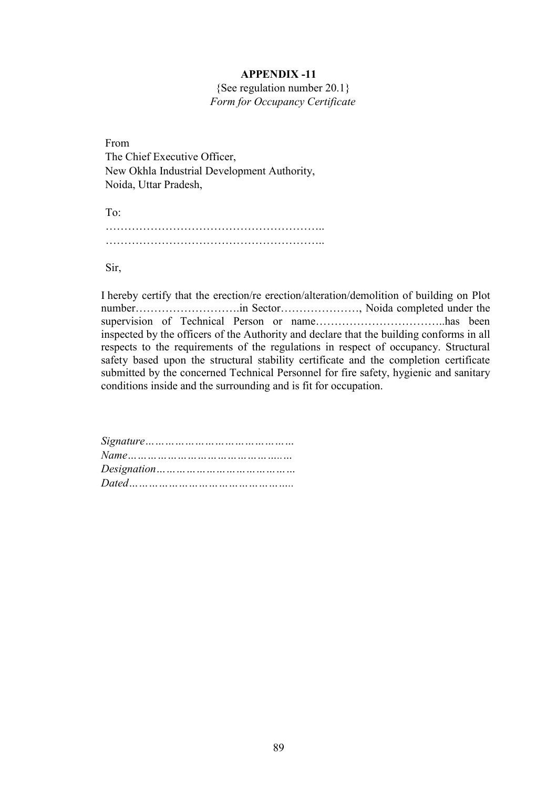{See regulation number 20.1} Form for Occupancy Certificate

From The Chief Executive Officer, New Okhla Industrial Development Authority, Noida, Uttar Pradesh,

To: ………………………………………………….. …………………………………………………..

Sir,

I hereby certify that the erection/re erection/alteration/demolition of building on Plot number……………………….in Sector…………………, Noida completed under the supervision of Technical Person or name……………………………..has been inspected by the officers of the Authority and declare that the building conforms in all respects to the requirements of the regulations in respect of occupancy. Structural safety based upon the structural stability certificate and the completion certificate submitted by the concerned Technical Personnel for fire safety, hygienic and sanitary conditions inside and the surrounding and is fit for occupation.

| $Designation \dots \dots \dots \dots \dots \dots \dots \dots \dots \dots \dots \dots$ |
|---------------------------------------------------------------------------------------|
|                                                                                       |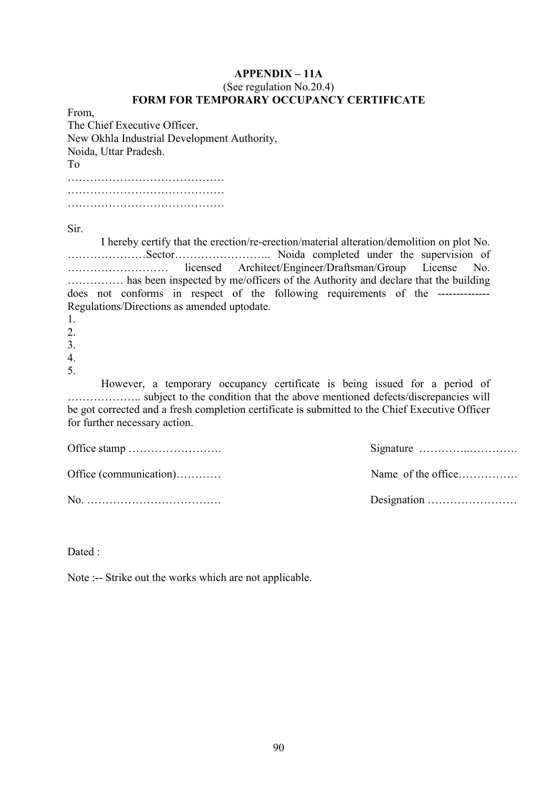## $APPENDIX - 11A$

## (See regulation No.20.4) FORM FOR TEMPORARY OCCUPANCY CERTIFICATE

From, The Chief Executive Officer, New Okhla Industrial Development Authority, Noida, Uttar Pradesh. To …………………………………… …………………………………… …………………………………… Sir. I hereby certify that the erection/re-erection/material alteration/demolition on plot No. …………………Sector…………………….. Noida completed under the supervision of ……………………… licensed Architect/Engineer/Draftsman/Group License No. …………… has been inspected by me/officers of the Authority and declare that the building does not conforms in respect of the following requirements of the -------------- Regulations/Directions as amended uptodate. 1. 2. 3. 4. 5. However, a temporary occupancy certificate is being issued for a period of ……………….. subject to the condition that the above mentioned defects/discrepancies will be got corrected and a fresh completion certificate is submitted to the Chief Executive Officer for further necessary action. Office stamp ……………………. Office (communication)………… No. ………………………………

Dated ·

Note :-- Strike out the works which are not applicable.

Signature …………..………….

Name of the office……………

Designation ……………………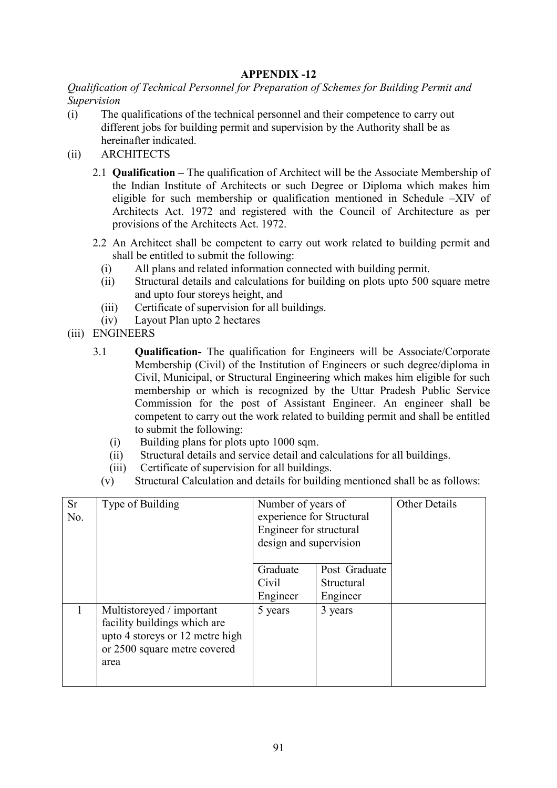Qualification of Technical Personnel for Preparation of Schemes for Building Permit and Supervision

- (i) The qualifications of the technical personnel and their competence to carry out different jobs for building permit and supervision by the Authority shall be as hereinafter indicated.
- (ii) ARCHITECTS
	- 2.1 **Qualification** The qualification of Architect will be the Associate Membership of the Indian Institute of Architects or such Degree or Diploma which makes him eligible for such membership or qualification mentioned in Schedule –XIV of Architects Act. 1972 and registered with the Council of Architecture as per provisions of the Architects Act. 1972.
	- 2.2 An Architect shall be competent to carry out work related to building permit and shall be entitled to submit the following:
		- (i) All plans and related information connected with building permit.
		- (ii) Structural details and calculations for building on plots upto 500 square metre and upto four storeys height, and
		- (iii) Certificate of supervision for all buildings.
		- (iv) Layout Plan upto 2 hectares
- (iii) ENGINEERS
	- 3.1 Qualification- The qualification for Engineers will be Associate/Corporate Membership (Civil) of the Institution of Engineers or such degree/diploma in Civil, Municipal, or Structural Engineering which makes him eligible for such membership or which is recognized by the Uttar Pradesh Public Service Commission for the post of Assistant Engineer. An engineer shall be competent to carry out the work related to building permit and shall be entitled to submit the following:
		- (i) Building plans for plots upto 1000 sqm.
		- (ii) Structural details and service detail and calculations for all buildings.
		- (iii) Certificate of supervision for all buildings.
		- (v) Structural Calculation and details for building mentioned shall be as follows:

| <b>Sr</b><br>No. | Type of Building                                                                                                                     | Number of years of<br>experience for Structural<br>Engineer for structural<br>design and supervision |                                         | <b>Other Details</b> |
|------------------|--------------------------------------------------------------------------------------------------------------------------------------|------------------------------------------------------------------------------------------------------|-----------------------------------------|----------------------|
|                  |                                                                                                                                      | Graduate<br>Civil<br>Engineer                                                                        | Post Graduate<br>Structural<br>Engineer |                      |
|                  | Multistoreyed / important<br>facility buildings which are<br>upto 4 storeys or 12 metre high<br>or 2500 square metre covered<br>area | 5 years                                                                                              | 3 years                                 |                      |